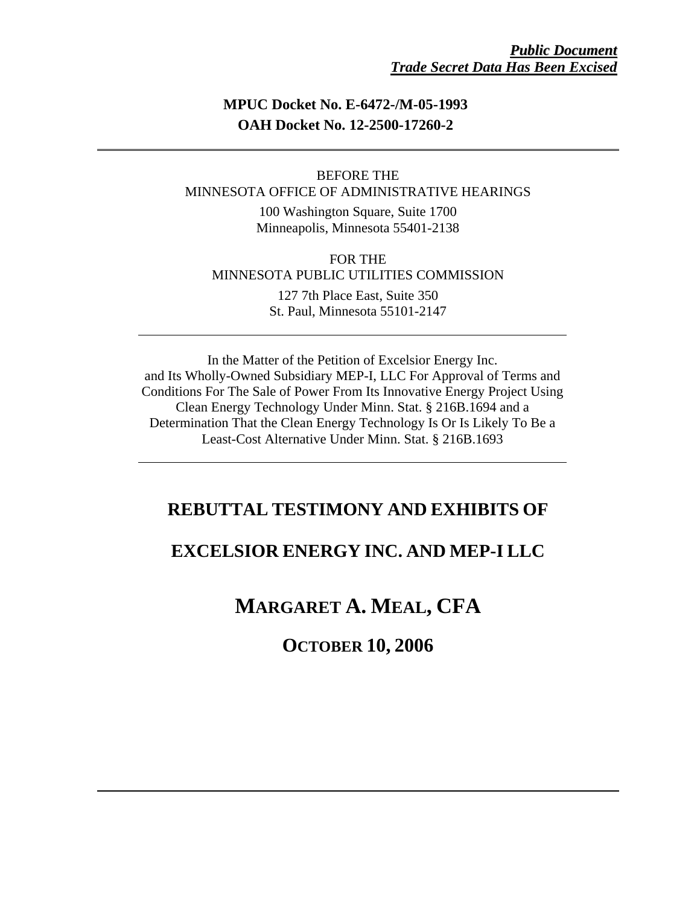### **MPUC Docket No. E-6472-/M-05-1993 OAH Docket No. 12-2500-17260-2**

### BEFORE THE MINNESOTA OFFICE OF ADMINISTRATIVE HEARINGS

100 Washington Square, Suite 1700 Minneapolis, Minnesota 55401-2138

FOR THE MINNESOTA PUBLIC UTILITIES COMMISSION

> 127 7th Place East, Suite 350 St. Paul, Minnesota 55101-2147

In the Matter of the Petition of Excelsior Energy Inc. and Its Wholly-Owned Subsidiary MEP-I, LLC For Approval of Terms and Conditions For The Sale of Power From Its Innovative Energy Project Using Clean Energy Technology Under Minn. Stat. § 216B.1694 and a Determination That the Clean Energy Technology Is Or Is Likely To Be a Least-Cost Alternative Under Minn. Stat. § 216B.1693

## **REBUTTAL TESTIMONY AND EXHIBITS OF**

## **EXCELSIOR ENERGY INC. AND MEP-I LLC**

# **MARGARET A. MEAL, CFA**

# **OCTOBER 10, 2006**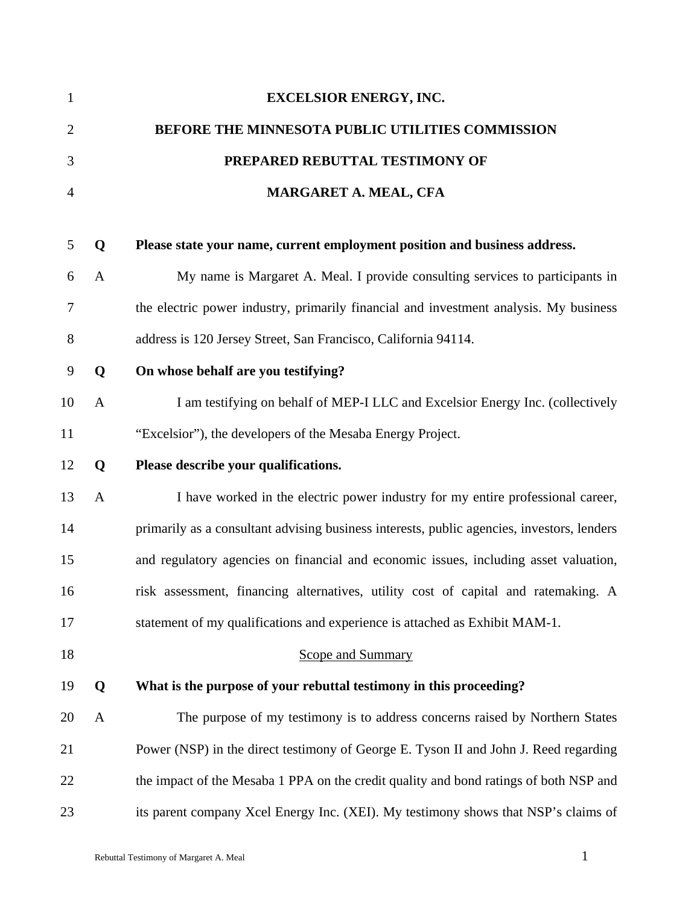| $\mathbf{1}$   |              | <b>EXCELSIOR ENERGY, INC.</b>                                                              |
|----------------|--------------|--------------------------------------------------------------------------------------------|
| $\mathbf{2}$   |              | BEFORE THE MINNESOTA PUBLIC UTILITIES COMMISSION                                           |
| 3              |              | PREPARED REBUTTAL TESTIMONY OF                                                             |
| $\overline{4}$ |              | MARGARET A. MEAL, CFA                                                                      |
|                |              |                                                                                            |
| 5              | Q            | Please state your name, current employment position and business address.                  |
| 6              | $\mathbf{A}$ | My name is Margaret A. Meal. I provide consulting services to participants in              |
| 7              |              | the electric power industry, primarily financial and investment analysis. My business      |
| 8              |              | address is 120 Jersey Street, San Francisco, California 94114.                             |
| 9              | Q            | On whose behalf are you testifying?                                                        |
| 10             | $\mathbf{A}$ | I am testifying on behalf of MEP-I LLC and Excelsior Energy Inc. (collectively             |
| 11             |              | "Excelsior"), the developers of the Mesaba Energy Project.                                 |
| 12             | Q            | Please describe your qualifications.                                                       |
| 13             | $\mathbf{A}$ | I have worked in the electric power industry for my entire professional career,            |
| 14             |              | primarily as a consultant advising business interests, public agencies, investors, lenders |
| 15             |              | and regulatory agencies on financial and economic issues, including asset valuation,       |
| 16             |              | risk assessment, financing alternatives, utility cost of capital and ratemaking. A         |
| 17             |              | statement of my qualifications and experience is attached as Exhibit MAM-1.                |
| 18             |              | <b>Scope and Summary</b>                                                                   |
| 19             | Q            | What is the purpose of your rebuttal testimony in this proceeding?                         |
| 20             | $\mathbf{A}$ | The purpose of my testimony is to address concerns raised by Northern States               |
| 21             |              | Power (NSP) in the direct testimony of George E. Tyson II and John J. Reed regarding       |
| 22             |              | the impact of the Mesaba 1 PPA on the credit quality and bond ratings of both NSP and      |
| 23             |              | its parent company Xcel Energy Inc. (XEI). My testimony shows that NSP's claims of         |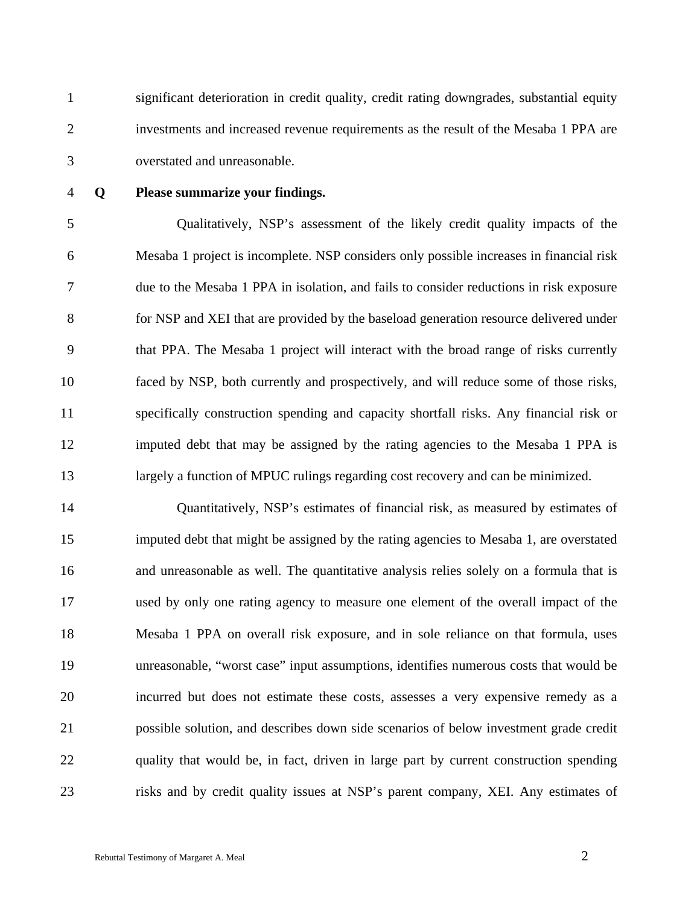1 significant deterioration in credit quality, credit rating downgrades, substantial equity 2 investments and increased revenue requirements as the result of the Mesaba 1 PPA are 3 overstated and unreasonable.

### 4 **Q Please summarize your findings.**

5 Qualitatively, NSP's assessment of the likely credit quality impacts of the 6 Mesaba 1 project is incomplete. NSP considers only possible increases in financial risk 7 due to the Mesaba 1 PPA in isolation, and fails to consider reductions in risk exposure 8 for NSP and XEI that are provided by the baseload generation resource delivered under 9 that PPA. The Mesaba 1 project will interact with the broad range of risks currently 10 faced by NSP, both currently and prospectively, and will reduce some of those risks, 11 specifically construction spending and capacity shortfall risks. Any financial risk or 12 imputed debt that may be assigned by the rating agencies to the Mesaba 1 PPA is 13 largely a function of MPUC rulings regarding cost recovery and can be minimized.

14 Quantitatively, NSP's estimates of financial risk, as measured by estimates of 15 imputed debt that might be assigned by the rating agencies to Mesaba 1, are overstated 16 and unreasonable as well. The quantitative analysis relies solely on a formula that is 17 used by only one rating agency to measure one element of the overall impact of the 18 Mesaba 1 PPA on overall risk exposure, and in sole reliance on that formula, uses 19 unreasonable, "worst case" input assumptions, identifies numerous costs that would be 20 incurred but does not estimate these costs, assesses a very expensive remedy as a 21 possible solution, and describes down side scenarios of below investment grade credit 22 quality that would be, in fact, driven in large part by current construction spending 23 risks and by credit quality issues at NSP's parent company, XEI. Any estimates of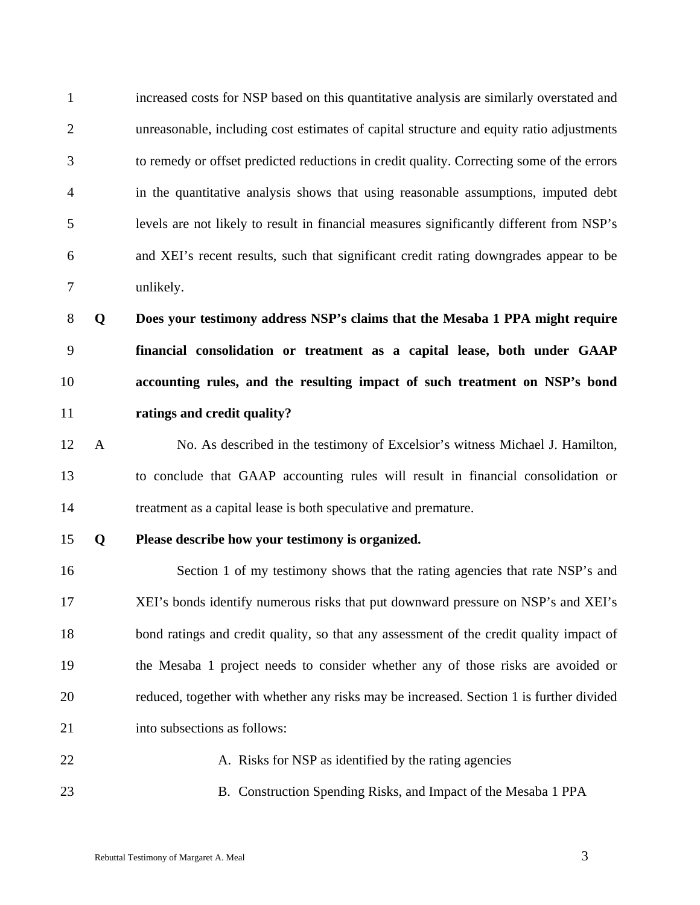| $\mathbf{1}$   |              | increased costs for NSP based on this quantitative analysis are similarly overstated and  |
|----------------|--------------|-------------------------------------------------------------------------------------------|
| $\overline{2}$ |              | unreasonable, including cost estimates of capital structure and equity ratio adjustments  |
| 3              |              | to remedy or offset predicted reductions in credit quality. Correcting some of the errors |
| 4              |              | in the quantitative analysis shows that using reasonable assumptions, imputed debt        |
| 5              |              | levels are not likely to result in financial measures significantly different from NSP's  |
| 6              |              | and XEI's recent results, such that significant credit rating downgrades appear to be     |
| $\tau$         |              | unlikely.                                                                                 |
| $8\,$          | Q            | Does your testimony address NSP's claims that the Mesaba 1 PPA might require              |
| 9              |              | financial consolidation or treatment as a capital lease, both under GAAP                  |
| 10             |              | accounting rules, and the resulting impact of such treatment on NSP's bond                |
| 11             |              | ratings and credit quality?                                                               |
| 12             | $\mathbf{A}$ | No. As described in the testimony of Excelsior's witness Michael J. Hamilton,             |
| 13             |              | to conclude that GAAP accounting rules will result in financial consolidation or          |
| 14             |              | treatment as a capital lease is both speculative and premature.                           |
| 15             | Q            | Please describe how your testimony is organized.                                          |
| 16             |              | Section 1 of my testimony shows that the rating agencies that rate NSP's and              |
| 17             |              | XEI's bonds identify numerous risks that put downward pressure on NSP's and XEI's         |
| 18             |              | bond ratings and credit quality, so that any assessment of the credit quality impact of   |
| 19             |              | the Mesaba 1 project needs to consider whether any of those risks are avoided or          |
| 20             |              | reduced, together with whether any risks may be increased. Section 1 is further divided   |
| 21             |              | into subsections as follows:                                                              |
| 22             |              | A. Risks for NSP as identified by the rating agencies                                     |
| 23             |              | B. Construction Spending Risks, and Impact of the Mesaba 1 PPA                            |
|                |              |                                                                                           |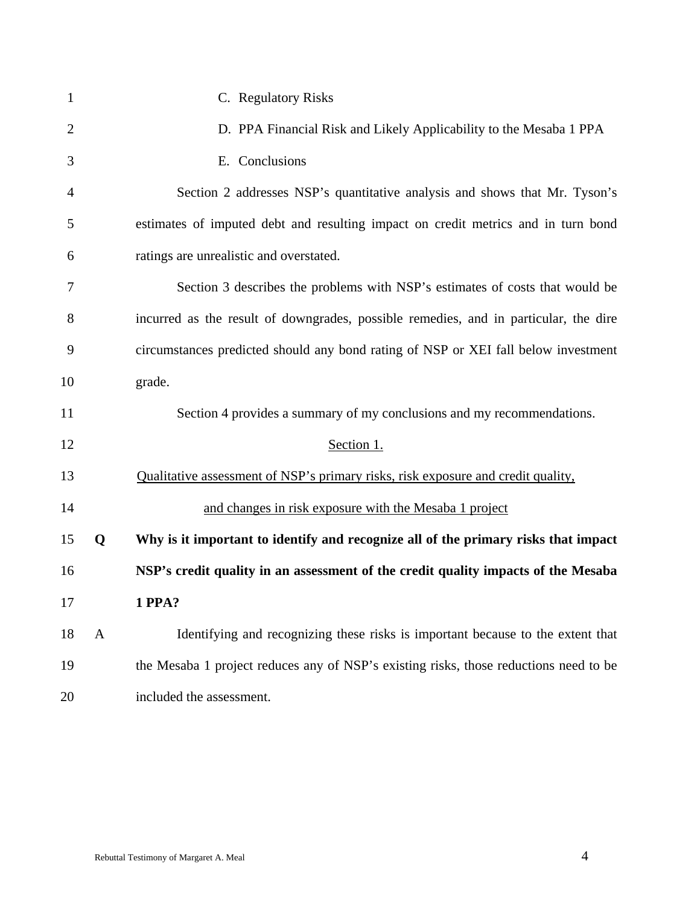| $\mathbf{1}$   |   | C. Regulatory Risks                                                                   |
|----------------|---|---------------------------------------------------------------------------------------|
| $\overline{2}$ |   | D. PPA Financial Risk and Likely Applicability to the Mesaba 1 PPA                    |
| 3              |   | E. Conclusions                                                                        |
| 4              |   | Section 2 addresses NSP's quantitative analysis and shows that Mr. Tyson's            |
| 5              |   | estimates of imputed debt and resulting impact on credit metrics and in turn bond     |
| 6              |   | ratings are unrealistic and overstated.                                               |
| 7              |   | Section 3 describes the problems with NSP's estimates of costs that would be          |
| 8              |   | incurred as the result of downgrades, possible remedies, and in particular, the dire  |
| 9              |   | circumstances predicted should any bond rating of NSP or XEI fall below investment    |
| 10             |   | grade.                                                                                |
| 11             |   | Section 4 provides a summary of my conclusions and my recommendations.                |
| 12             |   | Section 1.                                                                            |
| 13             |   | Qualitative assessment of NSP's primary risks, risk exposure and credit quality,      |
| 14             |   | and changes in risk exposure with the Mesaba 1 project                                |
| 15             | Q | Why is it important to identify and recognize all of the primary risks that impact    |
| 16             |   | NSP's credit quality in an assessment of the credit quality impacts of the Mesaba     |
| 17             |   | 1 PPA?                                                                                |
| 18             | A | Identifying and recognizing these risks is important because to the extent that       |
| 19             |   | the Mesaba 1 project reduces any of NSP's existing risks, those reductions need to be |
| 20             |   | included the assessment.                                                              |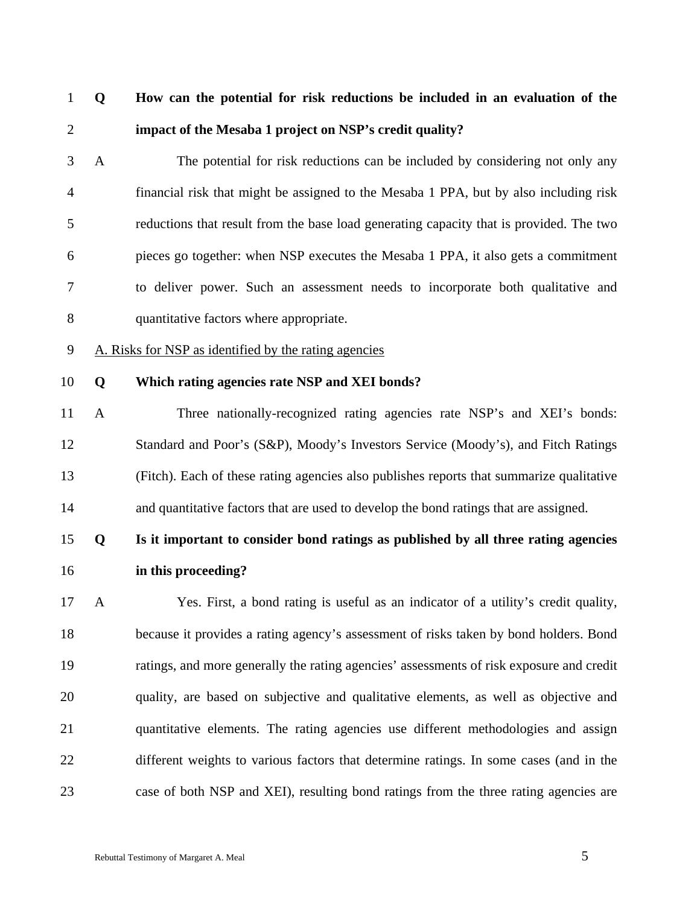# 1 **Q How can the potential for risk reductions be included in an evaluation of the**  2 **impact of the Mesaba 1 project on NSP's credit quality?**

3 A The potential for risk reductions can be included by considering not only any 4 financial risk that might be assigned to the Mesaba 1 PPA, but by also including risk 5 reductions that result from the base load generating capacity that is provided. The two 6 pieces go together: when NSP executes the Mesaba 1 PPA, it also gets a commitment 7 to deliver power. Such an assessment needs to incorporate both qualitative and 8 quantitative factors where appropriate.

- 9 A. Risks for NSP as identified by the rating agencies
- 

### 10 **Q Which rating agencies rate NSP and XEI bonds?**

11 A Three nationally-recognized rating agencies rate NSP's and XEI's bonds: 12 Standard and Poor's (S&P), Moody's Investors Service (Moody's), and Fitch Ratings 13 (Fitch). Each of these rating agencies also publishes reports that summarize qualitative 14 and quantitative factors that are used to develop the bond ratings that are assigned.

# 15 **Q Is it important to consider bond ratings as published by all three rating agencies**

16 **in this proceeding?** 

17 A Yes. First, a bond rating is useful as an indicator of a utility's credit quality, 18 because it provides a rating agency's assessment of risks taken by bond holders. Bond 19 ratings, and more generally the rating agencies' assessments of risk exposure and credit 20 quality, are based on subjective and qualitative elements, as well as objective and 21 quantitative elements. The rating agencies use different methodologies and assign 22 different weights to various factors that determine ratings. In some cases (and in the 23 case of both NSP and XEI), resulting bond ratings from the three rating agencies are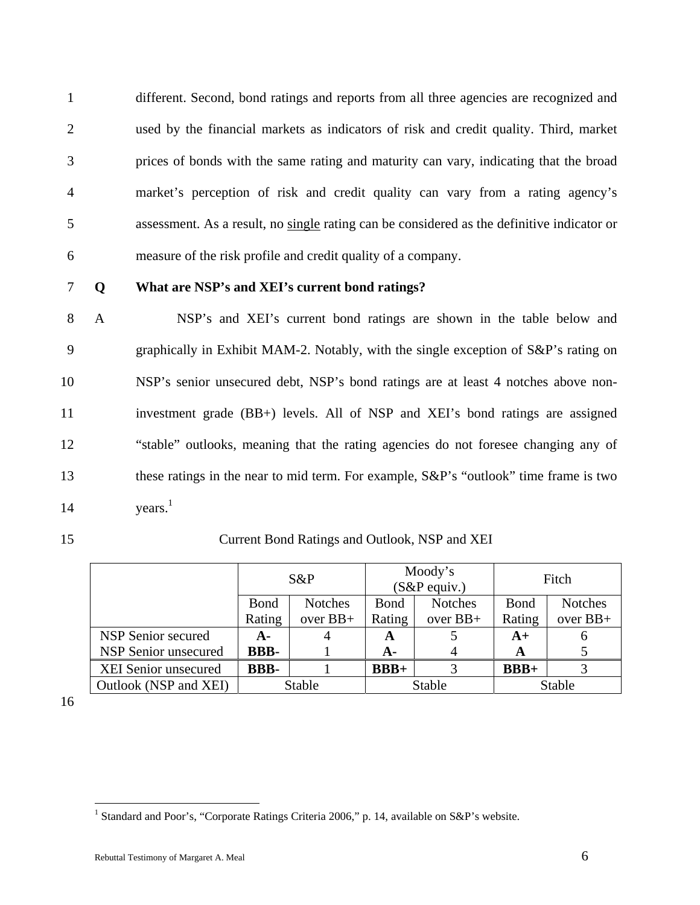1 different. Second, bond ratings and reports from all three agencies are recognized and 2 used by the financial markets as indicators of risk and credit quality. Third, market 3 prices of bonds with the same rating and maturity can vary, indicating that the broad 4 market's perception of risk and credit quality can vary from a rating agency's 5 assessment. As a result, no single rating can be considered as the definitive indicator or 6 measure of the risk profile and credit quality of a company.

### 7 **Q What are NSP's and XEI's current bond ratings?**

8 A NSP's and XEI's current bond ratings are shown in the table below and 9 graphically in Exhibit MAM-2. Notably, with the single exception of S&P's rating on 10 NSP's senior unsecured debt, NSP's bond ratings are at least 4 notches above non-11 investment grade (BB+) levels. All of NSP and XEI's bond ratings are assigned 12 "stable" outlooks, meaning that the rating agencies do not foresee changing any of 13 these ratings in the near to mid term. For example,  $S\&P$ 's "outlook" time frame is two 14 years.<sup>1</sup>

### 15 Current Bond Ratings and Outlook, NSP and XEI

|                             |              | $S\&P$         |              | Moody's<br>$(S\&P$ equiv.) |        | Fitch          |
|-----------------------------|--------------|----------------|--------------|----------------------------|--------|----------------|
|                             | <b>B</b> ond | <b>Notches</b> | <b>B</b> ond | <b>Notches</b>             | Bond   | <b>Notches</b> |
|                             | Rating       | over $BB+$     | Rating       | over $BB+$                 | Rating | over $BB+$     |
| NSP Senior secured          | A-           |                | A            |                            | $A+$   | 6              |
| <b>NSP Senior unsecured</b> | <b>BBB-</b>  |                | A-           |                            | A      |                |
| <b>XEI Senior unsecured</b> | <b>BBB-</b>  |                | $BBB+$       |                            | $BBB+$ |                |
| Outlook (NSP and XEI)       |              | Stable         |              | <b>Stable</b>              |        | Stable         |

16

<sup>&</sup>lt;sup>1</sup> Standard and Poor's, "Corporate Ratings Criteria 2006," p. 14, available on S&P's website.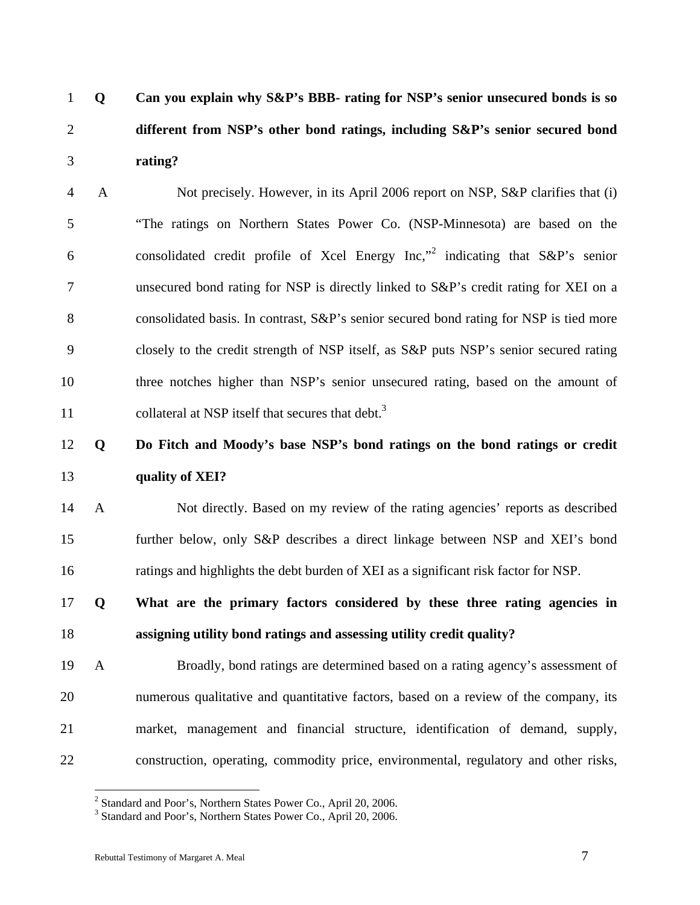1 **Q Can you explain why S&P's BBB- rating for NSP's senior unsecured bonds is so**  2 **different from NSP's other bond ratings, including S&P's senior secured bond**  3 **rating?** 

4 A Not precisely. However, in its April 2006 report on NSP, S&P clarifies that (i) 5 "The ratings on Northern States Power Co. (NSP-Minnesota) are based on the 6 consolidated credit profile of Xcel Energy  $Inc, "2"$  indicating that S&P's senior 7 unsecured bond rating for NSP is directly linked to S&P's credit rating for XEI on a 8 consolidated basis. In contrast,  $S\&P$ 's senior secured bond rating for NSP is tied more 9 closely to the credit strength of NSP itself, as S&P puts NSP's senior secured rating 10 three notches higher than NSP's senior unsecured rating, based on the amount of 11 collateral at NSP itself that secures that debt.<sup>3</sup>

# 12 **Q Do Fitch and Moody's base NSP's bond ratings on the bond ratings or credit**  13 **quality of XEI?**

14 A Not directly. Based on my review of the rating agencies' reports as described 15 further below, only S&P describes a direct linkage between NSP and XEI's bond 16 ratings and highlights the debt burden of XEI as a significant risk factor for NSP.

17 **Q What are the primary factors considered by these three rating agencies in**  18 **assigning utility bond ratings and assessing utility credit quality?** 

19 A Broadly, bond ratings are determined based on a rating agency's assessment of 20 numerous qualitative and quantitative factors, based on a review of the company, its 21 market, management and financial structure, identification of demand, supply, 22 construction, operating, commodity price, environmental, regulatory and other risks,

<sup>&</sup>lt;sup>2</sup> Standard and Poor's, Northern States Power Co., April 20, 2006.<br><sup>3</sup> Standard and Poor's, Northern States Power Co., April 20, 2006.

<sup>&</sup>lt;sup>3</sup> Standard and Poor's, Northern States Power Co., April 20, 2006.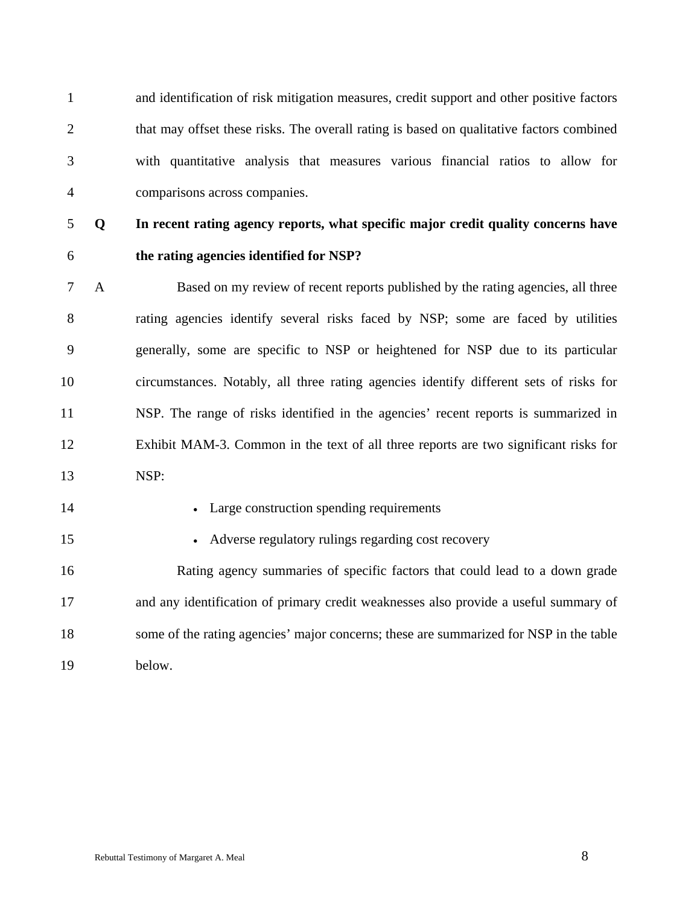1 and identification of risk mitigation measures, credit support and other positive factors 2 that may offset these risks. The overall rating is based on qualitative factors combined 3 with quantitative analysis that measures various financial ratios to allow for 4 comparisons across companies.

# 5 **Q In recent rating agency reports, what specific major credit quality concerns have**

## 6 **the rating agencies identified for NSP?**

7 A Based on my review of recent reports published by the rating agencies, all three 8 rating agencies identify several risks faced by NSP; some are faced by utilities 9 generally, some are specific to NSP or heightened for NSP due to its particular 10 circumstances. Notably, all three rating agencies identify different sets of risks for 11 NSP. The range of risks identified in the agencies' recent reports is summarized in 12 Exhibit MAM-3. Common in the text of all three reports are two significant risks for 13 NSP:

### 14 • Large construction spending requirements

- 
- 15 Adverse regulatory rulings regarding cost recovery

16 Rating agency summaries of specific factors that could lead to a down grade 17 and any identification of primary credit weaknesses also provide a useful summary of 18 some of the rating agencies' major concerns; these are summarized for NSP in the table 19 below.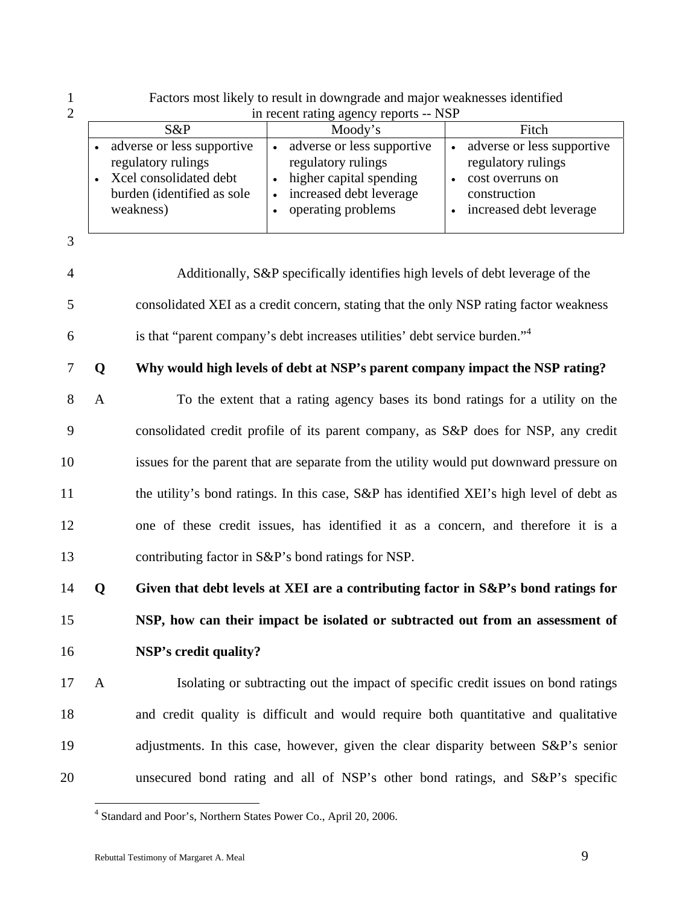1 Factors most likely to result in downgrade and major weaknesses identified 2 in recent rating agency reports -- NSP

|                                                                                                                       | In recent rating agency reports -- inst                                                                                      |                                                                                                                 |
|-----------------------------------------------------------------------------------------------------------------------|------------------------------------------------------------------------------------------------------------------------------|-----------------------------------------------------------------------------------------------------------------|
| $S\&P$                                                                                                                | Moody's                                                                                                                      | Fitch                                                                                                           |
| adverse or less supportive<br>regulatory rulings<br>Xcel consolidated debt<br>burden (identified as sole<br>weakness) | adverse or less supportive<br>regulatory rulings<br>higher capital spending<br>increased debt leverage<br>operating problems | adverse or less supportive<br>regulatory rulings<br>cost overruns on<br>construction<br>increased debt leverage |

3

4 Additionally, S&P specifically identifies high levels of debt leverage of the 5 consolidated XEI as a credit concern, stating that the only NSP rating factor weakness is that "parent company's debt increases utilities' debt service burden."4 6 7 **Q Why would high levels of debt at NSP's parent company impact the NSP rating?**  8 A To the extent that a rating agency bases its bond ratings for a utility on the

9 consolidated credit profile of its parent company, as S&P does for NSP, any credit 10 issues for the parent that are separate from the utility would put downward pressure on 11 the utility's bond ratings. In this case, S&P has identified XEI's high level of debt as 12 one of these credit issues, has identified it as a concern, and therefore it is a 13 contributing factor in S&P's bond ratings for NSP.

14 **Q Given that debt levels at XEI are a contributing factor in S&P's bond ratings for**  15 **NSP, how can their impact be isolated or subtracted out from an assessment of**  16 **NSP's credit quality?** 

17 A Isolating or subtracting out the impact of specific credit issues on bond ratings 18 and credit quality is difficult and would require both quantitative and qualitative 19 adjustments. In this case, however, given the clear disparity between S&P's senior 20 unsecured bond rating and all of NSP's other bond ratings, and S&P's specific

<sup>4</sup> Standard and Poor's, Northern States Power Co., April 20, 2006.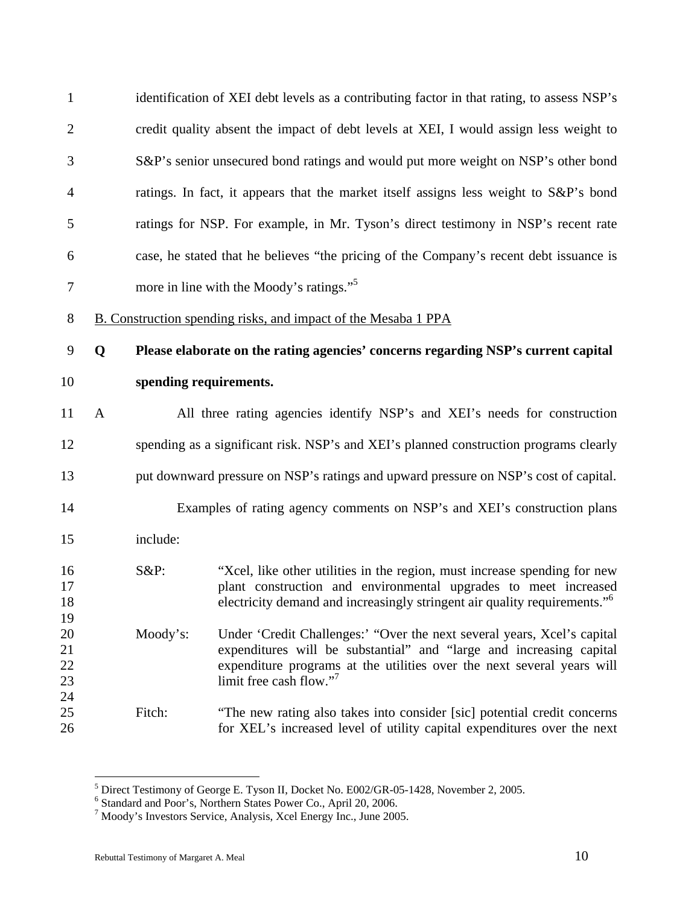| $\mathbf{1}$         |              |          | identification of XEI debt levels as a contributing factor in that rating, to assess NSP's                                                                                                                                                                      |
|----------------------|--------------|----------|-----------------------------------------------------------------------------------------------------------------------------------------------------------------------------------------------------------------------------------------------------------------|
| $\mathbf{2}$         |              |          | credit quality absent the impact of debt levels at XEI, I would assign less weight to                                                                                                                                                                           |
| 3                    |              |          | S&P's senior unsecured bond ratings and would put more weight on NSP's other bond                                                                                                                                                                               |
| $\overline{4}$       |              |          | ratings. In fact, it appears that the market itself assigns less weight to S&P's bond                                                                                                                                                                           |
| 5                    |              |          | ratings for NSP. For example, in Mr. Tyson's direct testimony in NSP's recent rate                                                                                                                                                                              |
| 6                    |              |          | case, he stated that he believes "the pricing of the Company's recent debt issuance is                                                                                                                                                                          |
| $\tau$               |              |          | more in line with the Moody's ratings." <sup>5</sup>                                                                                                                                                                                                            |
| 8                    |              |          | B. Construction spending risks, and impact of the Mesaba 1 PPA                                                                                                                                                                                                  |
| 9                    | Q            |          | Please elaborate on the rating agencies' concerns regarding NSP's current capital                                                                                                                                                                               |
| 10                   |              |          | spending requirements.                                                                                                                                                                                                                                          |
| 11                   | $\mathbf{A}$ |          | All three rating agencies identify NSP's and XEI's needs for construction                                                                                                                                                                                       |
| 12                   |              |          | spending as a significant risk. NSP's and XEI's planned construction programs clearly                                                                                                                                                                           |
| 13                   |              |          | put downward pressure on NSP's ratings and upward pressure on NSP's cost of capital.                                                                                                                                                                            |
| 14                   |              |          | Examples of rating agency comments on NSP's and XEI's construction plans                                                                                                                                                                                        |
| 15                   |              | include: |                                                                                                                                                                                                                                                                 |
| 16<br>17<br>18<br>19 |              | $S\&P$ : | "Xcel, like other utilities in the region, must increase spending for new<br>plant construction and environmental upgrades to meet increased<br>electricity demand and increasingly stringent air quality requirements." <sup>6</sup>                           |
| 20<br>21<br>22<br>23 |              | Moody's: | Under 'Credit Challenges:' "Over the next several years, Xcel's capital<br>expenditures will be substantial" and "large and increasing capital<br>expenditure programs at the utilities over the next several years will<br>limit free cash flow." <sup>7</sup> |
| 24<br>25<br>26       |              | Fitch:   | "The new rating also takes into consider [sic] potential credit concerns<br>for XEL's increased level of utility capital expenditures over the next                                                                                                             |

<sup>&</sup>lt;sup>5</sup> Direct Testimony of George E. Tyson II, Docket No. E002/GR-05-1428, November 2, 2005.<br><sup>6</sup> Standard and Poor's, Northern States Power Co., April 20, 2006.<br><sup>7</sup> Moody's Investors Service, Analysis, Xcel Energy Inc., June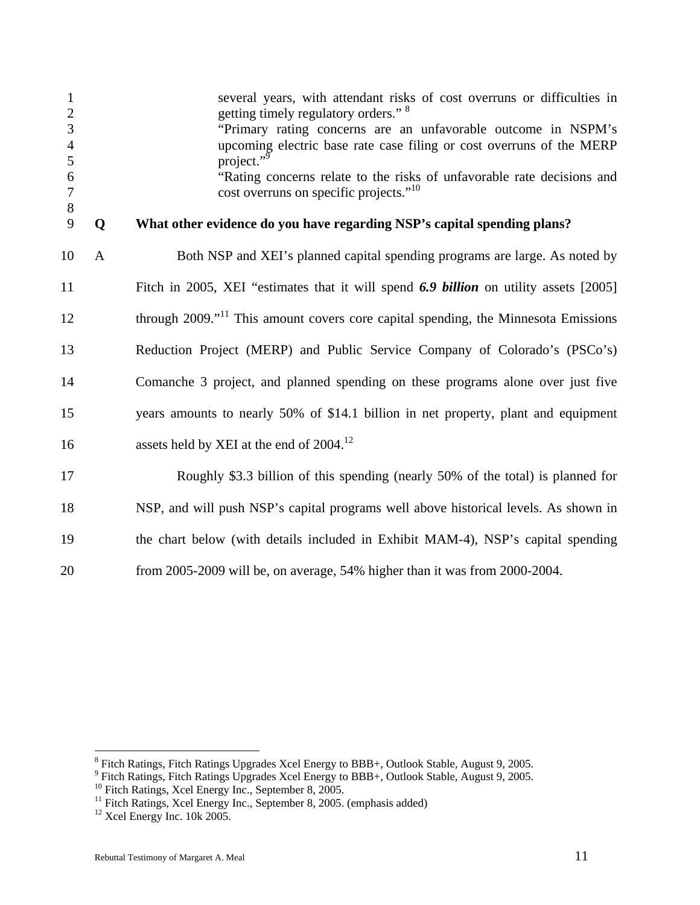| $\mathbf{1}$<br>$\overline{2}$ |              | several years, with attendant risks of cost overruns or difficulties in<br>getting timely regulatory orders." <sup>8</sup> |
|--------------------------------|--------------|----------------------------------------------------------------------------------------------------------------------------|
| 3                              |              | "Primary rating concerns are an unfavorable outcome in NSPM's                                                              |
| $\overline{4}$<br>5            |              | upcoming electric base rate case filing or cost overruns of the MERP<br>project."                                          |
| 6                              |              | "Rating concerns relate to the risks of unfavorable rate decisions and                                                     |
| $\boldsymbol{7}$<br>$8\,$      |              | cost overruns on specific projects." <sup>10</sup>                                                                         |
| 9                              | Q            | What other evidence do you have regarding NSP's capital spending plans?                                                    |
| 10                             | $\mathbf{A}$ | Both NSP and XEI's planned capital spending programs are large. As noted by                                                |
| 11                             |              | Fitch in 2005, XEI "estimates that it will spend 6.9 billion on utility assets [2005]                                      |
| 12                             |              | through 2009." <sup>11</sup> This amount covers core capital spending, the Minnesota Emissions                             |
| 13                             |              | Reduction Project (MERP) and Public Service Company of Colorado's (PSCo's)                                                 |
| 14                             |              | Comanche 3 project, and planned spending on these programs alone over just five                                            |
| 15                             |              | years amounts to nearly 50% of \$14.1 billion in net property, plant and equipment                                         |
| 16                             |              | assets held by XEI at the end of 2004. <sup>12</sup>                                                                       |
| 17                             |              | Roughly \$3.3 billion of this spending (nearly 50% of the total) is planned for                                            |
| 18                             |              | NSP, and will push NSP's capital programs well above historical levels. As shown in                                        |
| 19                             |              | the chart below (with details included in Exhibit MAM-4), NSP's capital spending                                           |
| 20                             |              | from 2005-2009 will be, on average, 54% higher than it was from 2000-2004.                                                 |

e<br>
Fitch Ratings, Fitch Ratings Upgrades Xcel Energy to BBB+, Outlook Stable, August 9, 2005.<br>
<sup>9</sup> Fitch Ratings, Fitch Ratings Upgrades Xcel Energy to BBB+, Outlook Stable, August 9, 2005.

<sup>&</sup>lt;sup>10</sup> Fitch Ratings, Xcel Energy Inc., September 8, 2005.

<sup>&</sup>lt;sup>11</sup> Fitch Ratings, Xcel Energy Inc., September 8, 2005. (emphasis added)

 $12$  Xcel Energy Inc. 10k 2005.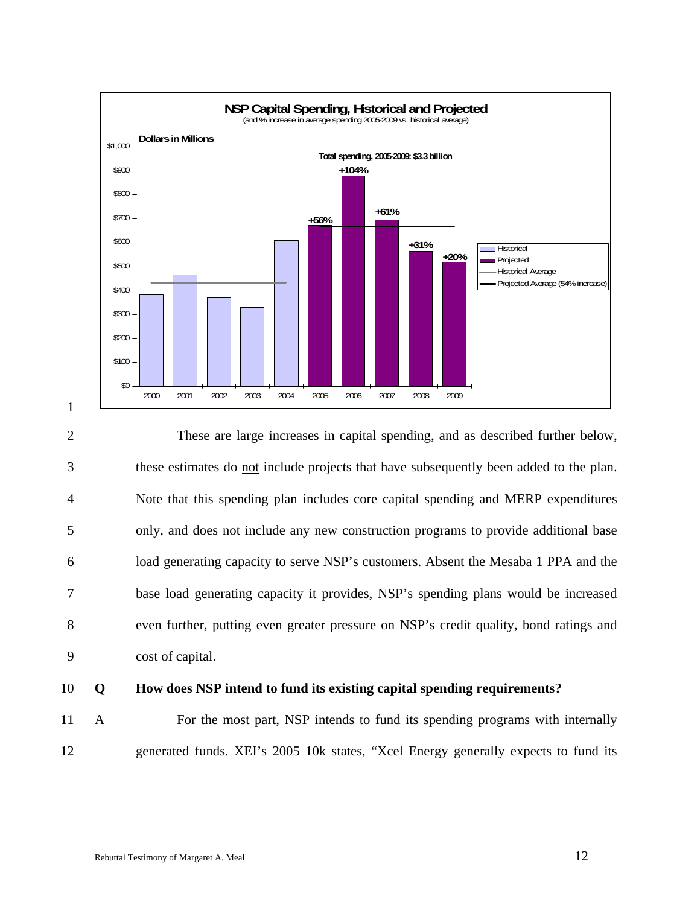

2 These are large increases in capital spending, and as described further below, 3 these estimates do not include projects that have subsequently been added to the plan. 4 Note that this spending plan includes core capital spending and MERP expenditures 5 only, and does not include any new construction programs to provide additional base 6 load generating capacity to serve NSP's customers. Absent the Mesaba 1 PPA and the 7 base load generating capacity it provides, NSP's spending plans would be increased 8 even further, putting even greater pressure on NSP's credit quality, bond ratings and 9 cost of capital.

1

### 10 **Q How does NSP intend to fund its existing capital spending requirements?**

11 A For the most part, NSP intends to fund its spending programs with internally 12 generated funds. XEI's 2005 10k states, "Xcel Energy generally expects to fund its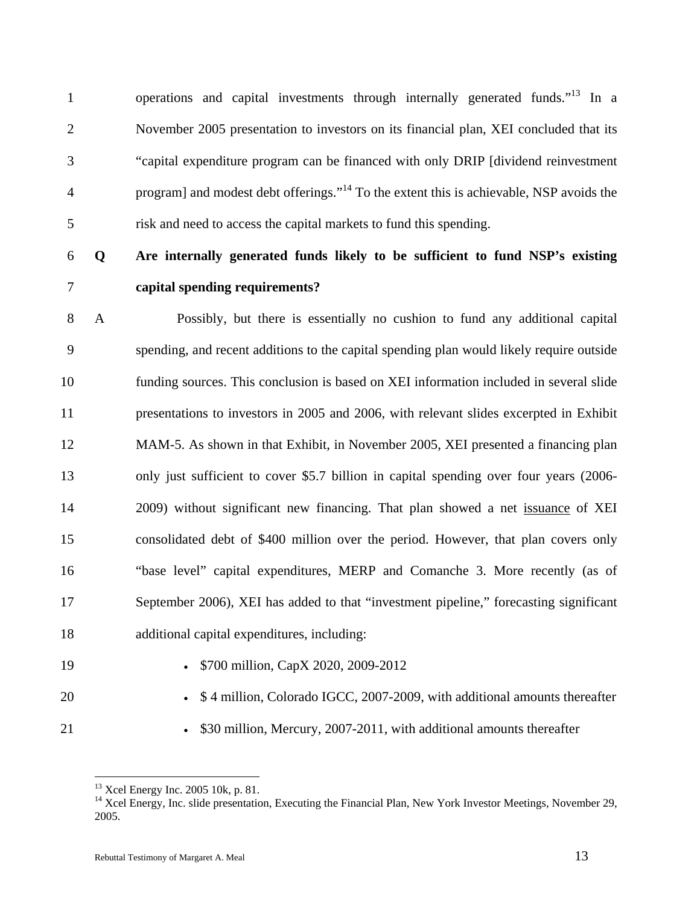1 operations and capital investments through internally generated funds.<sup> $13$ </sup> In a 2 November 2005 presentation to investors on its financial plan, XEI concluded that its 3 "capital expenditure program can be financed with only DRIP [dividend reinvestment program] and modest debt offerings."<sup>14</sup> 4 To the extent this is achievable, NSP avoids the 5 risk and need to access the capital markets to fund this spending.

6 **Q Are internally generated funds likely to be sufficient to fund NSP's existing** 

# 7 **capital spending requirements?**

8 A Possibly, but there is essentially no cushion to fund any additional capital 9 spending, and recent additions to the capital spending plan would likely require outside 10 funding sources. This conclusion is based on XEI information included in several slide 11 presentations to investors in 2005 and 2006, with relevant slides excerpted in Exhibit 12 MAM-5. As shown in that Exhibit, in November 2005, XEI presented a financing plan 13 only just sufficient to cover \$5.7 billion in capital spending over four years (2006- 14 2009) without significant new financing. That plan showed a net issuance of XEI 15 consolidated debt of \$400 million over the period. However, that plan covers only 16 "base level" capital expenditures, MERP and Comanche 3. More recently (as of 17 September 2006), XEI has added to that "investment pipeline," forecasting significant 18 additional capital expenditures, including:

- 
- 19 \$700 million, CapX 2020, 2009-2012
- 
- 20 \$ 4 million, Colorado IGCC, 2007-2009, with additional amounts thereafter
- 

 $\overline{a}$ 

21 • \$30 million, Mercury, 2007-2011, with additional amounts thereafter

<sup>13</sup> Xcel Energy Inc. 2005 10k, p. 81.

<sup>&</sup>lt;sup>14</sup> Xcel Energy, Inc. slide presentation, Executing the Financial Plan, New York Investor Meetings, November 29, 2005.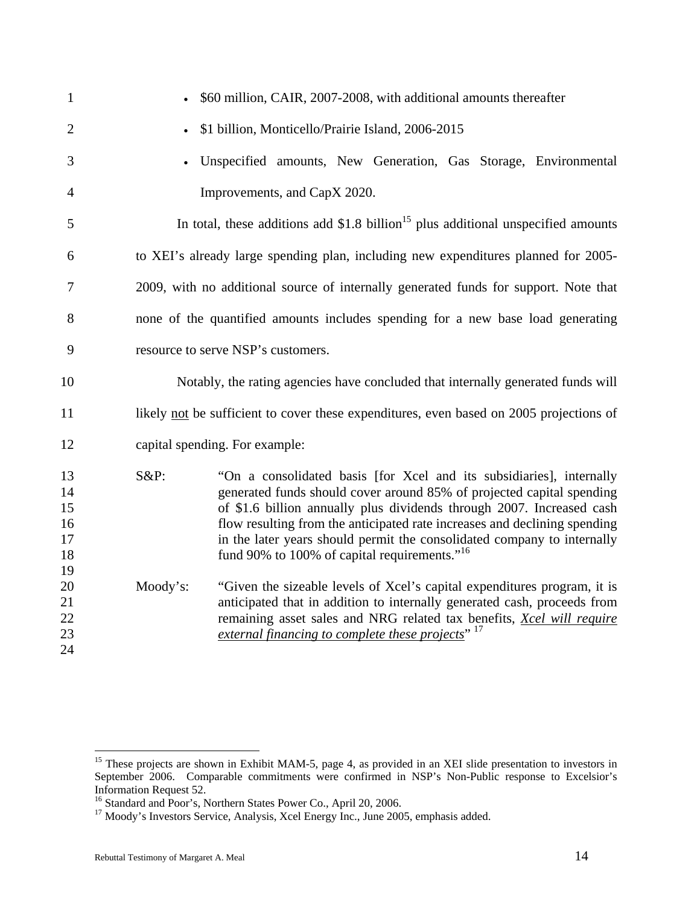| $\mathbf{1}$                           |          | \$60 million, CAIR, 2007-2008, with additional amounts thereafter                                                                                                                                                                                                                                                                                                                                                                          |
|----------------------------------------|----------|--------------------------------------------------------------------------------------------------------------------------------------------------------------------------------------------------------------------------------------------------------------------------------------------------------------------------------------------------------------------------------------------------------------------------------------------|
| $\overline{2}$                         |          | \$1 billion, Monticello/Prairie Island, 2006-2015                                                                                                                                                                                                                                                                                                                                                                                          |
| 3                                      |          | Unspecified amounts, New Generation, Gas Storage, Environmental                                                                                                                                                                                                                                                                                                                                                                            |
| $\overline{4}$                         |          | Improvements, and CapX 2020.                                                                                                                                                                                                                                                                                                                                                                                                               |
| 5                                      |          | In total, these additions add $$1.8$ billion <sup>15</sup> plus additional unspecified amounts                                                                                                                                                                                                                                                                                                                                             |
| 6                                      |          | to XEI's already large spending plan, including new expenditures planned for 2005-                                                                                                                                                                                                                                                                                                                                                         |
| 7                                      |          | 2009, with no additional source of internally generated funds for support. Note that                                                                                                                                                                                                                                                                                                                                                       |
| 8                                      |          | none of the quantified amounts includes spending for a new base load generating                                                                                                                                                                                                                                                                                                                                                            |
| 9                                      |          | resource to serve NSP's customers.                                                                                                                                                                                                                                                                                                                                                                                                         |
| 10                                     |          | Notably, the rating agencies have concluded that internally generated funds will                                                                                                                                                                                                                                                                                                                                                           |
| 11                                     |          | likely not be sufficient to cover these expenditures, even based on 2005 projections of                                                                                                                                                                                                                                                                                                                                                    |
| 12                                     |          | capital spending. For example:                                                                                                                                                                                                                                                                                                                                                                                                             |
| 13<br>14<br>15<br>16<br>17<br>18<br>19 | $S\&P:$  | "On a consolidated basis [for Xcel and its subsidiaries], internally<br>generated funds should cover around 85% of projected capital spending<br>of \$1.6 billion annually plus dividends through 2007. Increased cash<br>flow resulting from the anticipated rate increases and declining spending<br>in the later years should permit the consolidated company to internally<br>fund 90% to 100% of capital requirements." <sup>16</sup> |
| 20<br>21<br>22<br>23<br>24             | Moody's: | "Given the sizeable levels of Xcel's capital expenditures program, it is<br>anticipated that in addition to internally generated cash, proceeds from<br>remaining asset sales and NRG related tax benefits, Xcel will require<br>external financing to complete these projects" 17                                                                                                                                                         |

<sup>&</sup>lt;sup>15</sup> These projects are shown in Exhibit MAM-5, page 4, as provided in an XEI slide presentation to investors in September 2006. Comparable commitments were confirmed in NSP's Non-Public response to Excelsior's Information Request 52.

<sup>&</sup>lt;sup>16</sup> Standard and Poor's, Northern States Power Co., April 20, 2006.<br><sup>17</sup> Moody's Investors Service, Analysis, Xcel Energy Inc., June 2005, emphasis added.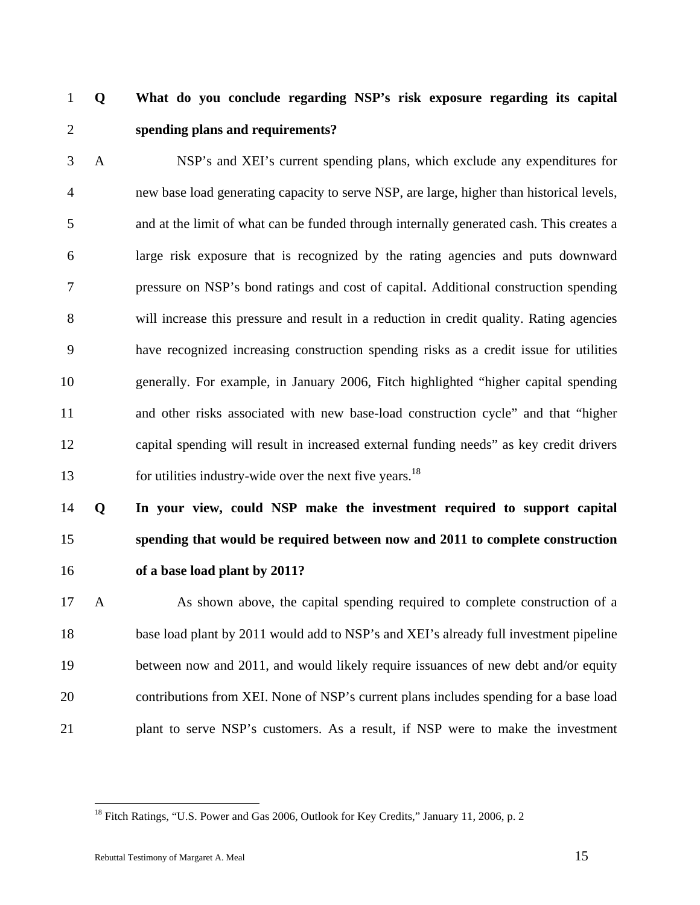1 **Q What do you conclude regarding NSP's risk exposure regarding its capital**  2 **spending plans and requirements?** 

3 A NSP's and XEI's current spending plans, which exclude any expenditures for 4 new base load generating capacity to serve NSP, are large, higher than historical levels, 5 and at the limit of what can be funded through internally generated cash. This creates a 6 large risk exposure that is recognized by the rating agencies and puts downward 7 pressure on NSP's bond ratings and cost of capital. Additional construction spending 8 will increase this pressure and result in a reduction in credit quality. Rating agencies 9 have recognized increasing construction spending risks as a credit issue for utilities 10 generally. For example, in January 2006, Fitch highlighted "higher capital spending 11 and other risks associated with new base-load construction cycle" and that "higher 12 capital spending will result in increased external funding needs" as key credit drivers 13 for utilities industry-wide over the next five years.<sup>18</sup>

# 14 **Q In your view, could NSP make the investment required to support capital**  15 **spending that would be required between now and 2011 to complete construction**  16 **of a base load plant by 2011?**

17 A As shown above, the capital spending required to complete construction of a 18 base load plant by 2011 would add to NSP's and XEI's already full investment pipeline 19 between now and 2011, and would likely require issuances of new debt and/or equity 20 contributions from XEI. None of NSP's current plans includes spending for a base load 21 plant to serve NSP's customers. As a result, if NSP were to make the investment

<sup>&</sup>lt;sup>18</sup> Fitch Ratings, "U.S. Power and Gas 2006, Outlook for Key Credits," January 11, 2006, p. 2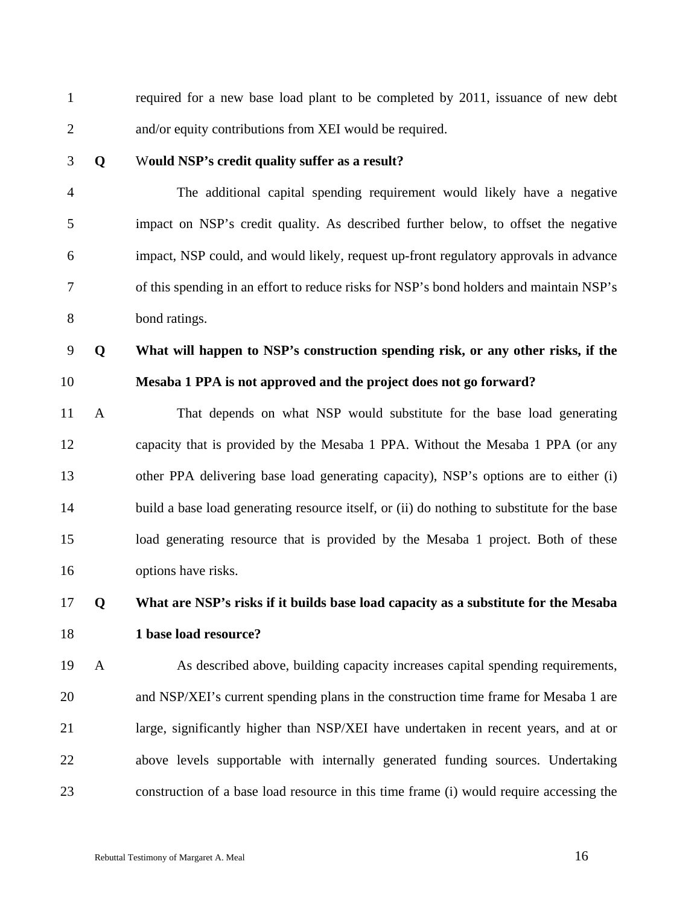1 required for a new base load plant to be completed by 2011, issuance of new debt 2 and/or equity contributions from XEI would be required. 3 **Q** W**ould NSP's credit quality suffer as a result?**  4 The additional capital spending requirement would likely have a negative 5 impact on NSP's credit quality. As described further below, to offset the negative 6 impact, NSP could, and would likely, request up-front regulatory approvals in advance 7 of this spending in an effort to reduce risks for NSP's bond holders and maintain NSP's 8 bond ratings. 9 **Q What will happen to NSP's construction spending risk, or any other risks, if the**  10 **Mesaba 1 PPA is not approved and the project does not go forward?**  11 A That depends on what NSP would substitute for the base load generating 12 capacity that is provided by the Mesaba 1 PPA. Without the Mesaba 1 PPA (or any 13 other PPA delivering base load generating capacity), NSP's options are to either (i) 14 build a base load generating resource itself, or (ii) do nothing to substitute for the base 15 load generating resource that is provided by the Mesaba 1 project. Both of these 16 options have risks. 17 **Q What are NSP's risks if it builds base load capacity as a substitute for the Mesaba**  18 **1 base load resource?** 

19 A As described above, building capacity increases capital spending requirements, 20 and NSP/XEI's current spending plans in the construction time frame for Mesaba 1 are 21 large, significantly higher than NSP/XEI have undertaken in recent years, and at or 22 above levels supportable with internally generated funding sources. Undertaking 23 construction of a base load resource in this time frame (i) would require accessing the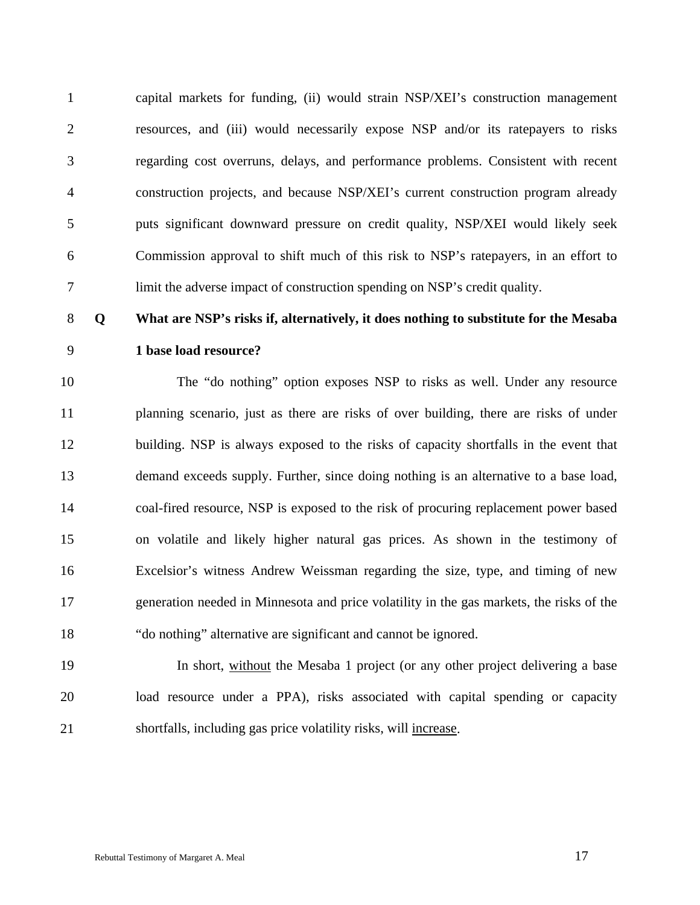1 capital markets for funding, (ii) would strain NSP/XEI's construction management 2 resources, and (iii) would necessarily expose NSP and/or its ratepayers to risks 3 regarding cost overruns, delays, and performance problems. Consistent with recent 4 construction projects, and because NSP/XEI's current construction program already 5 puts significant downward pressure on credit quality, NSP/XEI would likely seek 6 Commission approval to shift much of this risk to NSP's ratepayers, in an effort to 7 limit the adverse impact of construction spending on NSP's credit quality.

### 8 **Q What are NSP's risks if, alternatively, it does nothing to substitute for the Mesaba**

# 9 **1 base load resource?**

10 The "do nothing" option exposes NSP to risks as well. Under any resource 11 planning scenario, just as there are risks of over building, there are risks of under 12 building. NSP is always exposed to the risks of capacity shortfalls in the event that 13 demand exceeds supply. Further, since doing nothing is an alternative to a base load, 14 coal-fired resource, NSP is exposed to the risk of procuring replacement power based 15 on volatile and likely higher natural gas prices. As shown in the testimony of 16 Excelsior's witness Andrew Weissman regarding the size, type, and timing of new 17 generation needed in Minnesota and price volatility in the gas markets, the risks of the 18 "do nothing" alternative are significant and cannot be ignored.

19 In short, without the Mesaba 1 project (or any other project delivering a base 20 load resource under a PPA), risks associated with capital spending or capacity 21 shortfalls, including gas price volatility risks, will increase.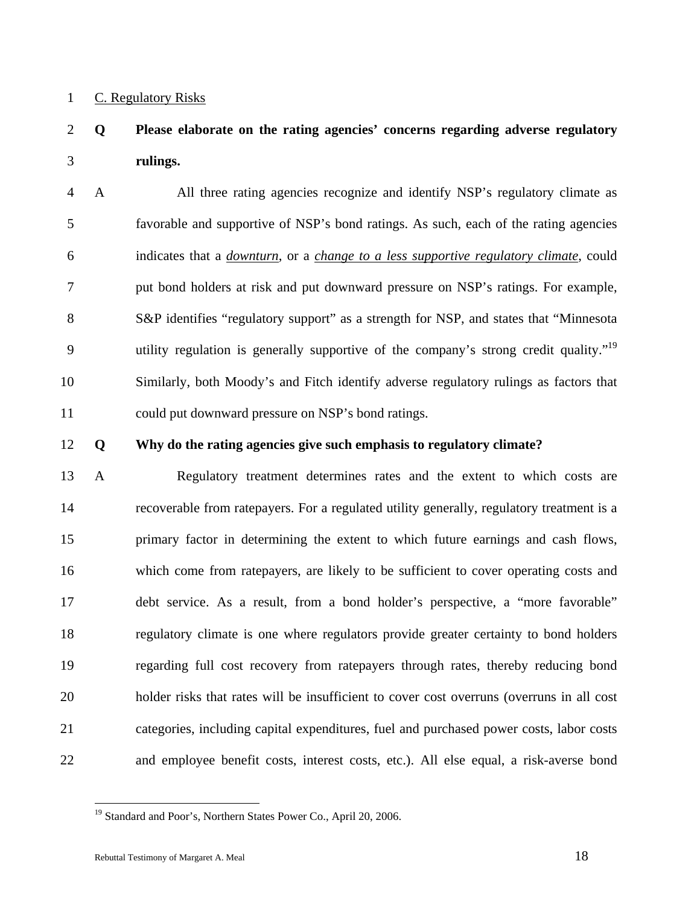### 1 C. Regulatory Risks

# 2 **Q Please elaborate on the rating agencies' concerns regarding adverse regulatory**  3 **rulings.**

4 A All three rating agencies recognize and identify NSP's regulatory climate as 5 favorable and supportive of NSP's bond ratings. As such, each of the rating agencies 6 indicates that a *downturn*, or a *change to a less supportive regulatory climate*, could 7 put bond holders at risk and put downward pressure on NSP's ratings. For example, 8 S&P identifies "regulatory support" as a strength for NSP, and states that "Minnesota 9 utility regulation is generally supportive of the company's strong credit quality."<sup>19</sup> 10 Similarly, both Moody's and Fitch identify adverse regulatory rulings as factors that 11 could put downward pressure on NSP's bond ratings.

### 12 **Q Why do the rating agencies give such emphasis to regulatory climate?**

13 A Regulatory treatment determines rates and the extent to which costs are 14 recoverable from ratepayers. For a regulated utility generally, regulatory treatment is a 15 primary factor in determining the extent to which future earnings and cash flows, 16 which come from ratepayers, are likely to be sufficient to cover operating costs and 17 debt service. As a result, from a bond holder's perspective, a "more favorable" 18 regulatory climate is one where regulators provide greater certainty to bond holders 19 regarding full cost recovery from ratepayers through rates, thereby reducing bond 20 holder risks that rates will be insufficient to cover cost overruns (overruns in all cost 21 categories, including capital expenditures, fuel and purchased power costs, labor costs 22 and employee benefit costs, interest costs, etc.). All else equal, a risk-averse bond

<sup>&</sup>lt;sup>19</sup> Standard and Poor's, Northern States Power Co., April 20, 2006.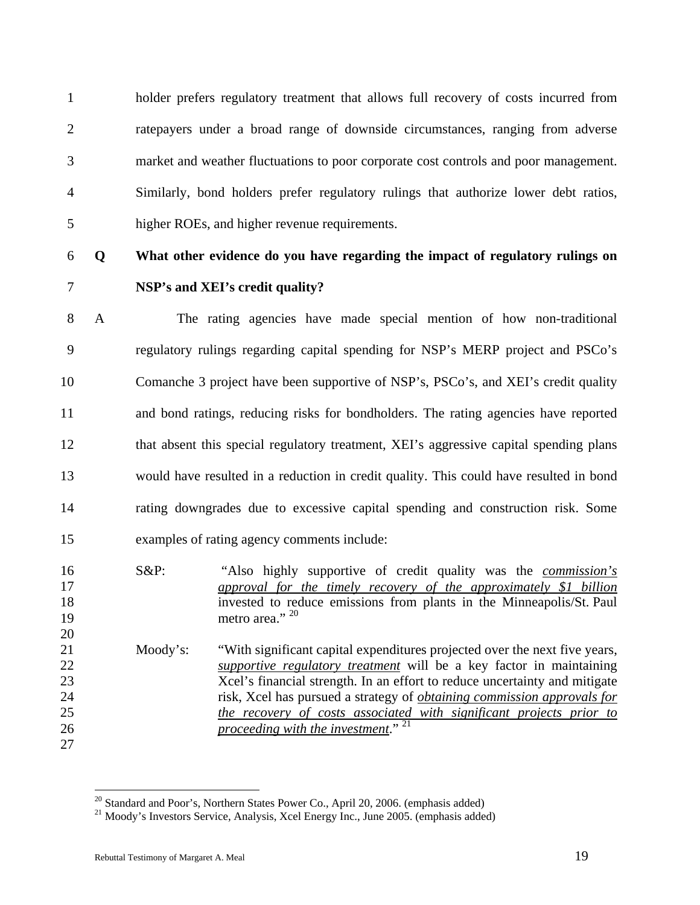1 holder prefers regulatory treatment that allows full recovery of costs incurred from 2 ratepayers under a broad range of downside circumstances, ranging from adverse 3 market and weather fluctuations to poor corporate cost controls and poor management. 4 Similarly, bond holders prefer regulatory rulings that authorize lower debt ratios, 5 higher ROEs, and higher revenue requirements.

# 6 **Q What other evidence do you have regarding the impact of regulatory rulings on**  7 **NSP's and XEI's credit quality?**

8 A The rating agencies have made special mention of how non-traditional 9 regulatory rulings regarding capital spending for NSP's MERP project and PSCo's 10 Comanche 3 project have been supportive of NSP's, PSCo's, and XEI's credit quality 11 and bond ratings, reducing risks for bondholders. The rating agencies have reported 12 that absent this special regulatory treatment, XEI's aggressive capital spending plans 13 would have resulted in a reduction in credit quality. This could have resulted in bond 14 rating downgrades due to excessive capital spending and construction risk. Some 15 examples of rating agency comments include:

- 16 S&P: "Also highly supportive of credit quality was the *commission's*  17 *approval for the timely recovery of the approximately \$1 billion* 18 invested to reduce emissions from plants in the Minneapolis/St. Paul 19 metro area." <sup>20</sup> 20
- 21 Moody's: "With significant capital expenditures projected over the next five years, 22 *supportive regulatory treatment* will be a key factor in maintaining 23 Xcel's financial strength. In an effort to reduce uncertainty and mitigate 24 risk, Xcel has pursued a strategy of *obtaining commission approvals for*  25 *the recovery of costs associated with significant projects prior to proceeding with the investment*." 21 26

<sup>27</sup> 

<sup>&</sup>lt;sup>20</sup> Standard and Poor's, Northern States Power Co., April 20, 2006. (emphasis added)

 $21$  Moody's Investors Service, Analysis, Xcel Energy Inc., June 2005. (emphasis added)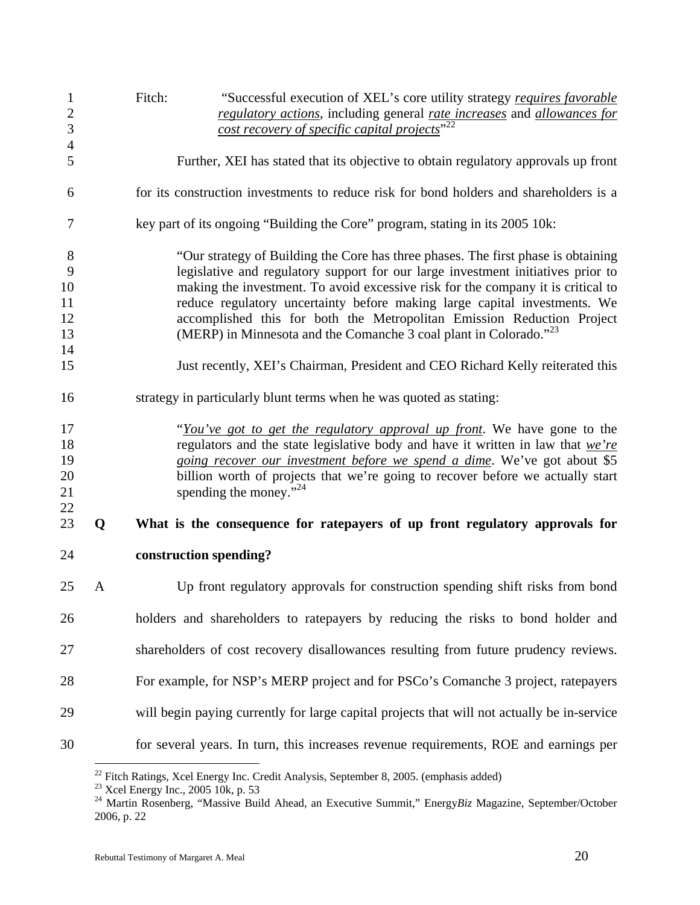| $\mathbf{1}$<br>$\mathbf{2}$ |   | Fitch:<br>"Successful execution of XEL's core utility strategy requires favorable<br>regulatory actions, including general rate increases and allowances for         |
|------------------------------|---|----------------------------------------------------------------------------------------------------------------------------------------------------------------------|
| 3                            |   | cost recovery of specific capital projects" <sup>22</sup>                                                                                                            |
| $\overline{4}$<br>5          |   | Further, XEI has stated that its objective to obtain regulatory approvals up front                                                                                   |
| 6                            |   | for its construction investments to reduce risk for bond holders and shareholders is a                                                                               |
| 7                            |   | key part of its ongoing "Building the Core" program, stating in its 2005 10k:                                                                                        |
| 8                            |   | "Our strategy of Building the Core has three phases. The first phase is obtaining                                                                                    |
| 9<br>10                      |   | legislative and regulatory support for our large investment initiatives prior to<br>making the investment. To avoid excessive risk for the company it is critical to |
| 11                           |   | reduce regulatory uncertainty before making large capital investments. We                                                                                            |
| 12                           |   | accomplished this for both the Metropolitan Emission Reduction Project                                                                                               |
| 13                           |   | (MERP) in Minnesota and the Comanche 3 coal plant in Colorado." <sup>23</sup>                                                                                        |
| 14                           |   |                                                                                                                                                                      |
| 15                           |   | Just recently, XEI's Chairman, President and CEO Richard Kelly reiterated this                                                                                       |
| 16                           |   | strategy in particularly blunt terms when he was quoted as stating:                                                                                                  |
| 17                           |   | "You've got to get the regulatory approval up front. We have gone to the                                                                                             |
| 18                           |   | regulators and the state legislative body and have it written in law that $we're$                                                                                    |
| 19                           |   | going recover our investment before we spend a dime. We've got about \$5                                                                                             |
| 20                           |   | billion worth of projects that we're going to recover before we actually start                                                                                       |
| 21                           |   | spending the money." $^{24}$                                                                                                                                         |
| 22                           |   |                                                                                                                                                                      |
| 23                           | Q | What is the consequence for ratepayers of up front regulatory approvals for                                                                                          |
| 24                           |   | construction spending?                                                                                                                                               |
| 25                           | A | Up front regulatory approvals for construction spending shift risks from bond                                                                                        |
| 26                           |   | holders and shareholders to ratepayers by reducing the risks to bond holder and                                                                                      |
| 27                           |   | shareholders of cost recovery disallowances resulting from future prudency reviews.                                                                                  |
| 28                           |   | For example, for NSP's MERP project and for PSCo's Comanche 3 project, ratepayers                                                                                    |
| 29                           |   | will begin paying currently for large capital projects that will not actually be in-service                                                                          |
| 30                           |   | for several years. In turn, this increases revenue requirements, ROE and earnings per                                                                                |

 $22$  Fitch Ratings, Xcel Energy Inc. Credit Analysis, September 8, 2005. (emphasis added)

 $23$  Xcel Energy Inc., 2005 10k, p. 53

<sup>24</sup> Martin Rosenberg, "Massive Build Ahead, an Executive Summit," Energy*Biz* Magazine, September/October 2006, p. 22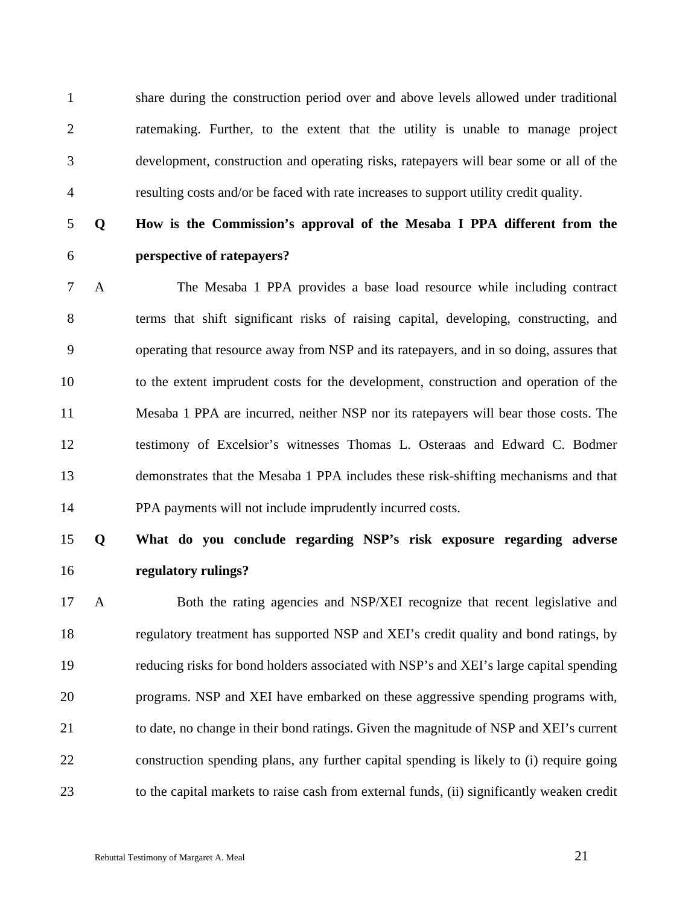1 share during the construction period over and above levels allowed under traditional 2 ratemaking. Further, to the extent that the utility is unable to manage project 3 development, construction and operating risks, ratepayers will bear some or all of the 4 resulting costs and/or be faced with rate increases to support utility credit quality.

# 5 **Q How is the Commission's approval of the Mesaba I PPA different from the**  6 **perspective of ratepayers?**

7 A The Mesaba 1 PPA provides a base load resource while including contract 8 terms that shift significant risks of raising capital, developing, constructing, and 9 operating that resource away from NSP and its ratepayers, and in so doing, assures that 10 to the extent imprudent costs for the development, construction and operation of the 11 Mesaba 1 PPA are incurred, neither NSP nor its ratepayers will bear those costs. The 12 testimony of Excelsior's witnesses Thomas L. Osteraas and Edward C. Bodmer 13 demonstrates that the Mesaba 1 PPA includes these risk-shifting mechanisms and that 14 PPA payments will not include imprudently incurred costs.

# 15 **Q What do you conclude regarding NSP's risk exposure regarding adverse**  16 **regulatory rulings?**

17 A Both the rating agencies and NSP/XEI recognize that recent legislative and 18 regulatory treatment has supported NSP and XEI's credit quality and bond ratings, by 19 reducing risks for bond holders associated with NSP's and XEI's large capital spending 20 programs. NSP and XEI have embarked on these aggressive spending programs with, 21 to date, no change in their bond ratings. Given the magnitude of NSP and XEI's current 22 construction spending plans, any further capital spending is likely to (i) require going 23 to the capital markets to raise cash from external funds, (ii) significantly weaken credit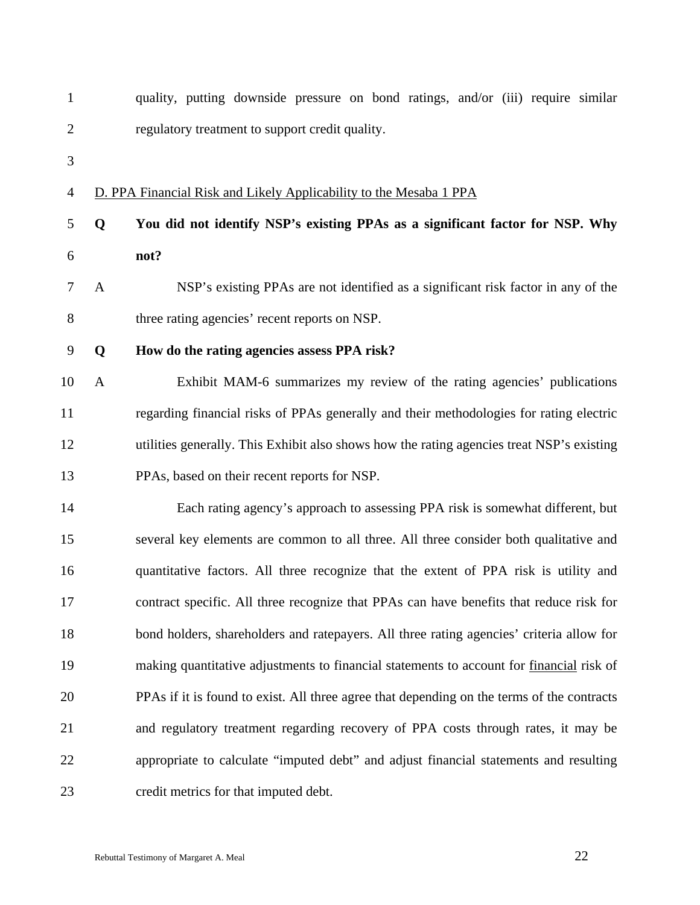| $\mathbf{1}$     |              | quality, putting downside pressure on bond ratings, and/or (iii) require similar           |
|------------------|--------------|--------------------------------------------------------------------------------------------|
| $\overline{2}$   |              | regulatory treatment to support credit quality.                                            |
| 3                |              |                                                                                            |
| $\overline{4}$   |              | D. PPA Financial Risk and Likely Applicability to the Mesaba 1 PPA                         |
| 5                | Q            | You did not identify NSP's existing PPAs as a significant factor for NSP. Why              |
| 6                |              | not?                                                                                       |
| $\tau$           | $\mathbf{A}$ | NSP's existing PPAs are not identified as a significant risk factor in any of the          |
| 8                |              | three rating agencies' recent reports on NSP.                                              |
| $\boldsymbol{9}$ | Q            | How do the rating agencies assess PPA risk?                                                |
| 10               | $\mathbf{A}$ | Exhibit MAM-6 summarizes my review of the rating agencies' publications                    |
| 11               |              | regarding financial risks of PPAs generally and their methodologies for rating electric    |
| 12               |              | utilities generally. This Exhibit also shows how the rating agencies treat NSP's existing  |
| 13               |              | PPAs, based on their recent reports for NSP.                                               |
| 14               |              | Each rating agency's approach to assessing PPA risk is somewhat different, but             |
| 15               |              | several key elements are common to all three. All three consider both qualitative and      |
| 16               |              | quantitative factors. All three recognize that the extent of PPA risk is utility and       |
| 17               |              | contract specific. All three recognize that PPAs can have benefits that reduce risk for    |
| 18               |              | bond holders, shareholders and ratepayers. All three rating agencies' criteria allow for   |
| 19               |              | making quantitative adjustments to financial statements to account for financial risk of   |
| 20               |              | PPAs if it is found to exist. All three agree that depending on the terms of the contracts |
| 21               |              | and regulatory treatment regarding recovery of PPA costs through rates, it may be          |
| 22               |              | appropriate to calculate "imputed debt" and adjust financial statements and resulting      |
| 23               |              | credit metrics for that imputed debt.                                                      |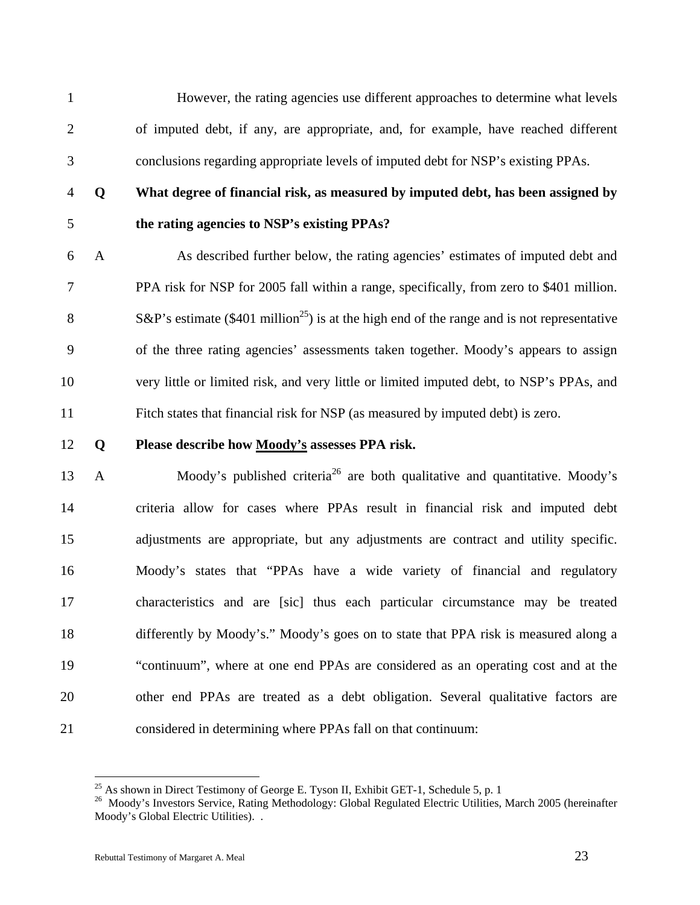1 However, the rating agencies use different approaches to determine what levels 2 of imputed debt, if any, are appropriate, and, for example, have reached different 3 conclusions regarding appropriate levels of imputed debt for NSP's existing PPAs.

# 4 **Q What degree of financial risk, as measured by imputed debt, has been assigned by**  5 **the rating agencies to NSP's existing PPAs?**

6 A As described further below, the rating agencies' estimates of imputed debt and 7 PPA risk for NSP for 2005 fall within a range, specifically, from zero to \$401 million. S&P's estimate (\$401 million<sup>25</sup>) is at the high end of the range and is not representative 9 of the three rating agencies' assessments taken together. Moody's appears to assign 10 very little or limited risk, and very little or limited imputed debt, to NSP's PPAs, and 11 Fitch states that financial risk for NSP (as measured by imputed debt) is zero.

### 12 **Q Please describe how Moody's assesses PPA risk.**

13 A Moody's published criteria<sup>26</sup> are both qualitative and quantitative. Moody's 14 criteria allow for cases where PPAs result in financial risk and imputed debt 15 adjustments are appropriate, but any adjustments are contract and utility specific. 16 Moody's states that "PPAs have a wide variety of financial and regulatory 17 characteristics and are [sic] thus each particular circumstance may be treated 18 differently by Moody's." Moody's goes on to state that PPA risk is measured along a 19 "continuum", where at one end PPAs are considered as an operating cost and at the 20 other end PPAs are treated as a debt obligation. Several qualitative factors are 21 considered in determining where PPAs fall on that continuum:

<sup>&</sup>lt;sup>25</sup> As shown in Direct Testimony of George E. Tyson II, Exhibit GET-1, Schedule 5, p. 1

<sup>&</sup>lt;sup>26</sup> Moody's Investors Service, Rating Methodology: Global Regulated Electric Utilities, March 2005 (hereinafter Moody's Global Electric Utilities). .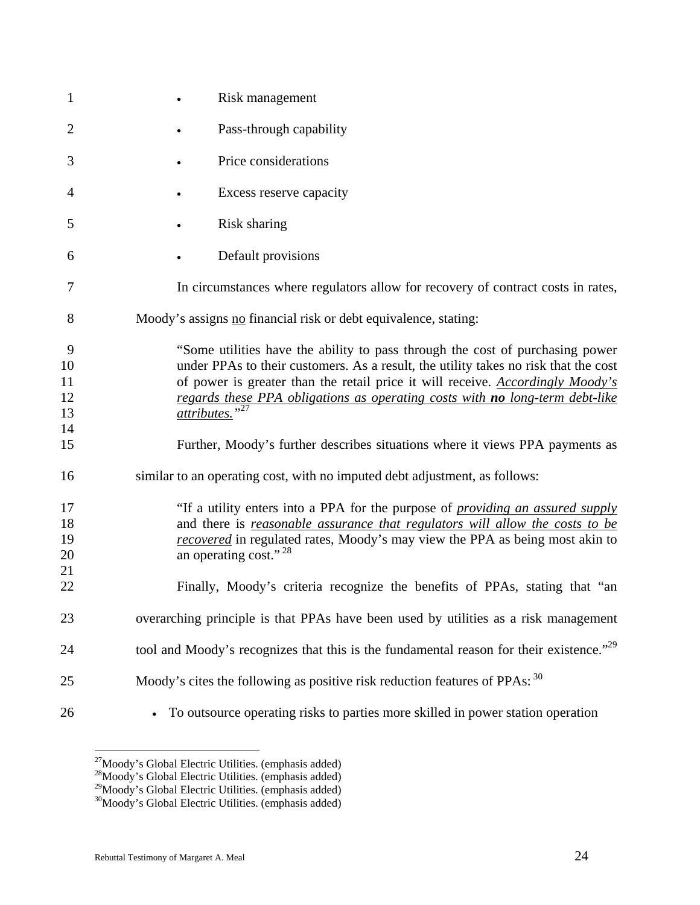| $\mathbf{1}$                                      | Risk management                                                                                                                                                                                                                                                                                                                                                                                                                                                                                                                                                                                                                           |
|---------------------------------------------------|-------------------------------------------------------------------------------------------------------------------------------------------------------------------------------------------------------------------------------------------------------------------------------------------------------------------------------------------------------------------------------------------------------------------------------------------------------------------------------------------------------------------------------------------------------------------------------------------------------------------------------------------|
| $\overline{2}$                                    | Pass-through capability                                                                                                                                                                                                                                                                                                                                                                                                                                                                                                                                                                                                                   |
| 3                                                 | Price considerations                                                                                                                                                                                                                                                                                                                                                                                                                                                                                                                                                                                                                      |
| 4                                                 | Excess reserve capacity                                                                                                                                                                                                                                                                                                                                                                                                                                                                                                                                                                                                                   |
| 5                                                 | Risk sharing                                                                                                                                                                                                                                                                                                                                                                                                                                                                                                                                                                                                                              |
| 6                                                 | Default provisions                                                                                                                                                                                                                                                                                                                                                                                                                                                                                                                                                                                                                        |
| 7                                                 | In circumstances where regulators allow for recovery of contract costs in rates,                                                                                                                                                                                                                                                                                                                                                                                                                                                                                                                                                          |
| 8                                                 | Moody's assigns no financial risk or debt equivalence, stating:                                                                                                                                                                                                                                                                                                                                                                                                                                                                                                                                                                           |
| 9<br>10<br>11<br>12<br>13<br>14<br>15<br>16<br>17 | "Some utilities have the ability to pass through the cost of purchasing power<br>under PPAs to their customers. As a result, the utility takes no risk that the cost<br>of power is greater than the retail price it will receive. Accordingly Moody's<br>regards these PPA obligations as operating costs with no long-term debt-like<br>$\overline{attributes.}$ " <sup>27</sup><br>Further, Moody's further describes situations where it views PPA payments as<br>similar to an operating cost, with no imputed debt adjustment, as follows:<br>"If a utility enters into a PPA for the purpose of <i>providing an assured supply</i> |
| 18<br>19<br>20<br>21<br>22                        | and there is <i>reasonable assurance that regulators will allow the costs to be</i><br>recovered in regulated rates, Moody's may view the PPA as being most akin to<br>an operating cost." <sup>28</sup><br>Finally, Moody's criteria recognize the benefits of PPAs, stating that "an                                                                                                                                                                                                                                                                                                                                                    |
| 23                                                | overarching principle is that PPAs have been used by utilities as a risk management                                                                                                                                                                                                                                                                                                                                                                                                                                                                                                                                                       |
| 24                                                | tool and Moody's recognizes that this is the fundamental reason for their existence." <sup>29</sup>                                                                                                                                                                                                                                                                                                                                                                                                                                                                                                                                       |
| 25                                                | Moody's cites the following as positive risk reduction features of PPAs: 30                                                                                                                                                                                                                                                                                                                                                                                                                                                                                                                                                               |
| 26                                                | To outsource operating risks to parties more skilled in power station operation                                                                                                                                                                                                                                                                                                                                                                                                                                                                                                                                                           |

<sup>&</sup>lt;sup>27</sup>Moody's Global Electric Utilities. (emphasis added)

<sup>&</sup>lt;sup>28</sup>Moody's Global Electric Utilities. (emphasis added)

<sup>&</sup>lt;sup>29</sup>Moody's Global Electric Utilities. (emphasis added)

<sup>&</sup>lt;sup>30</sup>Moody's Global Electric Utilities. (emphasis added)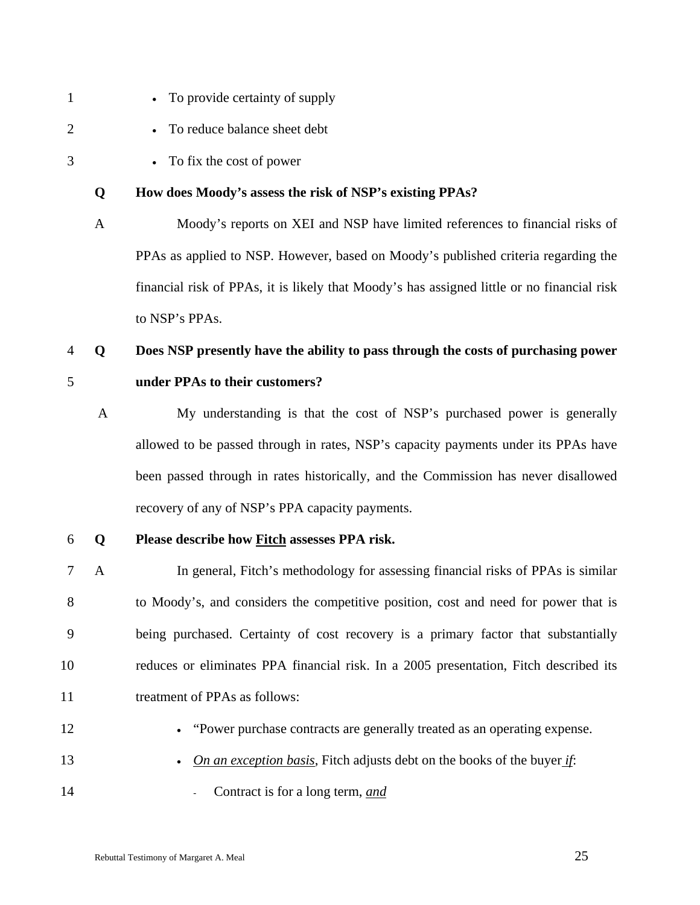- 1 To provide certainty of supply
- 2 To reduce balance sheet debt
- 3 To fix the cost of power

### **Q How does Moody's assess the risk of NSP's existing PPAs?**

A Moody's reports on XEI and NSP have limited references to financial risks of PPAs as applied to NSP. However, based on Moody's published criteria regarding the financial risk of PPAs, it is likely that Moody's has assigned little or no financial risk to NSP's PPAs.

# 4 **Q Does NSP presently have the ability to pass through the costs of purchasing power**  5 **under PPAs to their customers?**

A My understanding is that the cost of NSP's purchased power is generally allowed to be passed through in rates, NSP's capacity payments under its PPAs have been passed through in rates historically, and the Commission has never disallowed recovery of any of NSP's PPA capacity payments.

### 6 **Q Please describe how Fitch assesses PPA risk.**

- 7 A In general, Fitch's methodology for assessing financial risks of PPAs is similar 8 to Moody's, and considers the competitive position, cost and need for power that is 9 being purchased. Certainty of cost recovery is a primary factor that substantially 10 reduces or eliminates PPA financial risk. In a 2005 presentation, Fitch described its 11 treatment of PPAs as follows:
- 
- 12 "Power purchase contracts are generally treated as an operating expense.
- 13 *On an exception basis*, Fitch adjusts debt on the books of the buyer *if*:
- 14  **Contract is for a long term,** *and*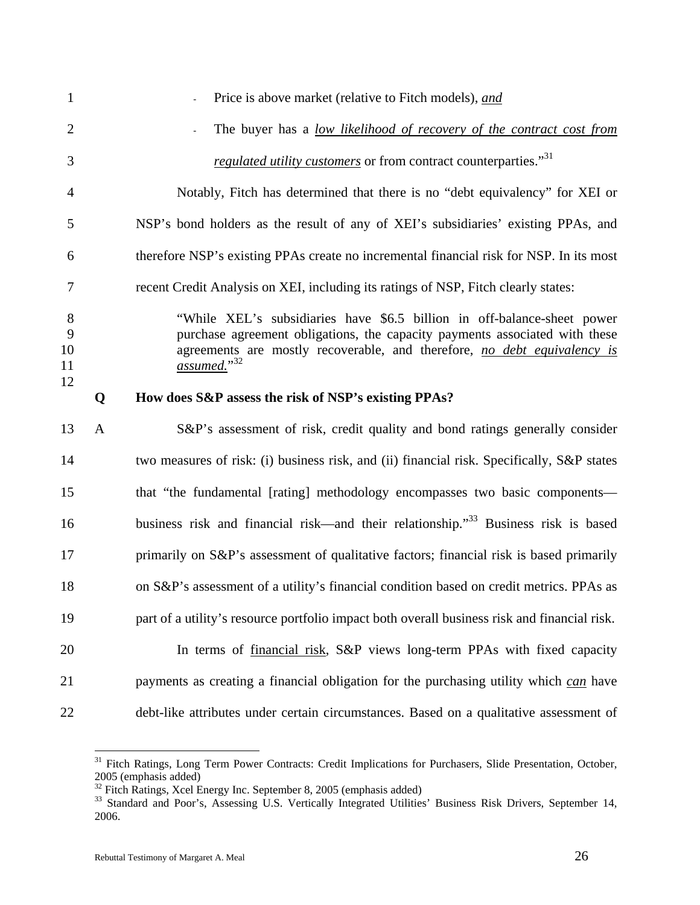| $\mathbf{1}$       |              | Price is above market (relative to Fitch models), and                                                                                                                                                                                             |
|--------------------|--------------|---------------------------------------------------------------------------------------------------------------------------------------------------------------------------------------------------------------------------------------------------|
| $\overline{2}$     |              | The buyer has a low likelihood of recovery of the contract cost from                                                                                                                                                                              |
| 3                  |              | <i>regulated utility customers</i> or from contract counterparties." <sup>31</sup>                                                                                                                                                                |
| 4                  |              | Notably, Fitch has determined that there is no "debt equivalency" for XEI or                                                                                                                                                                      |
| 5                  |              | NSP's bond holders as the result of any of XEI's subsidiaries' existing PPAs, and                                                                                                                                                                 |
| 6                  |              | therefore NSP's existing PPAs create no incremental financial risk for NSP. In its most                                                                                                                                                           |
| 7                  |              | recent Credit Analysis on XEI, including its ratings of NSP, Fitch clearly states:                                                                                                                                                                |
| 8<br>9<br>10<br>11 |              | "While XEL's subsidiaries have \$6.5 billion in off-balance-sheet power<br>purchase agreement obligations, the capacity payments associated with these<br>agreements are mostly recoverable, and therefore, no debt equivalency is<br>assumed."32 |
| 12                 | Q            | How does S&P assess the risk of NSP's existing PPAs?                                                                                                                                                                                              |
|                    |              |                                                                                                                                                                                                                                                   |
| 13                 | $\mathbf{A}$ | S&P's assessment of risk, credit quality and bond ratings generally consider                                                                                                                                                                      |
| 14                 |              | two measures of risk: (i) business risk, and (ii) financial risk. Specifically, S&P states                                                                                                                                                        |
| 15                 |              | that "the fundamental [rating] methodology encompasses two basic components-                                                                                                                                                                      |
| 16                 |              | business risk and financial risk—and their relationship." <sup>33</sup> Business risk is based                                                                                                                                                    |
| 17                 |              | primarily on S&P's assessment of qualitative factors; financial risk is based primarily                                                                                                                                                           |
| 18                 |              | on S&P's assessment of a utility's financial condition based on credit metrics. PPAs as                                                                                                                                                           |
| 19                 |              | part of a utility's resource portfolio impact both overall business risk and financial risk.                                                                                                                                                      |
| 20                 |              | In terms of <u>financial risk</u> , S&P views long-term PPAs with fixed capacity                                                                                                                                                                  |
| 21                 |              | payments as creating a financial obligation for the purchasing utility which can have                                                                                                                                                             |

<sup>&</sup>lt;sup>31</sup> Fitch Ratings, Long Term Power Contracts: Credit Implications for Purchasers, Slide Presentation, October, 2005 (emphasis added)

 $32$  Fitch Ratings, Xcel Energy Inc. September 8, 2005 (emphasis added)

<sup>&</sup>lt;sup>33</sup> Standard and Poor's, Assessing U.S. Vertically Integrated Utilities' Business Risk Drivers, September 14, 2006.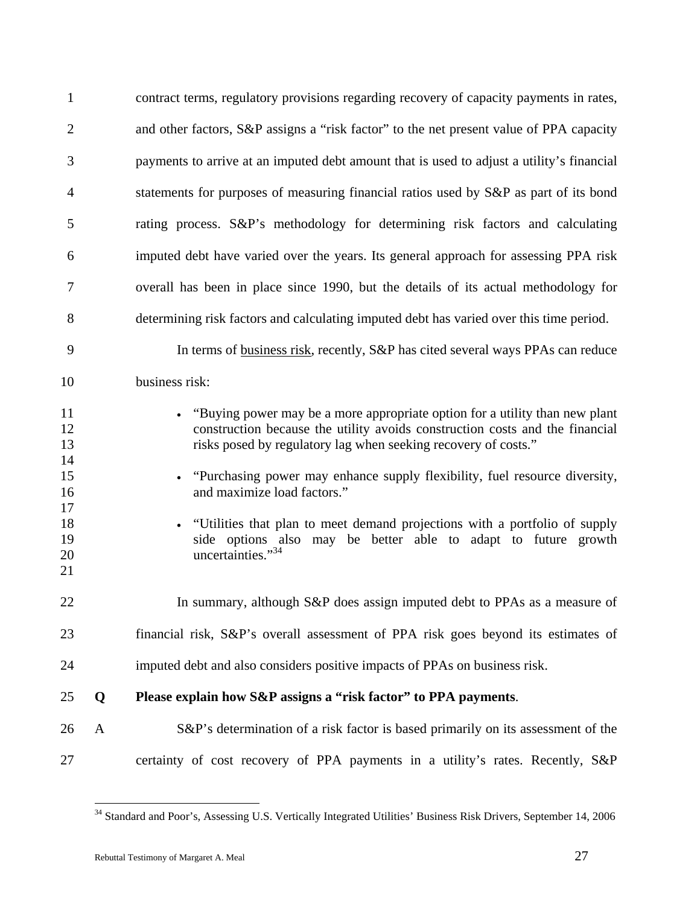| $\mathbf{1}$                                       |              | contract terms, regulatory provisions regarding recovery of capacity payments in rates,                                                                                                                                                                                                                                                                                                                                                                                                      |
|----------------------------------------------------|--------------|----------------------------------------------------------------------------------------------------------------------------------------------------------------------------------------------------------------------------------------------------------------------------------------------------------------------------------------------------------------------------------------------------------------------------------------------------------------------------------------------|
| $\overline{2}$                                     |              | and other factors, S&P assigns a "risk factor" to the net present value of PPA capacity                                                                                                                                                                                                                                                                                                                                                                                                      |
| 3                                                  |              | payments to arrive at an imputed debt amount that is used to adjust a utility's financial                                                                                                                                                                                                                                                                                                                                                                                                    |
| $\overline{4}$                                     |              | statements for purposes of measuring financial ratios used by S&P as part of its bond                                                                                                                                                                                                                                                                                                                                                                                                        |
| 5                                                  |              | rating process. S&P's methodology for determining risk factors and calculating                                                                                                                                                                                                                                                                                                                                                                                                               |
| 6                                                  |              | imputed debt have varied over the years. Its general approach for assessing PPA risk                                                                                                                                                                                                                                                                                                                                                                                                         |
| 7                                                  |              | overall has been in place since 1990, but the details of its actual methodology for                                                                                                                                                                                                                                                                                                                                                                                                          |
| 8                                                  |              | determining risk factors and calculating imputed debt has varied over this time period.                                                                                                                                                                                                                                                                                                                                                                                                      |
| 9                                                  |              | In terms of business risk, recently, S&P has cited several ways PPAs can reduce                                                                                                                                                                                                                                                                                                                                                                                                              |
| 10                                                 |              | business risk:                                                                                                                                                                                                                                                                                                                                                                                                                                                                               |
| 11<br>12<br>13<br>14<br>15<br>16<br>17<br>18<br>19 |              | • "Buying power may be a more appropriate option for a utility than new plant<br>construction because the utility avoids construction costs and the financial<br>risks posed by regulatory lag when seeking recovery of costs."<br>"Purchasing power may enhance supply flexibility, fuel resource diversity,<br>and maximize load factors."<br>"Utilities that plan to meet demand projections with a portfolio of supply<br>side options also may be better able to adapt to future growth |
| 20<br>21                                           |              | uncertainties."34                                                                                                                                                                                                                                                                                                                                                                                                                                                                            |
| 22                                                 |              | In summary, although S&P does assign imputed debt to PPAs as a measure of                                                                                                                                                                                                                                                                                                                                                                                                                    |
| 23                                                 |              | financial risk, S&P's overall assessment of PPA risk goes beyond its estimates of                                                                                                                                                                                                                                                                                                                                                                                                            |
| 24                                                 |              | imputed debt and also considers positive impacts of PPAs on business risk.                                                                                                                                                                                                                                                                                                                                                                                                                   |
| 25                                                 | Q            | Please explain how S&P assigns a "risk factor" to PPA payments.                                                                                                                                                                                                                                                                                                                                                                                                                              |
| 26                                                 | $\mathbf{A}$ | S&P's determination of a risk factor is based primarily on its assessment of the                                                                                                                                                                                                                                                                                                                                                                                                             |
| 27                                                 |              | certainty of cost recovery of PPA payments in a utility's rates. Recently, S&P                                                                                                                                                                                                                                                                                                                                                                                                               |

<sup>&</sup>lt;sup>34</sup> Standard and Poor's, Assessing U.S. Vertically Integrated Utilities' Business Risk Drivers, September 14, 2006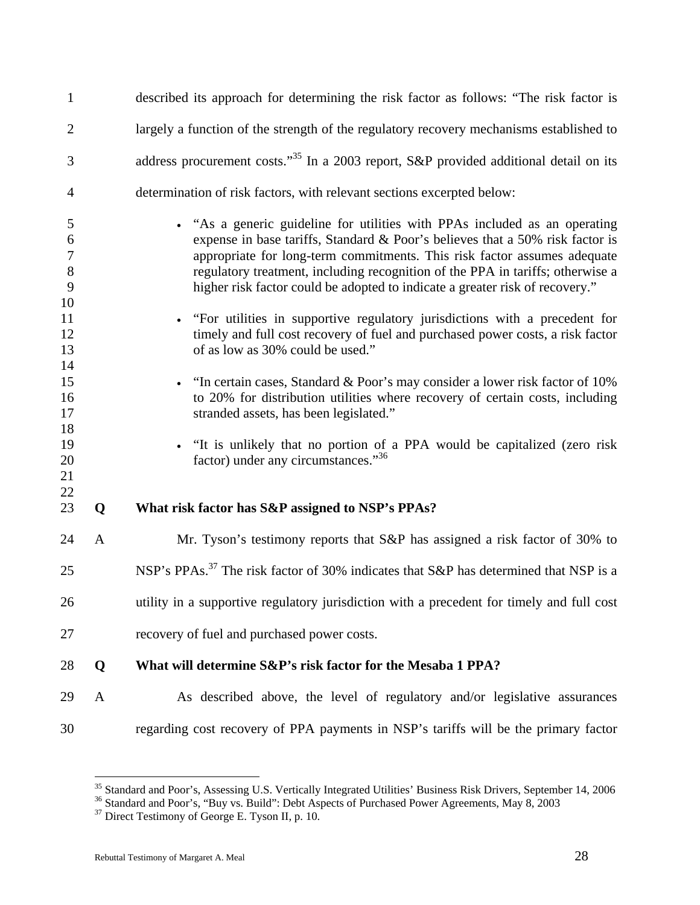| $\mathbf{1}$                                           |              | described its approach for determining the risk factor as follows: "The risk factor is                                                                                                                                                                                                                                                                                                                                                                                                    |
|--------------------------------------------------------|--------------|-------------------------------------------------------------------------------------------------------------------------------------------------------------------------------------------------------------------------------------------------------------------------------------------------------------------------------------------------------------------------------------------------------------------------------------------------------------------------------------------|
| $\overline{2}$                                         |              | largely a function of the strength of the regulatory recovery mechanisms established to                                                                                                                                                                                                                                                                                                                                                                                                   |
| 3                                                      |              | address procurement costs." <sup>35</sup> In a 2003 report, S&P provided additional detail on its                                                                                                                                                                                                                                                                                                                                                                                         |
| 4                                                      |              | determination of risk factors, with relevant sections excerpted below:                                                                                                                                                                                                                                                                                                                                                                                                                    |
| 5<br>6<br>$\boldsymbol{7}$<br>$\bf 8$<br>9<br>10<br>11 |              | • "As a generic guideline for utilities with PPAs included as an operating<br>expense in base tariffs, Standard & Poor's believes that a 50% risk factor is<br>appropriate for long-term commitments. This risk factor assumes adequate<br>regulatory treatment, including recognition of the PPA in tariffs; otherwise a<br>higher risk factor could be adopted to indicate a greater risk of recovery."<br>• "For utilities in supportive regulatory jurisdictions with a precedent for |
| 12<br>13                                               |              | timely and full cost recovery of fuel and purchased power costs, a risk factor<br>of as low as 30% could be used."                                                                                                                                                                                                                                                                                                                                                                        |
| 14<br>15<br>16<br>17<br>18                             |              | • "In certain cases, Standard & Poor's may consider a lower risk factor of $10\%$<br>to 20% for distribution utilities where recovery of certain costs, including<br>stranded assets, has been legislated."                                                                                                                                                                                                                                                                               |
| 19<br>20<br>21                                         |              | • "It is unlikely that no portion of a PPA would be capitalized (zero risk<br>factor) under any circumstances."36                                                                                                                                                                                                                                                                                                                                                                         |
| 22<br>23                                               | Q            | What risk factor has S&P assigned to NSP's PPAs?                                                                                                                                                                                                                                                                                                                                                                                                                                          |
| 24                                                     | $\mathbf{A}$ | Mr. Tyson's testimony reports that S&P has assigned a risk factor of 30% to                                                                                                                                                                                                                                                                                                                                                                                                               |
| 25                                                     |              | NSP's PPAs. <sup>37</sup> The risk factor of 30% indicates that S&P has determined that NSP is a                                                                                                                                                                                                                                                                                                                                                                                          |
| 26                                                     |              | utility in a supportive regulatory jurisdiction with a precedent for timely and full cost                                                                                                                                                                                                                                                                                                                                                                                                 |
| 27                                                     |              | recovery of fuel and purchased power costs.                                                                                                                                                                                                                                                                                                                                                                                                                                               |
| 28                                                     | Q            | What will determine S&P's risk factor for the Mesaba 1 PPA?                                                                                                                                                                                                                                                                                                                                                                                                                               |
| 29                                                     | $\mathbf{A}$ | As described above, the level of regulatory and/or legislative assurances                                                                                                                                                                                                                                                                                                                                                                                                                 |
| 30                                                     |              | regarding cost recovery of PPA payments in NSP's tariffs will be the primary factor                                                                                                                                                                                                                                                                                                                                                                                                       |

<sup>&</sup>lt;sup>35</sup> Standard and Poor's, Assessing U.S. Vertically Integrated Utilities' Business Risk Drivers, September 14, 2006  $^{36}$  Standard and Poor's, "Buy vs. Build": Debt Aspects of Purchased Power Agreements, May 8, 2003

 $37$  Direct Testimony of George E. Tyson II, p. 10.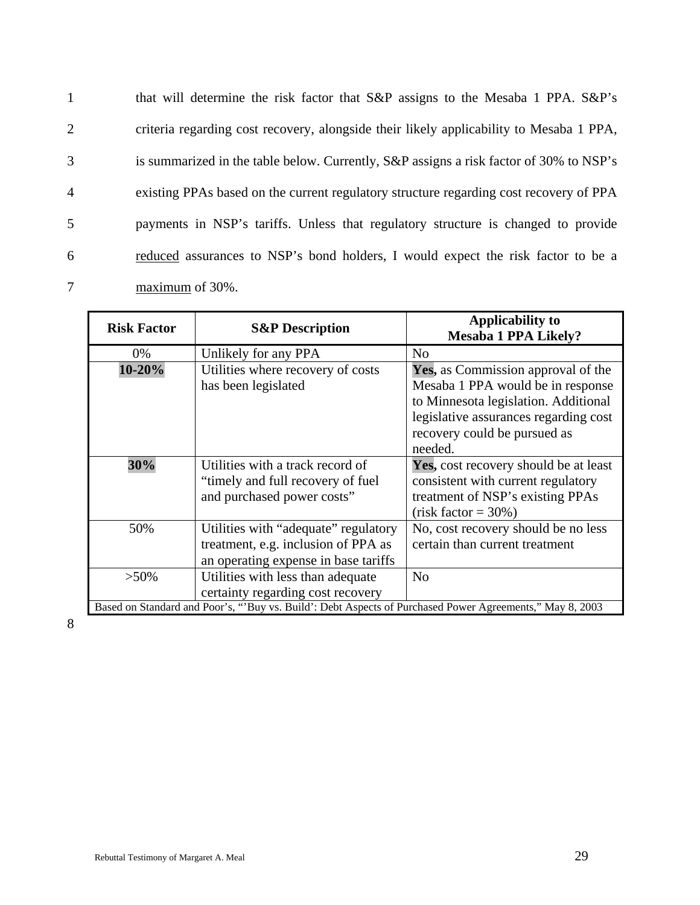1 that will determine the risk factor that S&P assigns to the Mesaba 1 PPA. S&P's 2 criteria regarding cost recovery, alongside their likely applicability to Mesaba 1 PPA, 3 is summarized in the table below. Currently, S&P assigns a risk factor of 30% to NSP's 4 existing PPAs based on the current regulatory structure regarding cost recovery of PPA 5 payments in NSP's tariffs. Unless that regulatory structure is changed to provide 6 reduced assurances to NSP's bond holders, I would expect the risk factor to be a 7 maximum of 30%.

| <b>Risk Factor</b>                                                                                      | <b>S&amp;P</b> Description           | Applicability to                      |  |
|---------------------------------------------------------------------------------------------------------|--------------------------------------|---------------------------------------|--|
|                                                                                                         |                                      | <b>Mesaba 1 PPA Likely?</b>           |  |
| 0%                                                                                                      | Unlikely for any PPA                 | No                                    |  |
| 10-20%                                                                                                  | Utilities where recovery of costs    | Yes, as Commission approval of the    |  |
|                                                                                                         | has been legislated                  | Mesaba 1 PPA would be in response     |  |
|                                                                                                         |                                      | to Minnesota legislation. Additional  |  |
|                                                                                                         |                                      | legislative assurances regarding cost |  |
|                                                                                                         |                                      | recovery could be pursued as          |  |
|                                                                                                         |                                      | needed.                               |  |
| 30%                                                                                                     | Utilities with a track record of     | Yes, cost recovery should be at least |  |
|                                                                                                         | "timely and full recovery of fuel"   | consistent with current regulatory    |  |
|                                                                                                         | and purchased power costs"           | treatment of NSP's existing PPAs      |  |
|                                                                                                         |                                      | $(risk factor = 30\%)$                |  |
| 50%                                                                                                     | Utilities with "adequate" regulatory | No, cost recovery should be no less   |  |
|                                                                                                         | treatment, e.g. inclusion of PPA as  | certain than current treatment        |  |
|                                                                                                         | an operating expense in base tariffs |                                       |  |
| $>50\%$                                                                                                 | Utilities with less than adequate    | N <sub>o</sub>                        |  |
|                                                                                                         | certainty regarding cost recovery    |                                       |  |
| Based on Standard and Poor's, "Buy vs. Build': Debt Aspects of Purchased Power Agreements," May 8, 2003 |                                      |                                       |  |

8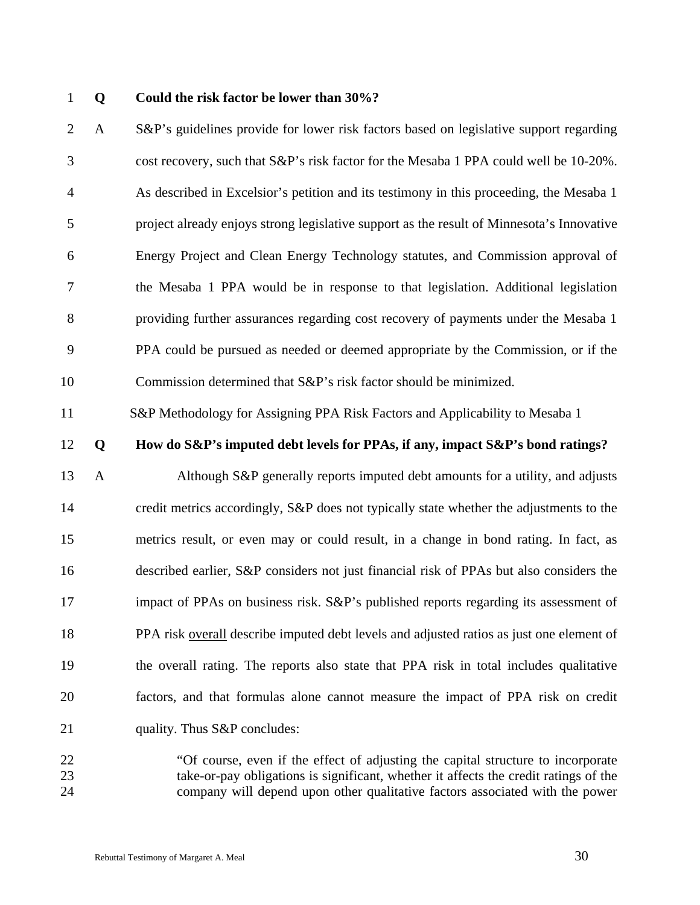### 1 **Q Could the risk factor be lower than 30%?**

2 A S&P's guidelines provide for lower risk factors based on legislative support regarding 3 cost recovery, such that S&P's risk factor for the Mesaba 1 PPA could well be 10-20%. 4 As described in Excelsior's petition and its testimony in this proceeding, the Mesaba 1 5 project already enjoys strong legislative support as the result of Minnesota's Innovative 6 Energy Project and Clean Energy Technology statutes, and Commission approval of 7 the Mesaba 1 PPA would be in response to that legislation. Additional legislation 8 providing further assurances regarding cost recovery of payments under the Mesaba 1 9 PPA could be pursued as needed or deemed appropriate by the Commission, or if the 10 Commission determined that S&P's risk factor should be minimized.

11 S&P Methodology for Assigning PPA Risk Factors and Applicability to Mesaba 1

### 12 **Q How do S&P's imputed debt levels for PPAs, if any, impact S&P's bond ratings?**

13 A Although S&P generally reports imputed debt amounts for a utility, and adjusts 14 credit metrics accordingly, S&P does not typically state whether the adjustments to the 15 metrics result, or even may or could result, in a change in bond rating. In fact, as 16 described earlier, S&P considers not just financial risk of PPAs but also considers the 17 impact of PPAs on business risk. S&P's published reports regarding its assessment of 18 PPA risk overall describe imputed debt levels and adjusted ratios as just one element of 19 the overall rating. The reports also state that PPA risk in total includes qualitative 20 factors, and that formulas alone cannot measure the impact of PPA risk on credit 21 quality. Thus S&P concludes:

22 "Of course, even if the effect of adjusting the capital structure to incorporate 23 take-or-pay obligations is significant, whether it affects the credit ratings of the 24 company will depend upon other qualitative factors associated with the power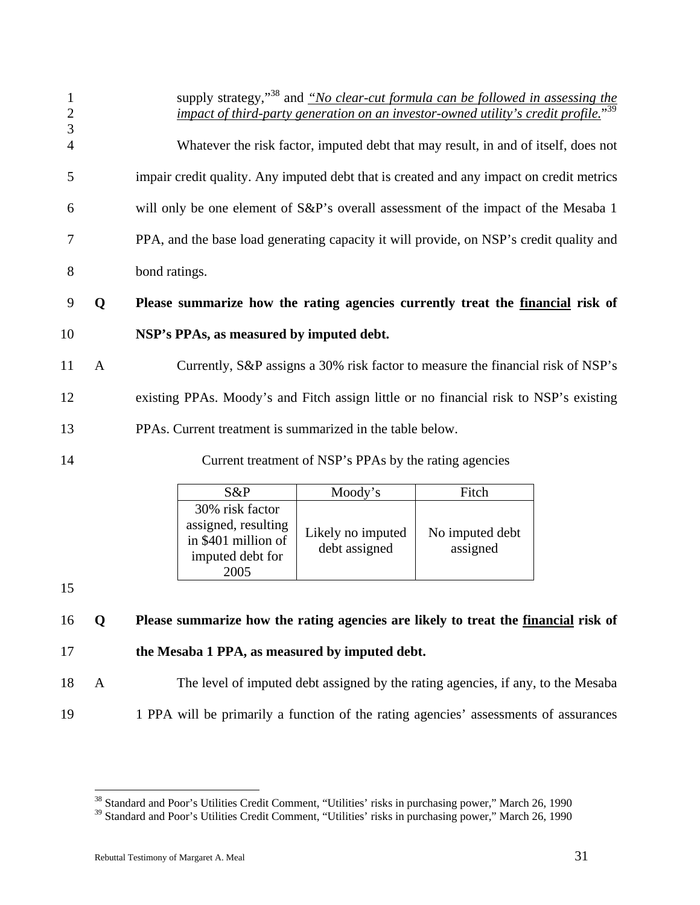| 1<br>$\overline{2}$ |   | supply strategy," <sup>38</sup> and "No clear-cut formula can be followed in assessing the<br>impact of third-party generation on an investor-owned utility's credit profile." |
|---------------------|---|--------------------------------------------------------------------------------------------------------------------------------------------------------------------------------|
| 3<br>$\overline{4}$ |   | Whatever the risk factor, imputed debt that may result, in and of itself, does not                                                                                             |
| 5                   |   | impair credit quality. Any imputed debt that is created and any impact on credit metrics                                                                                       |
| 6                   |   | will only be one element of S&P's overall assessment of the impact of the Mesaba 1                                                                                             |
| 7                   |   | PPA, and the base load generating capacity it will provide, on NSP's credit quality and                                                                                        |
| 8                   |   | bond ratings.                                                                                                                                                                  |
| 9                   | Q | Please summarize how the rating agencies currently treat the <u>financial</u> risk of                                                                                          |
| 10                  |   | NSP's PPAs, as measured by imputed debt.                                                                                                                                       |
| 11                  | A | Currently, S&P assigns a 30% risk factor to measure the financial risk of NSP's                                                                                                |
| 12                  |   | existing PPAs. Moody's and Fitch assign little or no financial risk to NSP's existing                                                                                          |

- 13 PPAs. Current treatment is summarized in the table below.
- 

14 Current treatment of NSP's PPAs by the rating agencies

| S&P                                                                                       | Moody's                            | Fitch                       |
|-------------------------------------------------------------------------------------------|------------------------------------|-----------------------------|
| 30% risk factor<br>assigned, resulting<br>in \$401 million of<br>imputed debt for<br>2005 | Likely no imputed<br>debt assigned | No imputed debt<br>assigned |

15

 $\overline{a}$ 

# 16 **Q Please summarize how the rating agencies are likely to treat the financial risk of**  17 **the Mesaba 1 PPA, as measured by imputed debt.**

18 A The level of imputed debt assigned by the rating agencies, if any, to the Mesaba 19 1 PPA will be primarily a function of the rating agencies' assessments of assurances

<sup>&</sup>lt;sup>38</sup> Standard and Poor's Utilities Credit Comment, "Utilities' risks in purchasing power," March 26, 1990

<sup>&</sup>lt;sup>39</sup> Standard and Poor's Utilities Credit Comment, "Utilities' risks in purchasing power," March 26, 1990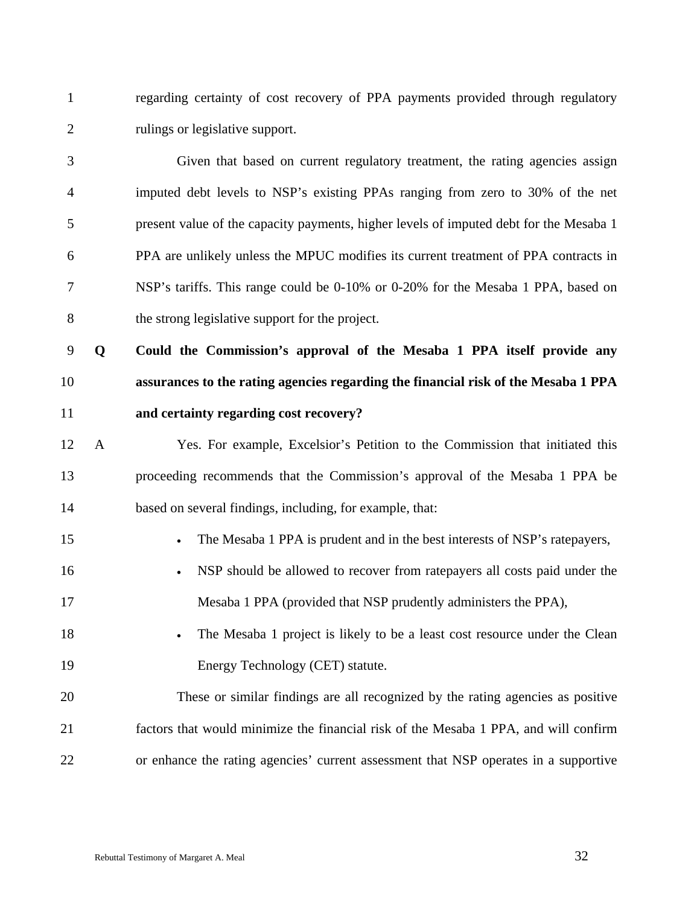1 regarding certainty of cost recovery of PPA payments provided through regulatory 2 rulings or legislative support.

3 Given that based on current regulatory treatment, the rating agencies assign 4 imputed debt levels to NSP's existing PPAs ranging from zero to 30% of the net 5 present value of the capacity payments, higher levels of imputed debt for the Mesaba 1 6 PPA are unlikely unless the MPUC modifies its current treatment of PPA contracts in 7 NSP's tariffs. This range could be 0-10% or 0-20% for the Mesaba 1 PPA, based on 8 the strong legislative support for the project.

9 **Q Could the Commission's approval of the Mesaba 1 PPA itself provide any**  10 **assurances to the rating agencies regarding the financial risk of the Mesaba 1 PPA**  11 **and certainty regarding cost recovery?** 

12 A Yes. For example, Excelsior's Petition to the Commission that initiated this 13 proceeding recommends that the Commission's approval of the Mesaba 1 PPA be 14 based on several findings, including, for example, that:

- 15 The Mesaba 1 PPA is prudent and in the best interests of NSP's ratepayers,
- 16 NSP should be allowed to recover from ratepayers all costs paid under the 17 Mesaba 1 PPA (provided that NSP prudently administers the PPA),
- 18 The Mesaba 1 project is likely to be a least cost resource under the Clean 19 Energy Technology (CET) statute.

20 These or similar findings are all recognized by the rating agencies as positive 21 factors that would minimize the financial risk of the Mesaba 1 PPA, and will confirm 22 or enhance the rating agencies' current assessment that NSP operates in a supportive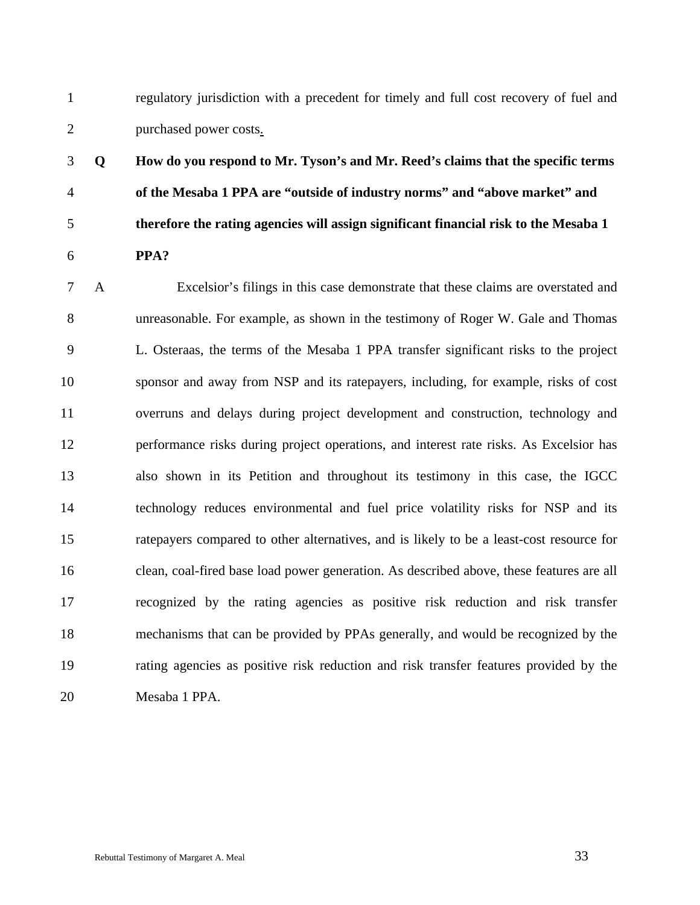1 regulatory jurisdiction with a precedent for timely and full cost recovery of fuel and 2 purchased power costs.

# 3 **Q How do you respond to Mr. Tyson's and Mr. Reed's claims that the specific terms**  4 **of the Mesaba 1 PPA are "outside of industry norms" and "above market" and**  5 **therefore the rating agencies will assign significant financial risk to the Mesaba 1**  6 **PPA?**

7 A Excelsior's filings in this case demonstrate that these claims are overstated and 8 unreasonable. For example, as shown in the testimony of Roger W. Gale and Thomas 9 L. Osteraas, the terms of the Mesaba 1 PPA transfer significant risks to the project 10 sponsor and away from NSP and its ratepayers, including, for example, risks of cost 11 overruns and delays during project development and construction, technology and 12 performance risks during project operations, and interest rate risks. As Excelsior has 13 also shown in its Petition and throughout its testimony in this case, the IGCC 14 technology reduces environmental and fuel price volatility risks for NSP and its 15 ratepayers compared to other alternatives, and is likely to be a least-cost resource for 16 clean, coal-fired base load power generation. As described above, these features are all 17 recognized by the rating agencies as positive risk reduction and risk transfer 18 mechanisms that can be provided by PPAs generally, and would be recognized by the 19 rating agencies as positive risk reduction and risk transfer features provided by the 20 Mesaba 1 PPA.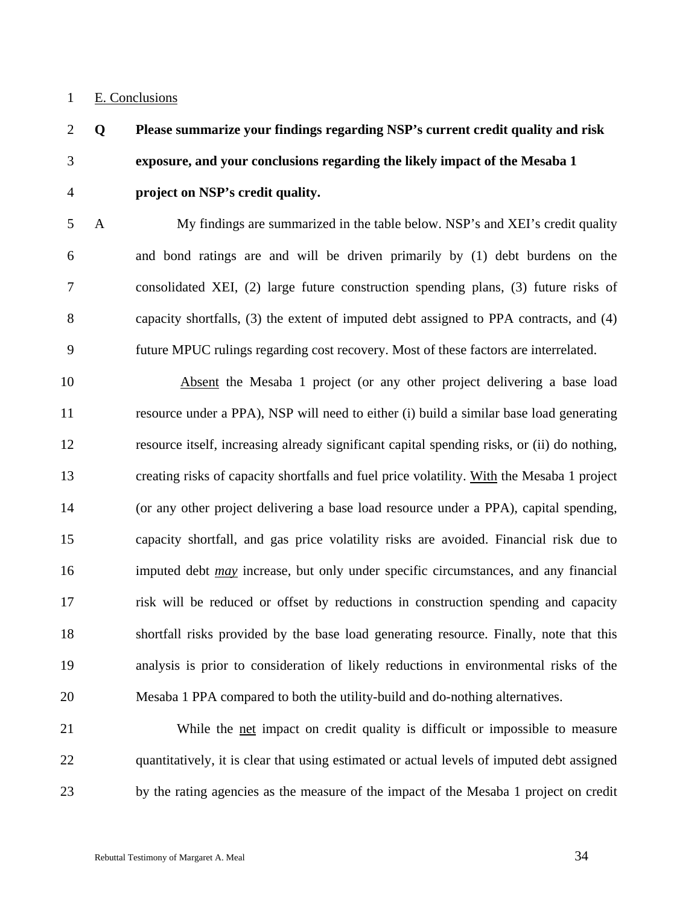### 1 E. Conclusions

# 2 **Q Please summarize your findings regarding NSP's current credit quality and risk**  3 **exposure, and your conclusions regarding the likely impact of the Mesaba 1**  4 **project on NSP's credit quality.**

5 A My findings are summarized in the table below. NSP's and XEI's credit quality 6 and bond ratings are and will be driven primarily by (1) debt burdens on the 7 consolidated XEI, (2) large future construction spending plans, (3) future risks of 8 capacity shortfalls, (3) the extent of imputed debt assigned to PPA contracts, and (4) 9 future MPUC rulings regarding cost recovery. Most of these factors are interrelated.

10 Absent the Mesaba 1 project (or any other project delivering a base load 11 resource under a PPA), NSP will need to either (i) build a similar base load generating 12 resource itself, increasing already significant capital spending risks, or (ii) do nothing, 13 creating risks of capacity shortfalls and fuel price volatility. With the Mesaba 1 project 14 (or any other project delivering a base load resource under a PPA), capital spending, 15 capacity shortfall, and gas price volatility risks are avoided. Financial risk due to 16 imputed debt *may* increase, but only under specific circumstances, and any financial 17 risk will be reduced or offset by reductions in construction spending and capacity 18 shortfall risks provided by the base load generating resource. Finally, note that this 19 analysis is prior to consideration of likely reductions in environmental risks of the 20 Mesaba 1 PPA compared to both the utility-build and do-nothing alternatives.

21 While the net impact on credit quality is difficult or impossible to measure 22 quantitatively, it is clear that using estimated or actual levels of imputed debt assigned 23 by the rating agencies as the measure of the impact of the Mesaba 1 project on credit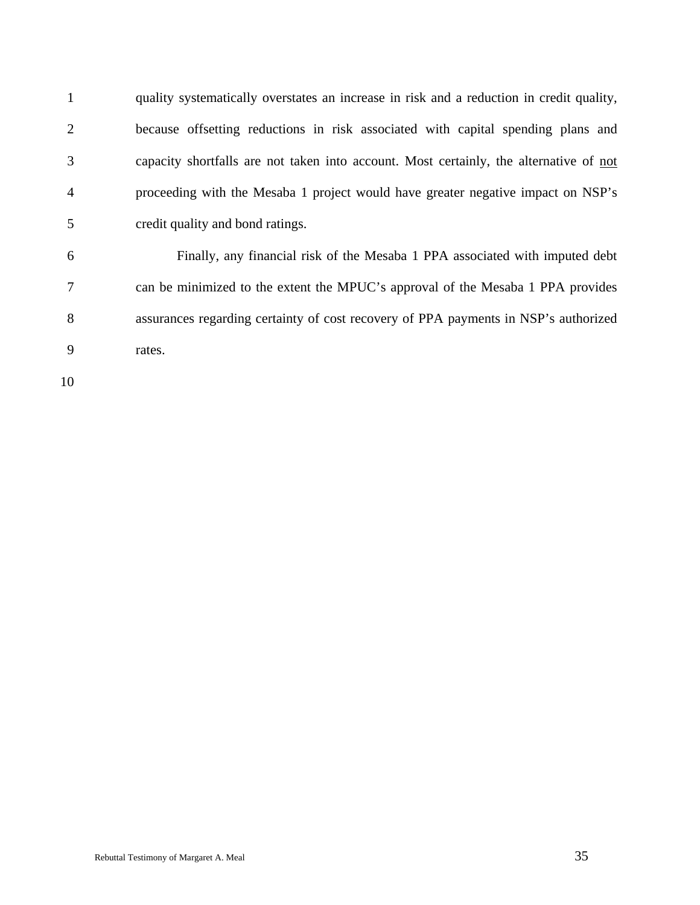1 quality systematically overstates an increase in risk and a reduction in credit quality, 2 because offsetting reductions in risk associated with capital spending plans and 3 capacity shortfalls are not taken into account. Most certainly, the alternative of not 4 proceeding with the Mesaba 1 project would have greater negative impact on NSP's 5 credit quality and bond ratings.

6 Finally, any financial risk of the Mesaba 1 PPA associated with imputed debt 7 can be minimized to the extent the MPUC's approval of the Mesaba 1 PPA provides 8 assurances regarding certainty of cost recovery of PPA payments in NSP's authorized 9 rates.

10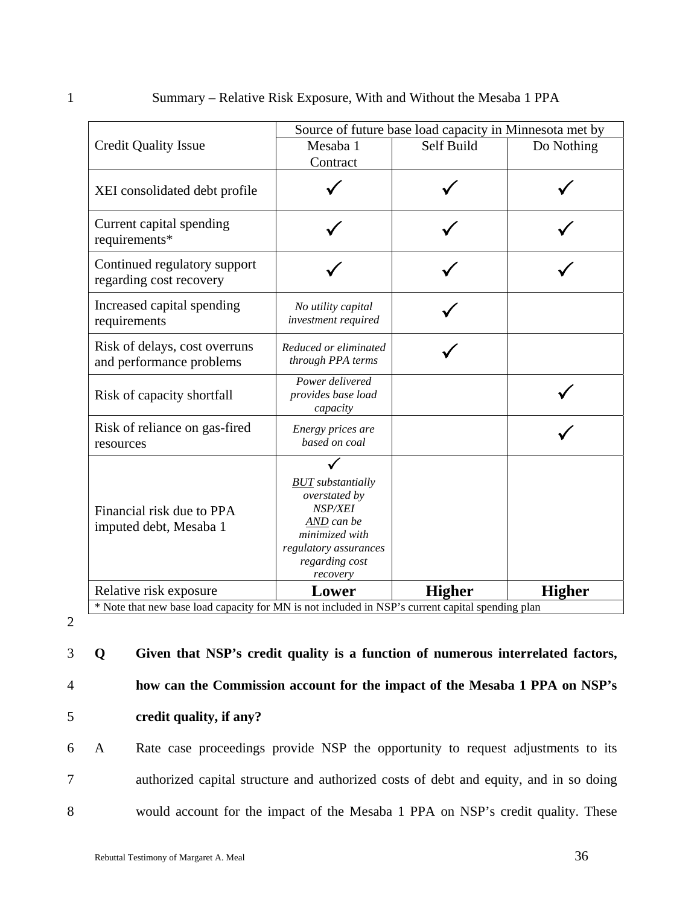|                                                                                                  | Source of future base load capacity in Minnesota met by                                                                                     |               |               |  |  |
|--------------------------------------------------------------------------------------------------|---------------------------------------------------------------------------------------------------------------------------------------------|---------------|---------------|--|--|
| <b>Credit Quality Issue</b>                                                                      | Mesaba 1                                                                                                                                    | Self Build    | Do Nothing    |  |  |
|                                                                                                  | Contract                                                                                                                                    |               |               |  |  |
| XEI consolidated debt profile                                                                    |                                                                                                                                             |               |               |  |  |
| Current capital spending<br>requirements*                                                        |                                                                                                                                             |               |               |  |  |
| Continued regulatory support<br>regarding cost recovery                                          |                                                                                                                                             |               |               |  |  |
| Increased capital spending<br>requirements                                                       | No utility capital<br>investment required                                                                                                   |               |               |  |  |
| Risk of delays, cost overruns<br>and performance problems                                        | Reduced or eliminated<br>through PPA terms                                                                                                  |               |               |  |  |
| Risk of capacity shortfall                                                                       | Power delivered<br>provides base load<br>capacity                                                                                           |               |               |  |  |
| Risk of reliance on gas-fired<br>resources                                                       | Energy prices are<br>based on coal                                                                                                          |               |               |  |  |
| Financial risk due to PPA<br>imputed debt, Mesaba 1                                              | <b>BUT</b> substantially<br>overstated by<br>NSP/XEI<br>AND can be<br>minimized with<br>regulatory assurances<br>regarding cost<br>recovery |               |               |  |  |
| Relative risk exposure                                                                           | Lower                                                                                                                                       | <b>Higher</b> | <b>Higher</b> |  |  |
| * Note that new base load capacity for MN is not included in NSP's current capital spending plan |                                                                                                                                             |               |               |  |  |

2

3 **Q Given that NSP's credit quality is a function of numerous interrelated factors,**  4 **how can the Commission account for the impact of the Mesaba 1 PPA on NSP's**  5 **credit quality, if any?** 

6 A Rate case proceedings provide NSP the opportunity to request adjustments to its 7 authorized capital structure and authorized costs of debt and equity, and in so doing 8 would account for the impact of the Mesaba 1 PPA on NSP's credit quality. These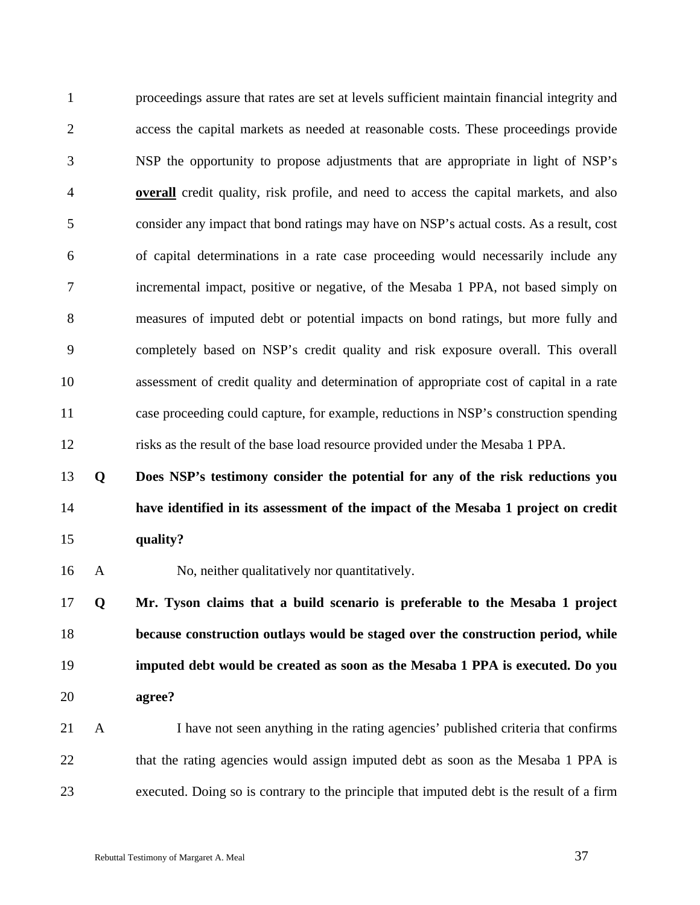1 proceedings assure that rates are set at levels sufficient maintain financial integrity and 2 access the capital markets as needed at reasonable costs. These proceedings provide 3 NSP the opportunity to propose adjustments that are appropriate in light of NSP's 4 **overall** credit quality, risk profile, and need to access the capital markets, and also 5 consider any impact that bond ratings may have on NSP's actual costs. As a result, cost 6 of capital determinations in a rate case proceeding would necessarily include any 7 incremental impact, positive or negative, of the Mesaba 1 PPA, not based simply on 8 measures of imputed debt or potential impacts on bond ratings, but more fully and 9 completely based on NSP's credit quality and risk exposure overall. This overall 10 assessment of credit quality and determination of appropriate cost of capital in a rate 11 case proceeding could capture, for example, reductions in NSP's construction spending 12 risks as the result of the base load resource provided under the Mesaba 1 PPA.

13 **Q Does NSP's testimony consider the potential for any of the risk reductions you**  14 **have identified in its assessment of the impact of the Mesaba 1 project on credit**  15 **quality?** 

16 A No, neither qualitatively nor quantitatively.

**Q Mr. Tyson claims that a build scenario is preferable to the Mesaba 1 project because construction outlays would be staged over the construction period, while imputed debt would be created as soon as the Mesaba 1 PPA is executed. Do you**  20 **agree?** 

21 A I have not seen anything in the rating agencies' published criteria that confirms 22 that the rating agencies would assign imputed debt as soon as the Mesaba 1 PPA is 23 executed. Doing so is contrary to the principle that imputed debt is the result of a firm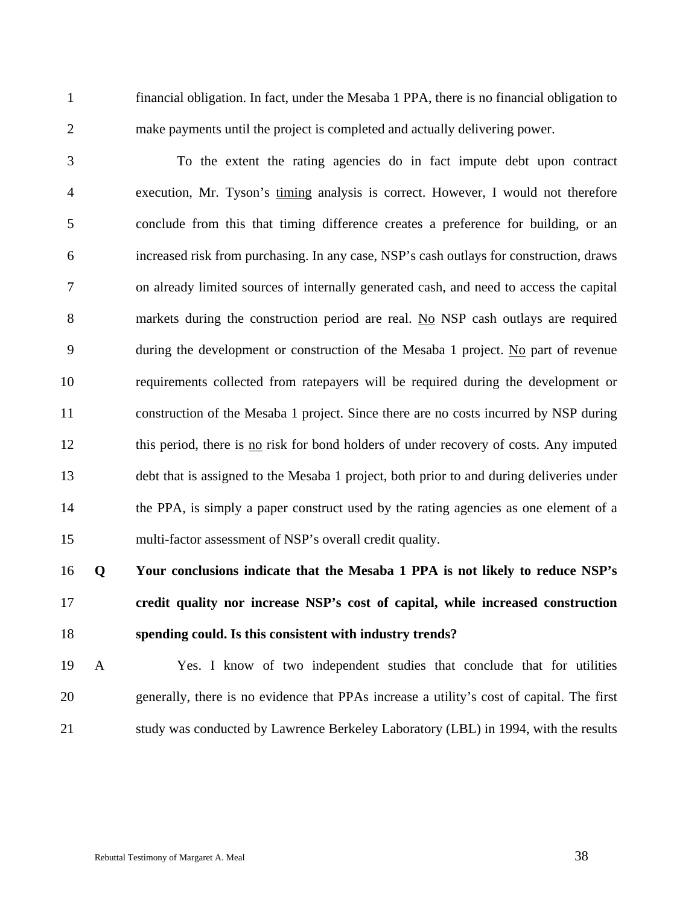1 financial obligation. In fact, under the Mesaba 1 PPA, there is no financial obligation to 2 make payments until the project is completed and actually delivering power.

3 To the extent the rating agencies do in fact impute debt upon contract 4 execution, Mr. Tyson's timing analysis is correct. However, I would not therefore 5 conclude from this that timing difference creates a preference for building, or an 6 increased risk from purchasing. In any case, NSP's cash outlays for construction, draws 7 on already limited sources of internally generated cash, and need to access the capital 8 markets during the construction period are real. No NSP cash outlays are required 9 during the development or construction of the Mesaba 1 project. No part of revenue 10 requirements collected from ratepayers will be required during the development or 11 construction of the Mesaba 1 project. Since there are no costs incurred by NSP during 12 this period, there is no risk for bond holders of under recovery of costs. Any imputed 13 debt that is assigned to the Mesaba 1 project, both prior to and during deliveries under 14 the PPA, is simply a paper construct used by the rating agencies as one element of a 15 multi-factor assessment of NSP's overall credit quality.

16 **Q Your conclusions indicate that the Mesaba 1 PPA is not likely to reduce NSP's**  17 **credit quality nor increase NSP's cost of capital, while increased construction**  18 **spending could. Is this consistent with industry trends?** 

19 A Yes. I know of two independent studies that conclude that for utilities 20 generally, there is no evidence that PPAs increase a utility's cost of capital. The first 21 study was conducted by Lawrence Berkeley Laboratory (LBL) in 1994, with the results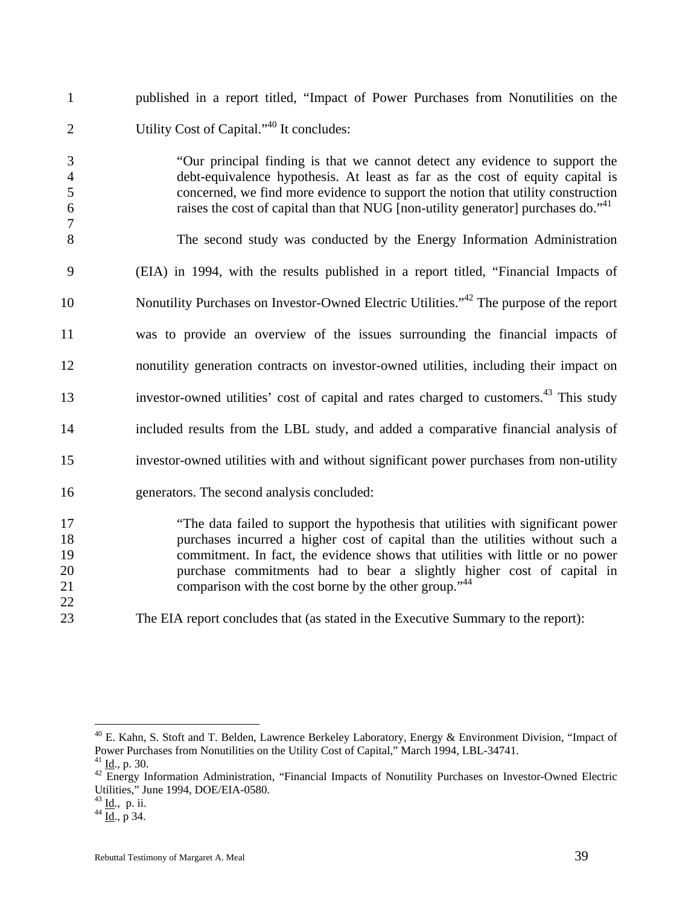|   | published in a report titled, "Impact of Power Purchases from Nonutilities on the                                                                                                                                                                                                                                                                 |
|---|---------------------------------------------------------------------------------------------------------------------------------------------------------------------------------------------------------------------------------------------------------------------------------------------------------------------------------------------------|
|   | Utility Cost of Capital." <sup>40</sup> It concludes:                                                                                                                                                                                                                                                                                             |
| 6 | "Our principal finding is that we cannot detect any evidence to support the<br>debt-equivalence hypothesis. At least as far as the cost of equity capital is<br>concerned, we find more evidence to support the notion that utility construction<br>raises the cost of capital than that NUG [non-utility generator] purchases do." <sup>41</sup> |
| 8 | The second study was conducted by the Energy Information Administration                                                                                                                                                                                                                                                                           |

9 (EIA) in 1994, with the results published in a report titled, "Financial Impacts of 10 Nonutility Purchases on Investor-Owned Electric Utilities.<sup>"42</sup> The purpose of the report 11 was to provide an overview of the issues surrounding the financial impacts of 12 nonutility generation contracts on investor-owned utilities, including their impact on investor-owned utilities' cost of capital and rates charged to customers.<sup>43</sup> This study 14 included results from the LBL study, and added a comparative financial analysis of 15 investor-owned utilities with and without significant power purchases from non-utility

16 generators. The second analysis concluded:

17 "The data failed to support the hypothesis that utilities with significant power 18 purchases incurred a higher cost of capital than the utilities without such a 19 commitment. In fact, the evidence shows that utilities with little or no power 20 purchase commitments had to bear a slightly higher cost of capital in 21 comparison with the cost borne by the other group.<sup>44</sup>

23 The EIA report concludes that (as stated in the Executive Summary to the report):

 $\overline{a}$ 

22

 $40$  E. Kahn, S. Stoft and T. Belden, Lawrence Berkeley Laboratory, Energy & Environment Division, "Impact of Power Purchases from Nonutilities on the Utility Cost of Capital," March 1994, LBL-34741.

<sup>&</sup>lt;sup>41</sup> Id., p. 30.<br><sup>42</sup> Energy Information Administration, "Financial Impacts of Nonutility Purchases on Investor-Owned Electric Utilities," June 1994, DOE/EIA-0580.

 $^{43}$  <u>Id</u>., p. ii.<br> $^{44}$  <u>Id.,</u> p 34.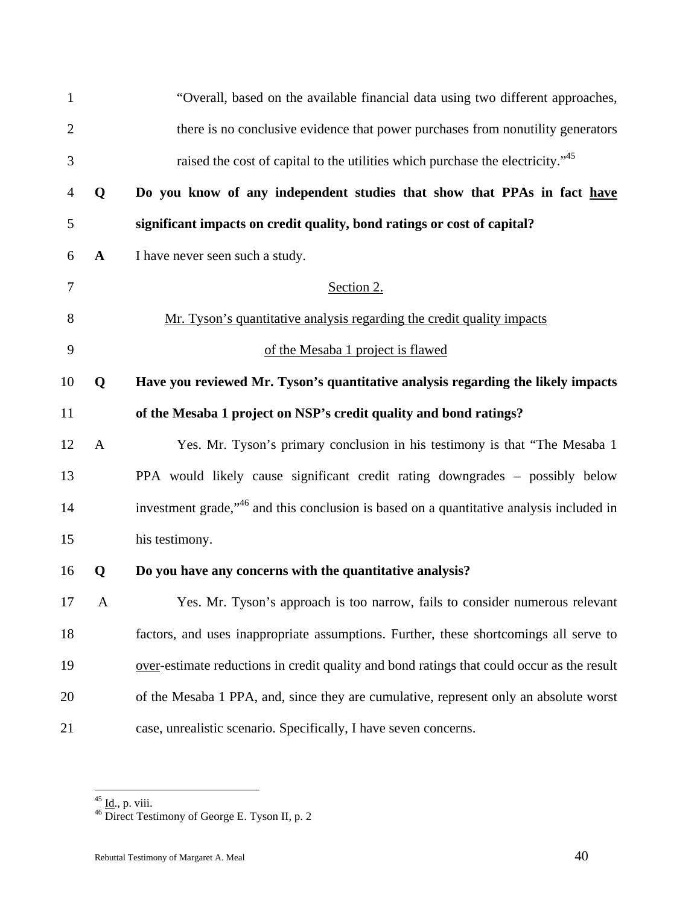| $\mathbf{1}$   |              | "Overall, based on the available financial data using two different approaches,                     |
|----------------|--------------|-----------------------------------------------------------------------------------------------------|
| $\overline{c}$ |              | there is no conclusive evidence that power purchases from nonutility generators                     |
| $\mathfrak{Z}$ |              | raised the cost of capital to the utilities which purchase the electricity." <sup>45</sup>          |
| 4              | Q            | Do you know of any independent studies that show that PPAs in fact have                             |
| 5              |              | significant impacts on credit quality, bond ratings or cost of capital?                             |
| 6              | $\mathbf A$  | I have never seen such a study.                                                                     |
| $\tau$         |              | Section 2.                                                                                          |
| 8              |              | Mr. Tyson's quantitative analysis regarding the credit quality impacts                              |
| 9              |              | of the Mesaba 1 project is flawed                                                                   |
| 10             | Q            | Have you reviewed Mr. Tyson's quantitative analysis regarding the likely impacts                    |
| 11             |              | of the Mesaba 1 project on NSP's credit quality and bond ratings?                                   |
| 12             | $\mathbf{A}$ | Yes. Mr. Tyson's primary conclusion in his testimony is that "The Mesaba 1                          |
| 13             |              | PPA would likely cause significant credit rating downgrades - possibly below                        |
| 14             |              | investment grade, <sup>46</sup> and this conclusion is based on a quantitative analysis included in |
| 15             |              | his testimony.                                                                                      |
| 16             | $\mathbf 0$  | Do you have any concerns with the quantitative analysis?                                            |
| 17             | $\mathbf{A}$ | Yes. Mr. Tyson's approach is too narrow, fails to consider numerous relevant                        |
| 18             |              | factors, and uses inappropriate assumptions. Further, these shortcomings all serve to               |
| 19             |              | over-estimate reductions in credit quality and bond ratings that could occur as the result          |
| 20             |              | of the Mesaba 1 PPA, and, since they are cumulative, represent only an absolute worst               |
| 21             |              | case, unrealistic scenario. Specifically, I have seven concerns.                                    |

<sup>&</sup>lt;sup>45</sup> <u>Id</u>., p. viii.<br><sup>46</sup> Direct Testimony of George E. Tyson II, p. 2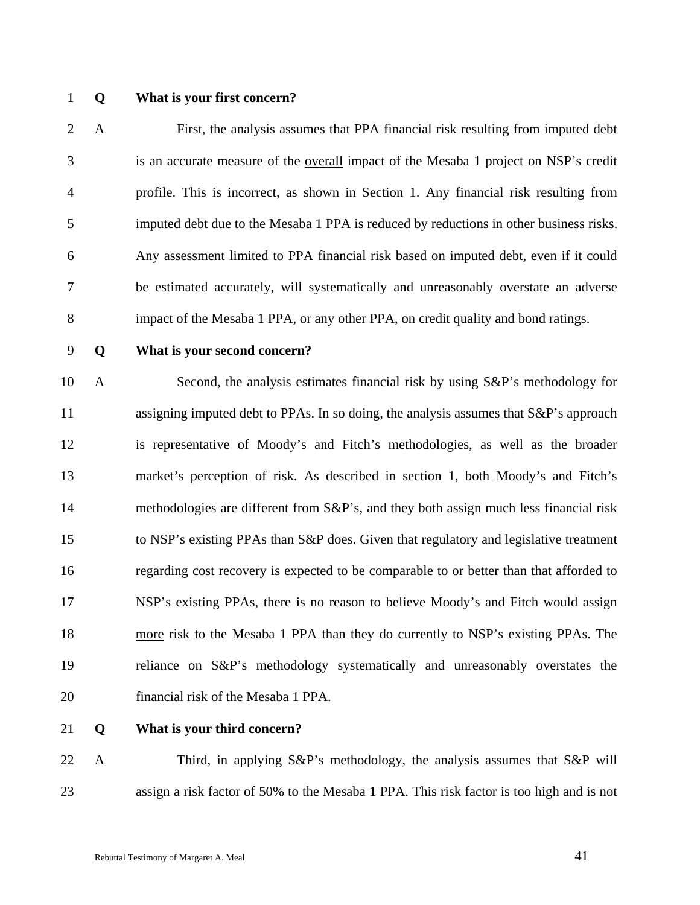#### 1 **Q What is your first concern?**

2 A First, the analysis assumes that PPA financial risk resulting from imputed debt 3 is an accurate measure of the overall impact of the Mesaba 1 project on NSP's credit 4 profile. This is incorrect, as shown in Section 1. Any financial risk resulting from 5 imputed debt due to the Mesaba 1 PPA is reduced by reductions in other business risks. 6 Any assessment limited to PPA financial risk based on imputed debt, even if it could 7 be estimated accurately, will systematically and unreasonably overstate an adverse 8 impact of the Mesaba 1 PPA, or any other PPA, on credit quality and bond ratings.

#### 9 **Q What is your second concern?**

10 A Second, the analysis estimates financial risk by using S&P's methodology for 11 assigning imputed debt to PPAs. In so doing, the analysis assumes that  $S\&P$ 's approach 12 is representative of Moody's and Fitch's methodologies, as well as the broader 13 market's perception of risk. As described in section 1, both Moody's and Fitch's 14 methodologies are different from S&P's, and they both assign much less financial risk 15 to NSP's existing PPAs than S&P does. Given that regulatory and legislative treatment 16 regarding cost recovery is expected to be comparable to or better than that afforded to 17 NSP's existing PPAs, there is no reason to believe Moody's and Fitch would assign 18 more risk to the Mesaba 1 PPA than they do currently to NSP's existing PPAs. The 19 reliance on S&P's methodology systematically and unreasonably overstates the 20 financial risk of the Mesaba 1 PPA.

### 21 **Q What is your third concern?**

22 A Third, in applying S&P's methodology, the analysis assumes that S&P will 23 assign a risk factor of 50% to the Mesaba 1 PPA. This risk factor is too high and is not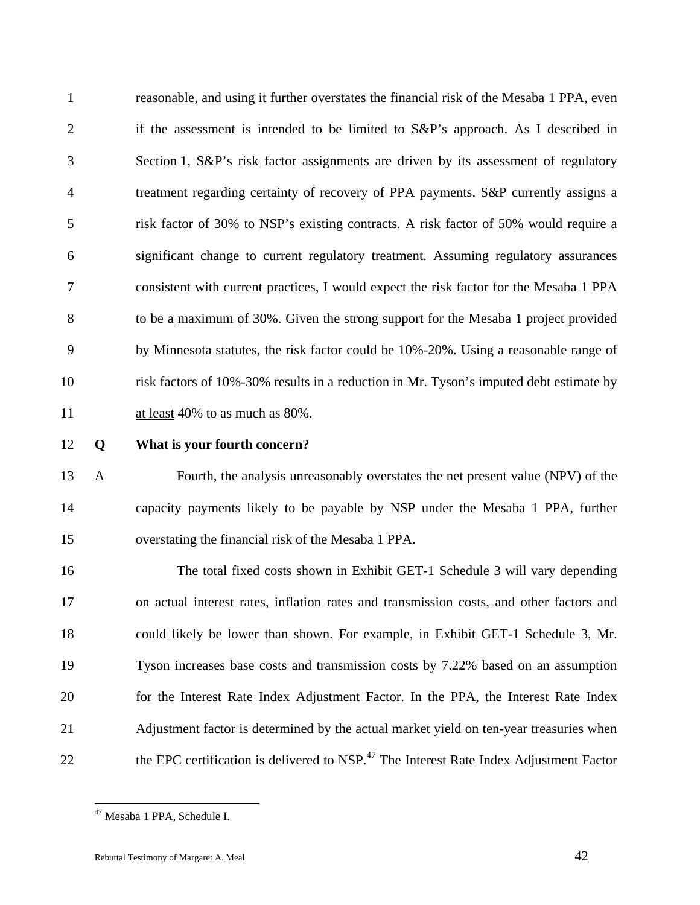1 reasonable, and using it further overstates the financial risk of the Mesaba 1 PPA, even 2 if the assessment is intended to be limited to S&P's approach. As I described in 3 Section 1, S&P's risk factor assignments are driven by its assessment of regulatory 4 treatment regarding certainty of recovery of PPA payments. S&P currently assigns a 5 risk factor of 30% to NSP's existing contracts. A risk factor of 50% would require a 6 significant change to current regulatory treatment. Assuming regulatory assurances 7 consistent with current practices, I would expect the risk factor for the Mesaba 1 PPA 8 to be a maximum of 30%. Given the strong support for the Mesaba 1 project provided 9 by Minnesota statutes, the risk factor could be 10%-20%. Using a reasonable range of 10 risk factors of 10%-30% results in a reduction in Mr. Tyson's imputed debt estimate by 11 at least 40% to as much as 80%.

#### 12 **Q What is your fourth concern?**

13 A Fourth, the analysis unreasonably overstates the net present value (NPV) of the 14 capacity payments likely to be payable by NSP under the Mesaba 1 PPA, further 15 overstating the financial risk of the Mesaba 1 PPA.

16 The total fixed costs shown in Exhibit GET-1 Schedule 3 will vary depending 17 on actual interest rates, inflation rates and transmission costs, and other factors and 18 could likely be lower than shown. For example, in Exhibit GET-1 Schedule 3, Mr. 19 Tyson increases base costs and transmission costs by 7.22% based on an assumption 20 for the Interest Rate Index Adjustment Factor. In the PPA, the Interest Rate Index 21 Adjustment factor is determined by the actual market yield on ten-year treasuries when 22 the EPC certification is delivered to NSP.<sup>47</sup> The Interest Rate Index Adjustment Factor

<sup>47</sup> Mesaba 1 PPA, Schedule I.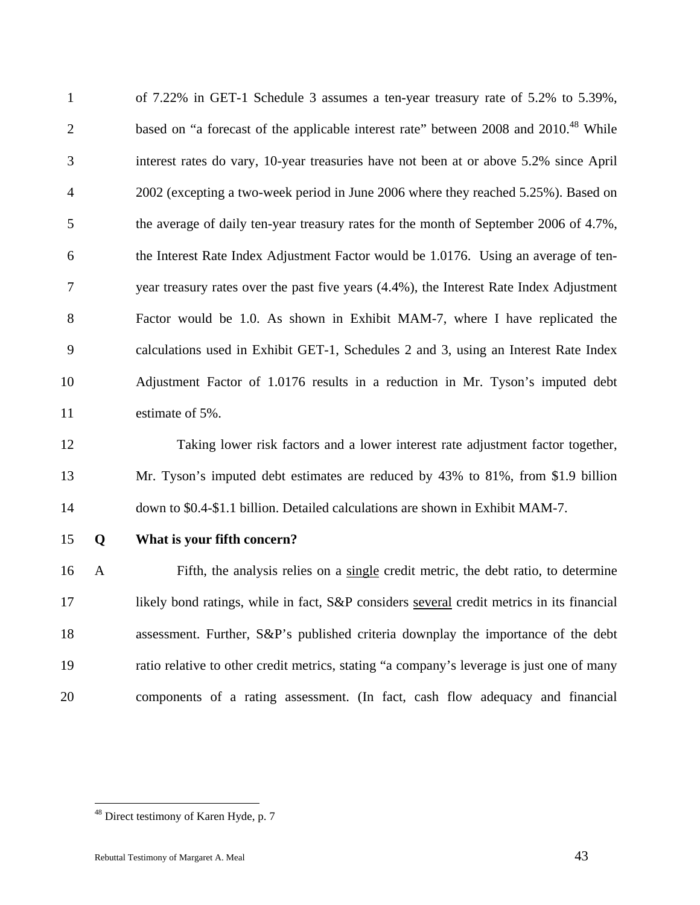1 of 7.22% in GET-1 Schedule 3 assumes a ten-year treasury rate of 5.2% to 5.39%, based on "a forecast of the applicable interest rate" between 2008 and 2010.<sup>48</sup> While 3 interest rates do vary, 10-year treasuries have not been at or above 5.2% since April 4 2002 (excepting a two-week period in June 2006 where they reached 5.25%). Based on 5 the average of daily ten-year treasury rates for the month of September 2006 of 4.7%, 6 the Interest Rate Index Adjustment Factor would be 1.0176. Using an average of ten-7 year treasury rates over the past five years (4.4%), the Interest Rate Index Adjustment 8 Factor would be 1.0. As shown in Exhibit MAM-7, where I have replicated the 9 calculations used in Exhibit GET-1, Schedules 2 and 3, using an Interest Rate Index 10 Adjustment Factor of 1.0176 results in a reduction in Mr. Tyson's imputed debt 11 estimate of 5%.

12 Taking lower risk factors and a lower interest rate adjustment factor together, 13 Mr. Tyson's imputed debt estimates are reduced by 43% to 81%, from \$1.9 billion 14 down to \$0.4-\$1.1 billion. Detailed calculations are shown in Exhibit MAM-7.

 $\overline{a}$ 

#### 15 **Q What is your fifth concern?**

16 A Fifth, the analysis relies on a single credit metric, the debt ratio, to determine 17 likely bond ratings, while in fact, S&P considers several credit metrics in its financial 18 assessment. Further, S&P's published criteria downplay the importance of the debt 19 ratio relative to other credit metrics, stating "a company's leverage is just one of many 20 components of a rating assessment. (In fact, cash flow adequacy and financial

<sup>48</sup> Direct testimony of Karen Hyde, p. 7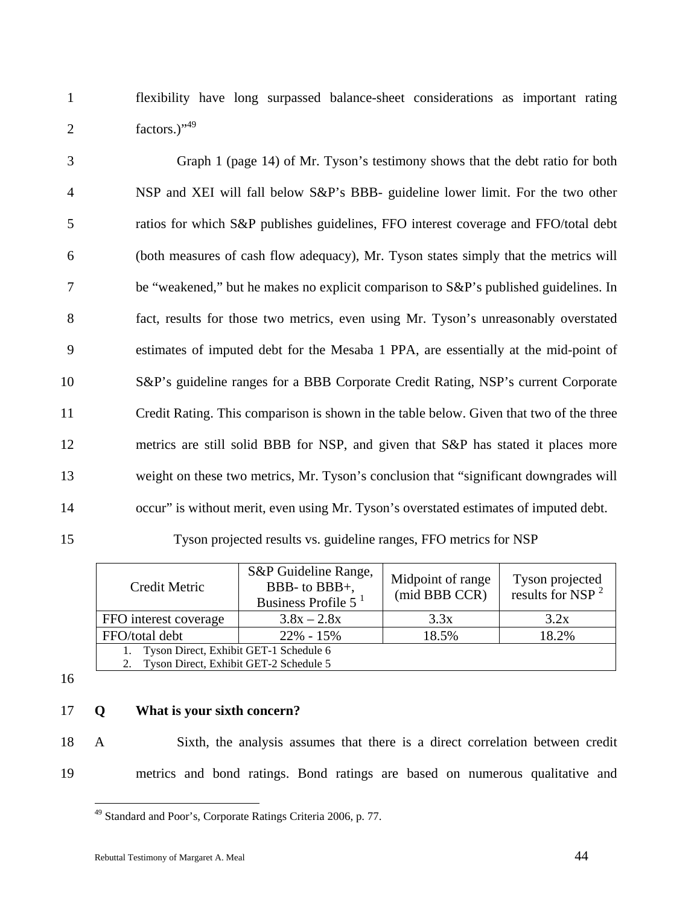1 flexibility have long surpassed balance-sheet considerations as important rating 2  $factors.)''^{49}$ 

3 Graph 1 (page 14) of Mr. Tyson's testimony shows that the debt ratio for both 4 NSP and XEI will fall below S&P's BBB- guideline lower limit. For the two other 5 ratios for which S&P publishes guidelines, FFO interest coverage and FFO/total debt 6 (both measures of cash flow adequacy), Mr. Tyson states simply that the metrics will 7 be "weakened," but he makes no explicit comparison to S&P's published guidelines. In 8 fact, results for those two metrics, even using Mr. Tyson's unreasonably overstated 9 estimates of imputed debt for the Mesaba 1 PPA, are essentially at the mid-point of 10 S&P's guideline ranges for a BBB Corporate Credit Rating, NSP's current Corporate 11 Credit Rating. This comparison is shown in the table below. Given that two of the three 12 metrics are still solid BBB for NSP, and given that S&P has stated it places more 13 weight on these two metrics, Mr. Tyson's conclusion that "significant downgrades will 14 occur" is without merit, even using Mr. Tyson's overstated estimates of imputed debt.

15 Tyson projected results vs. guideline ranges, FFO metrics for NSP

| Credit Metric                                                                    | S&P Guideline Range,<br>BBB- to BBB+,<br>Business Profile $51$ | Midpoint of range<br>(mid BBB CCR) | Tyson projected<br>results for NSP $^2$ |
|----------------------------------------------------------------------------------|----------------------------------------------------------------|------------------------------------|-----------------------------------------|
| FFO interest coverage                                                            | $3.8x - 2.8x$                                                  | 3.3x                               | 3.2x                                    |
| FFO/total debt                                                                   | $22\% - 15\%$                                                  | 18.5%                              | 18.2%                                   |
| Tyson Direct, Exhibit GET-1 Schedule 6<br>Tyson Direct, Exhibit GET-2 Schedule 5 |                                                                |                                    |                                         |
|                                                                                  |                                                                |                                    |                                         |

16

### 17 **Q What is your sixth concern?**

 $\overline{a}$ 

18 A Sixth, the analysis assumes that there is a direct correlation between credit 19 metrics and bond ratings. Bond ratings are based on numerous qualitative and

<sup>49</sup> Standard and Poor's, Corporate Ratings Criteria 2006, p. 77.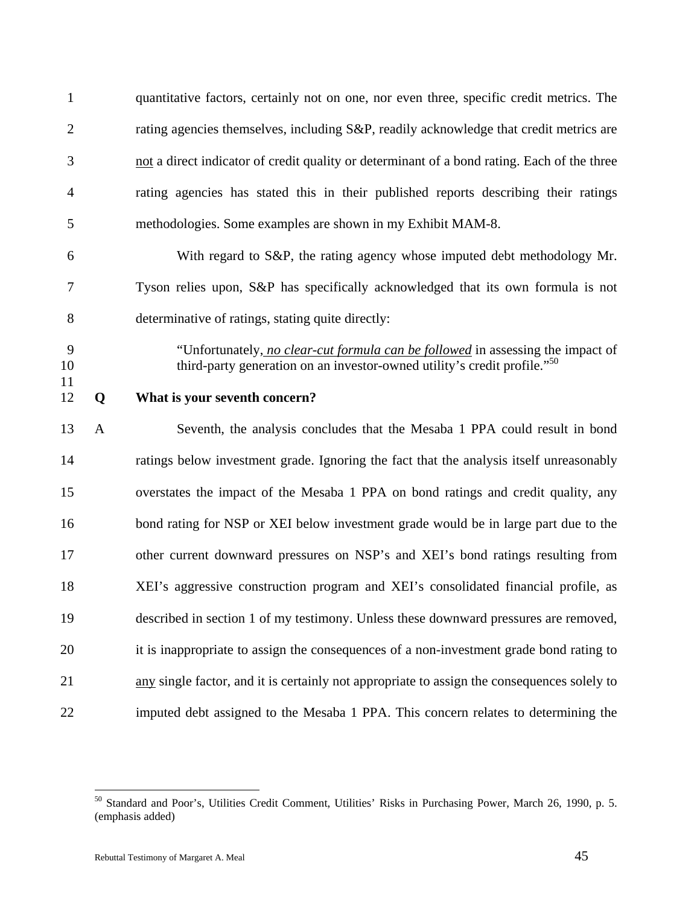| $\mathbf{1}$   |              | quantitative factors, certainly not on one, nor even three, specific credit metrics. The                                                                                |
|----------------|--------------|-------------------------------------------------------------------------------------------------------------------------------------------------------------------------|
| $\overline{c}$ |              | rating agencies themselves, including S&P, readily acknowledge that credit metrics are                                                                                  |
| 3              |              | not a direct indicator of credit quality or determinant of a bond rating. Each of the three                                                                             |
| 4              |              | rating agencies has stated this in their published reports describing their ratings                                                                                     |
| 5              |              | methodologies. Some examples are shown in my Exhibit MAM-8.                                                                                                             |
| 6              |              | With regard to S&P, the rating agency whose imputed debt methodology Mr.                                                                                                |
| 7              |              | Tyson relies upon, S&P has specifically acknowledged that its own formula is not                                                                                        |
| 8              |              | determinative of ratings, stating quite directly:                                                                                                                       |
| 9<br>10<br>11  |              | "Unfortunately, no clear-cut formula can be followed in assessing the impact of<br>third-party generation on an investor-owned utility's credit profile." <sup>50</sup> |
| 12             | Q            | What is your seventh concern?                                                                                                                                           |
| 13             | $\mathbf{A}$ | Seventh, the analysis concludes that the Mesaba 1 PPA could result in bond                                                                                              |
| 14             |              |                                                                                                                                                                         |
|                |              | ratings below investment grade. Ignoring the fact that the analysis itself unreasonably                                                                                 |
| 15             |              | overstates the impact of the Mesaba 1 PPA on bond ratings and credit quality, any                                                                                       |
| 16             |              | bond rating for NSP or XEI below investment grade would be in large part due to the                                                                                     |
| 17             |              | other current downward pressures on NSP's and XEI's bond ratings resulting from                                                                                         |
| 18             |              | XEI's aggressive construction program and XEI's consolidated financial profile, as                                                                                      |
| 19             |              | described in section 1 of my testimony. Unless these downward pressures are removed,                                                                                    |
| 20             |              | it is inappropriate to assign the consequences of a non-investment grade bond rating to                                                                                 |
| 21             |              | any single factor, and it is certainly not appropriate to assign the consequences solely to                                                                             |

<sup>&</sup>lt;sup>50</sup> Standard and Poor's, Utilities Credit Comment, Utilities' Risks in Purchasing Power, March 26, 1990, p. 5. (emphasis added)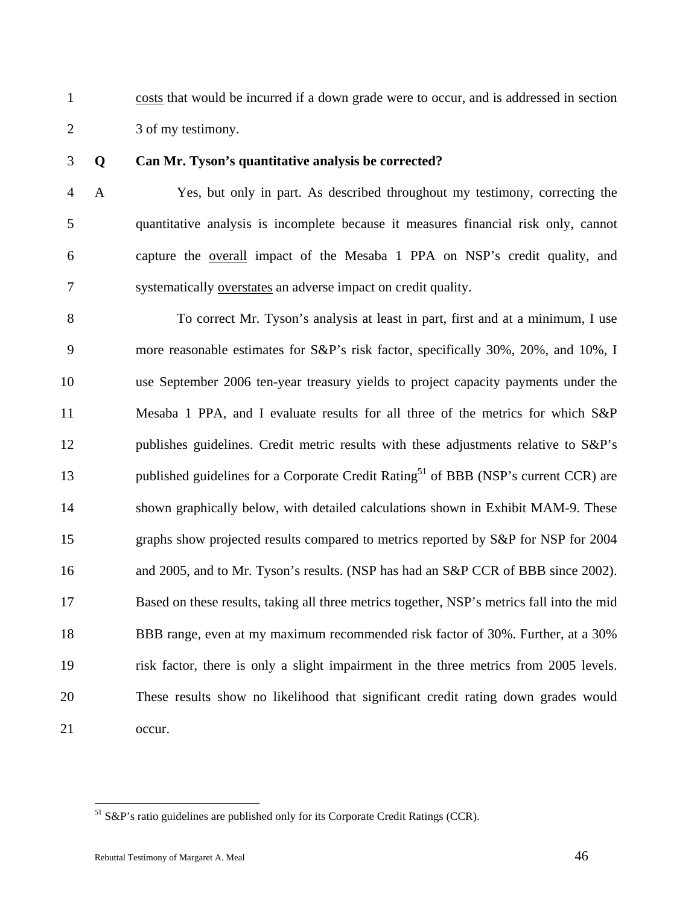1 costs that would be incurred if a down grade were to occur, and is addressed in section 2 3 of my testimony.

### 3 **Q Can Mr. Tyson's quantitative analysis be corrected?**

4 A Yes, but only in part. As described throughout my testimony, correcting the 5 quantitative analysis is incomplete because it measures financial risk only, cannot 6 capture the overall impact of the Mesaba 1 PPA on NSP's credit quality, and 7 systematically overstates an adverse impact on credit quality.

8 To correct Mr. Tyson's analysis at least in part, first and at a minimum, I use 9 more reasonable estimates for S&P's risk factor, specifically 30%, 20%, and 10%, I 10 use September 2006 ten-year treasury yields to project capacity payments under the 11 Mesaba 1 PPA, and I evaluate results for all three of the metrics for which S&P 12 publishes guidelines. Credit metric results with these adjustments relative to S&P's published guidelines for a Corporate Credit Rating<sup>51</sup> of BBB (NSP's current CCR) are 14 shown graphically below, with detailed calculations shown in Exhibit MAM-9. These 15 graphs show projected results compared to metrics reported by S&P for NSP for 2004 16 and 2005, and to Mr. Tyson's results. (NSP has had an S&P CCR of BBB since 2002). 17 Based on these results, taking all three metrics together, NSP's metrics fall into the mid 18 BBB range, even at my maximum recommended risk factor of 30%. Further, at a 30% 19 risk factor, there is only a slight impairment in the three metrics from 2005 levels. 20 These results show no likelihood that significant credit rating down grades would 21 occur.

<sup>51</sup> S&P's ratio guidelines are published only for its Corporate Credit Ratings (CCR).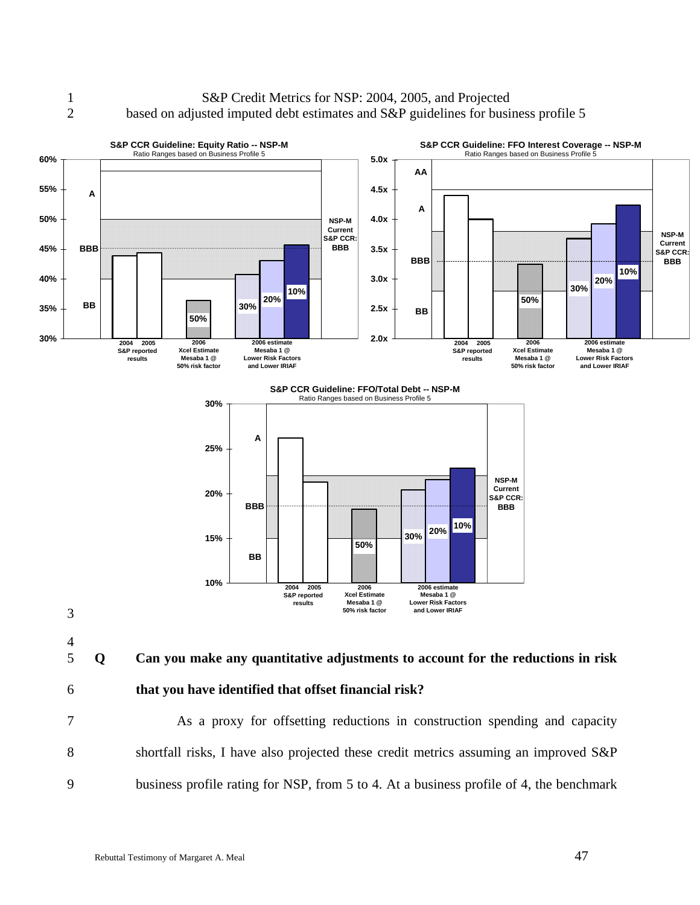#### 1 S&P Credit Metrics for NSP: 2004, 2005, and Projected 2 based on adjusted imputed debt estimates and S&P guidelines for business profile 5



9 business profile rating for NSP, from 5 to 4. At a business profile of 4, the benchmark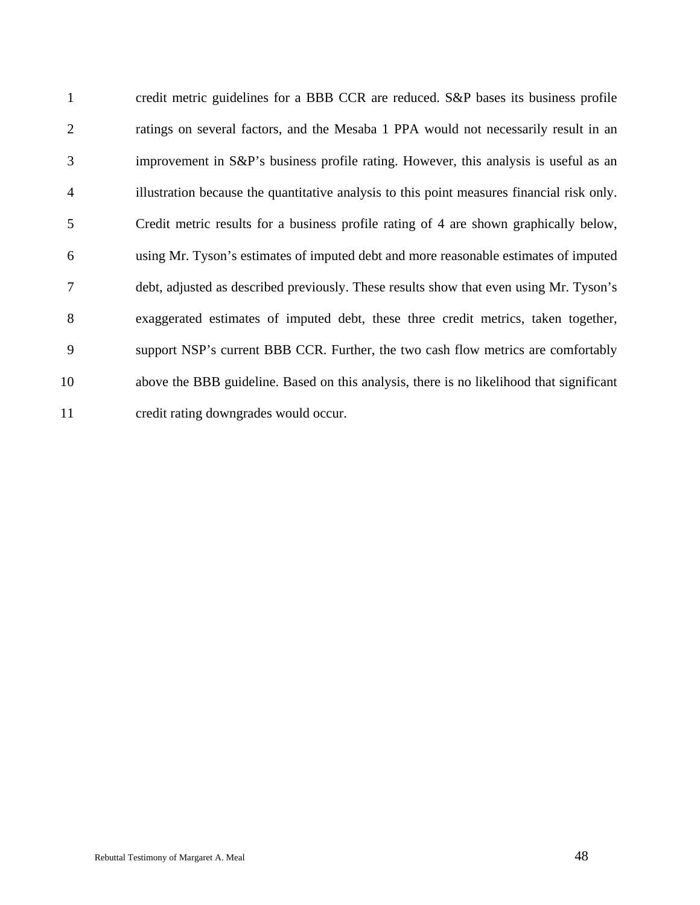1 credit metric guidelines for a BBB CCR are reduced. S&P bases its business profile 2 ratings on several factors, and the Mesaba 1 PPA would not necessarily result in an 3 improvement in S&P's business profile rating. However, this analysis is useful as an 4 illustration because the quantitative analysis to this point measures financial risk only. 5 Credit metric results for a business profile rating of 4 are shown graphically below, 6 using Mr. Tyson's estimates of imputed debt and more reasonable estimates of imputed 7 debt, adjusted as described previously. These results show that even using Mr. Tyson's 8 exaggerated estimates of imputed debt, these three credit metrics, taken together, 9 support NSP's current BBB CCR. Further, the two cash flow metrics are comfortably 10 above the BBB guideline. Based on this analysis, there is no likelihood that significant 11 credit rating downgrades would occur.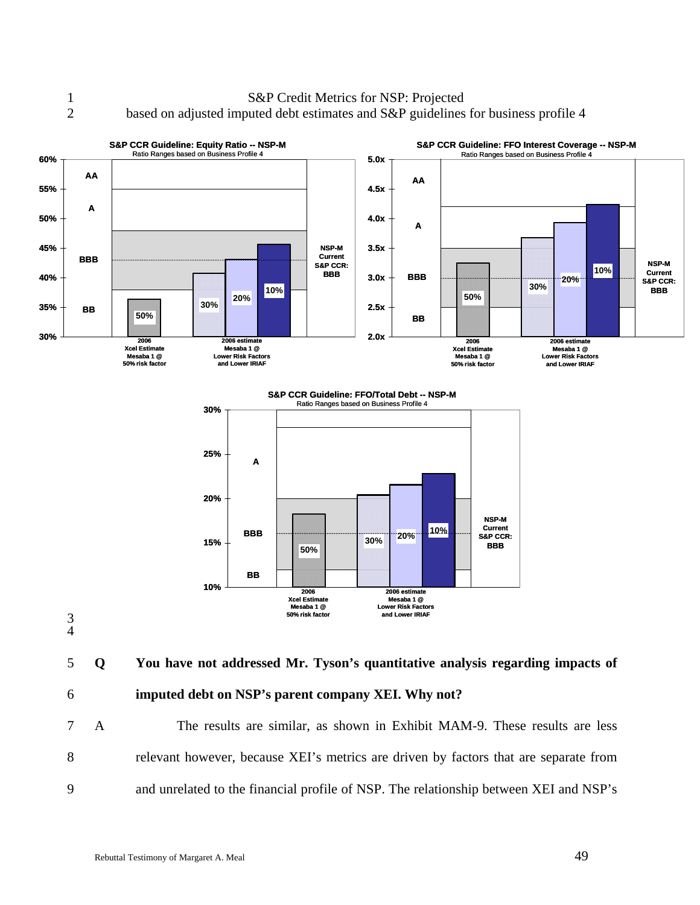1 S&P Credit Metrics for NSP: Projected 2 based on adjusted imputed debt estimates and S&P guidelines for business profile 4



7 A The results are similar, as shown in Exhibit MAM-9. These results are less 8 relevant however, because XEI's metrics are driven by factors that are separate from 9 and unrelated to the financial profile of NSP. The relationship between XEI and NSP's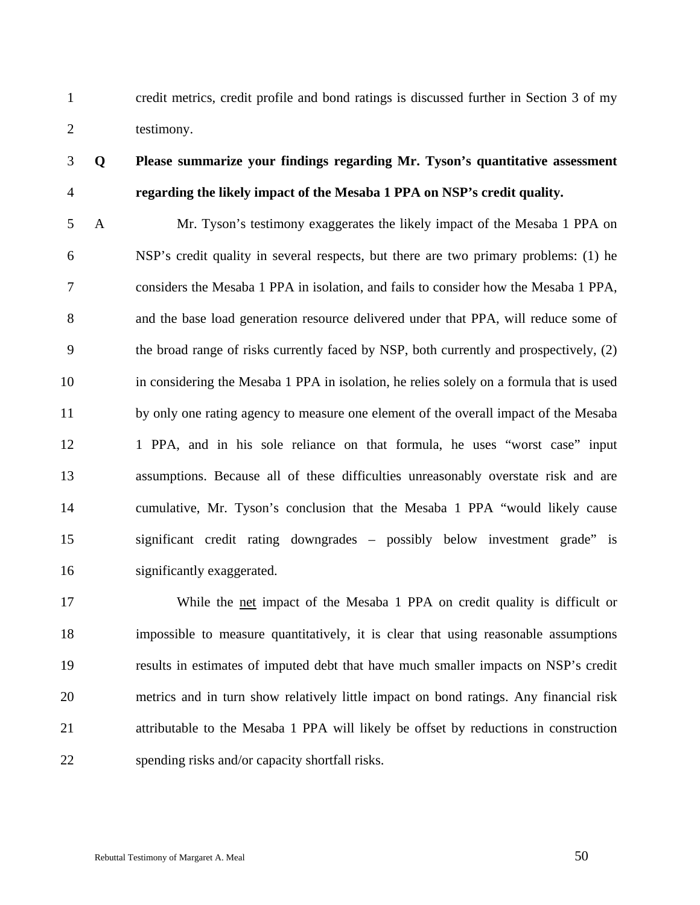1 credit metrics, credit profile and bond ratings is discussed further in Section 3 of my 2 testimony.

### 3 **Q Please summarize your findings regarding Mr. Tyson's quantitative assessment**  4 **regarding the likely impact of the Mesaba 1 PPA on NSP's credit quality.**

5 A Mr. Tyson's testimony exaggerates the likely impact of the Mesaba 1 PPA on 6 NSP's credit quality in several respects, but there are two primary problems: (1) he 7 considers the Mesaba 1 PPA in isolation, and fails to consider how the Mesaba 1 PPA, 8 and the base load generation resource delivered under that PPA, will reduce some of 9 the broad range of risks currently faced by NSP, both currently and prospectively, (2) 10 in considering the Mesaba 1 PPA in isolation, he relies solely on a formula that is used 11 by only one rating agency to measure one element of the overall impact of the Mesaba 12 1 PPA, and in his sole reliance on that formula, he uses "worst case" input 13 assumptions. Because all of these difficulties unreasonably overstate risk and are 14 cumulative, Mr. Tyson's conclusion that the Mesaba 1 PPA "would likely cause 15 significant credit rating downgrades – possibly below investment grade" is 16 significantly exaggerated.

17 While the net impact of the Mesaba 1 PPA on credit quality is difficult or 18 impossible to measure quantitatively, it is clear that using reasonable assumptions 19 results in estimates of imputed debt that have much smaller impacts on NSP's credit 20 metrics and in turn show relatively little impact on bond ratings. Any financial risk 21 attributable to the Mesaba 1 PPA will likely be offset by reductions in construction 22 spending risks and/or capacity shortfall risks.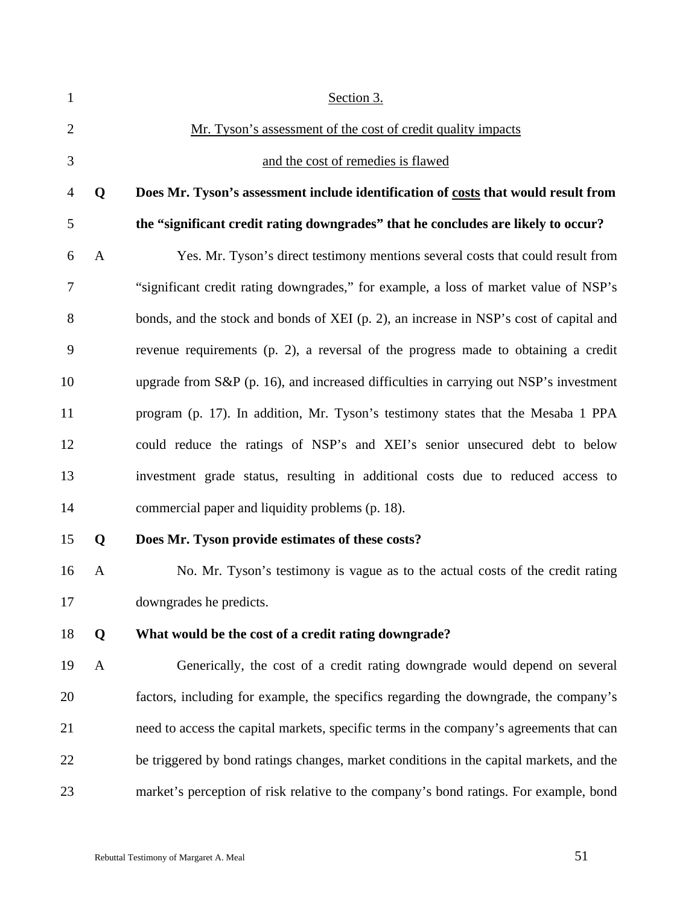| $\mathbf{1}$   |              | Section 3.                                                                              |
|----------------|--------------|-----------------------------------------------------------------------------------------|
| $\overline{2}$ |              | Mr. Tyson's assessment of the cost of credit quality impacts                            |
| 3              |              | and the cost of remedies is flawed                                                      |
| 4              | Q            | Does Mr. Tyson's assessment include identification of costs that would result from      |
| 5              |              | the "significant credit rating downgrades" that he concludes are likely to occur?       |
| 6              | $\mathbf{A}$ | Yes. Mr. Tyson's direct testimony mentions several costs that could result from         |
| 7              |              | "significant credit rating downgrades," for example, a loss of market value of NSP's    |
| 8              |              | bonds, and the stock and bonds of XEI (p. 2), an increase in NSP's cost of capital and  |
| 9              |              | revenue requirements (p. 2), a reversal of the progress made to obtaining a credit      |
| 10             |              | upgrade from S&P (p. 16), and increased difficulties in carrying out NSP's investment   |
| 11             |              | program (p. 17). In addition, Mr. Tyson's testimony states that the Mesaba 1 PPA        |
| 12             |              | could reduce the ratings of NSP's and XEI's senior unsecured debt to below              |
| 13             |              | investment grade status, resulting in additional costs due to reduced access to         |
| 14             |              | commercial paper and liquidity problems (p. 18).                                        |
| 15             | Q            | Does Mr. Tyson provide estimates of these costs?                                        |
| 16             | A            | No. Mr. Tyson's testimony is vague as to the actual costs of the credit rating          |
| 17             |              | downgrades he predicts.                                                                 |
| 18             | Q            | What would be the cost of a credit rating downgrade?                                    |
| 19             | $\mathbf{A}$ | Generically, the cost of a credit rating downgrade would depend on several              |
| 20             |              | factors, including for example, the specifics regarding the downgrade, the company's    |
| 21             |              | need to access the capital markets, specific terms in the company's agreements that can |
| 22             |              | be triggered by bond ratings changes, market conditions in the capital markets, and the |
| 23             |              | market's perception of risk relative to the company's bond ratings. For example, bond   |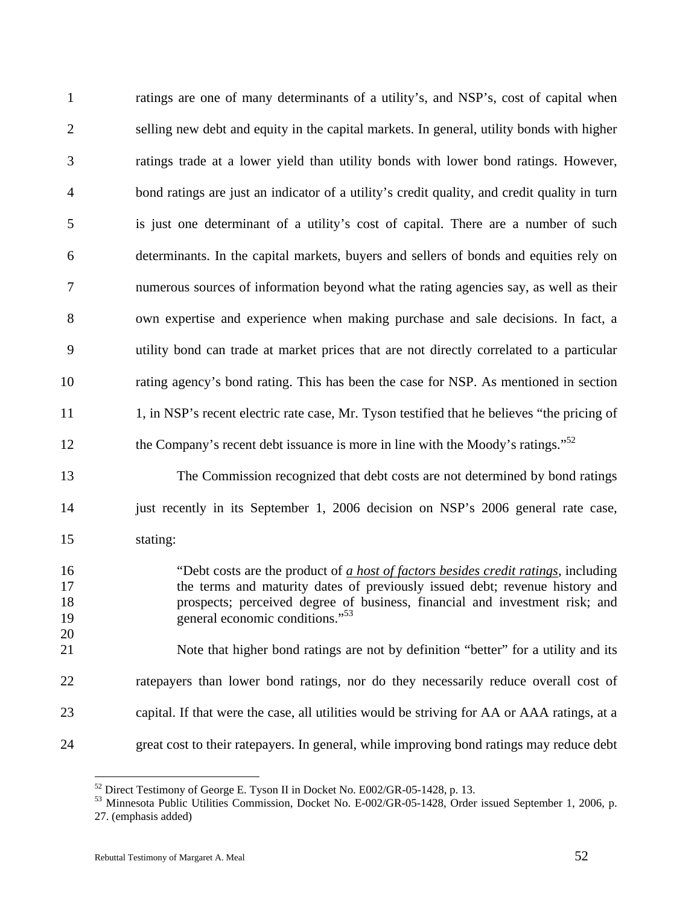| $\mathbf{1}$                     | ratings are one of many determinants of a utility's, and NSP's, cost of capital when                                                                                                                                                                                                                                                                                                  |
|----------------------------------|---------------------------------------------------------------------------------------------------------------------------------------------------------------------------------------------------------------------------------------------------------------------------------------------------------------------------------------------------------------------------------------|
| $\overline{2}$                   | selling new debt and equity in the capital markets. In general, utility bonds with higher                                                                                                                                                                                                                                                                                             |
| 3                                | ratings trade at a lower yield than utility bonds with lower bond ratings. However,                                                                                                                                                                                                                                                                                                   |
| $\overline{4}$                   | bond ratings are just an indicator of a utility's credit quality, and credit quality in turn                                                                                                                                                                                                                                                                                          |
| 5                                | is just one determinant of a utility's cost of capital. There are a number of such                                                                                                                                                                                                                                                                                                    |
| 6                                | determinants. In the capital markets, buyers and sellers of bonds and equities rely on                                                                                                                                                                                                                                                                                                |
| $\tau$                           | numerous sources of information beyond what the rating agencies say, as well as their                                                                                                                                                                                                                                                                                                 |
| 8                                | own expertise and experience when making purchase and sale decisions. In fact, a                                                                                                                                                                                                                                                                                                      |
| 9                                | utility bond can trade at market prices that are not directly correlated to a particular                                                                                                                                                                                                                                                                                              |
| 10                               | rating agency's bond rating. This has been the case for NSP. As mentioned in section                                                                                                                                                                                                                                                                                                  |
| 11                               | 1, in NSP's recent electric rate case, Mr. Tyson testified that he believes "the pricing of                                                                                                                                                                                                                                                                                           |
| 12                               | the Company's recent debt issuance is more in line with the Moody's ratings." <sup>52</sup>                                                                                                                                                                                                                                                                                           |
| 13                               | The Commission recognized that debt costs are not determined by bond ratings                                                                                                                                                                                                                                                                                                          |
| 14                               | just recently in its September 1, 2006 decision on NSP's 2006 general rate case,                                                                                                                                                                                                                                                                                                      |
| 15                               | stating:                                                                                                                                                                                                                                                                                                                                                                              |
| 16<br>17<br>18<br>19<br>20<br>21 | "Debt costs are the product of a host of factors besides credit ratings, including<br>the terms and maturity dates of previously issued debt; revenue history and<br>prospects; perceived degree of business, financial and investment risk; and<br>general economic conditions." <sup>53</sup><br>Note that higher bond ratings are not by definition "better" for a utility and its |
| 22                               | ratepayers than lower bond ratings, nor do they necessarily reduce overall cost of                                                                                                                                                                                                                                                                                                    |
| 23                               | capital. If that were the case, all utilities would be striving for AA or AAA ratings, at a                                                                                                                                                                                                                                                                                           |
| 24                               | great cost to their ratepayers. In general, while improving bond ratings may reduce debt                                                                                                                                                                                                                                                                                              |
|                                  |                                                                                                                                                                                                                                                                                                                                                                                       |

 $52$  Direct Testimony of George E. Tyson II in Docket No. E002/GR-05-1428, p. 13.

<sup>53</sup> Minnesota Public Utilities Commission, Docket No. E-002/GR-05-1428, Order issued September 1, 2006, p. 27. (emphasis added)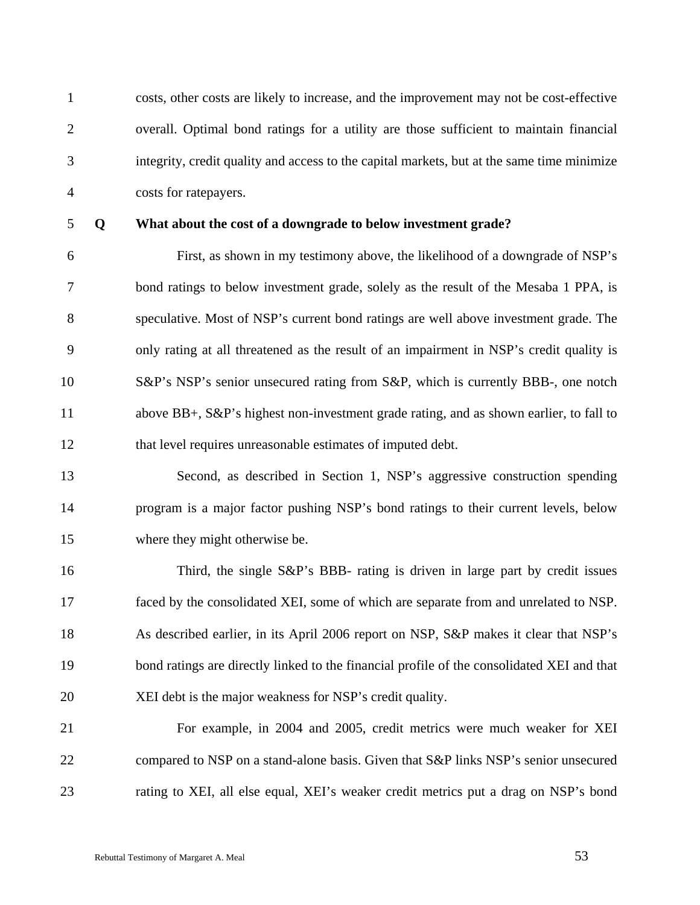1 costs, other costs are likely to increase, and the improvement may not be cost-effective 2 overall. Optimal bond ratings for a utility are those sufficient to maintain financial 3 integrity, credit quality and access to the capital markets, but at the same time minimize 4 costs for ratepayers.

#### 5 **Q What about the cost of a downgrade to below investment grade?**

6 First, as shown in my testimony above, the likelihood of a downgrade of NSP's 7 bond ratings to below investment grade, solely as the result of the Mesaba 1 PPA, is 8 speculative. Most of NSP's current bond ratings are well above investment grade. The 9 only rating at all threatened as the result of an impairment in NSP's credit quality is 10 S&P's NSP's senior unsecured rating from S&P, which is currently BBB-, one notch 11 above BB+, S&P's highest non-investment grade rating, and as shown earlier, to fall to 12 that level requires unreasonable estimates of imputed debt.

13 Second, as described in Section 1, NSP's aggressive construction spending 14 program is a major factor pushing NSP's bond ratings to their current levels, below 15 where they might otherwise be.

16 Third, the single S&P's BBB- rating is driven in large part by credit issues 17 faced by the consolidated XEI, some of which are separate from and unrelated to NSP. 18 As described earlier, in its April 2006 report on NSP, S&P makes it clear that NSP's 19 bond ratings are directly linked to the financial profile of the consolidated XEI and that 20 XEI debt is the major weakness for NSP's credit quality.

21 For example, in 2004 and 2005, credit metrics were much weaker for XEI 22 compared to NSP on a stand-alone basis. Given that S&P links NSP's senior unsecured 23 rating to XEI, all else equal, XEI's weaker credit metrics put a drag on NSP's bond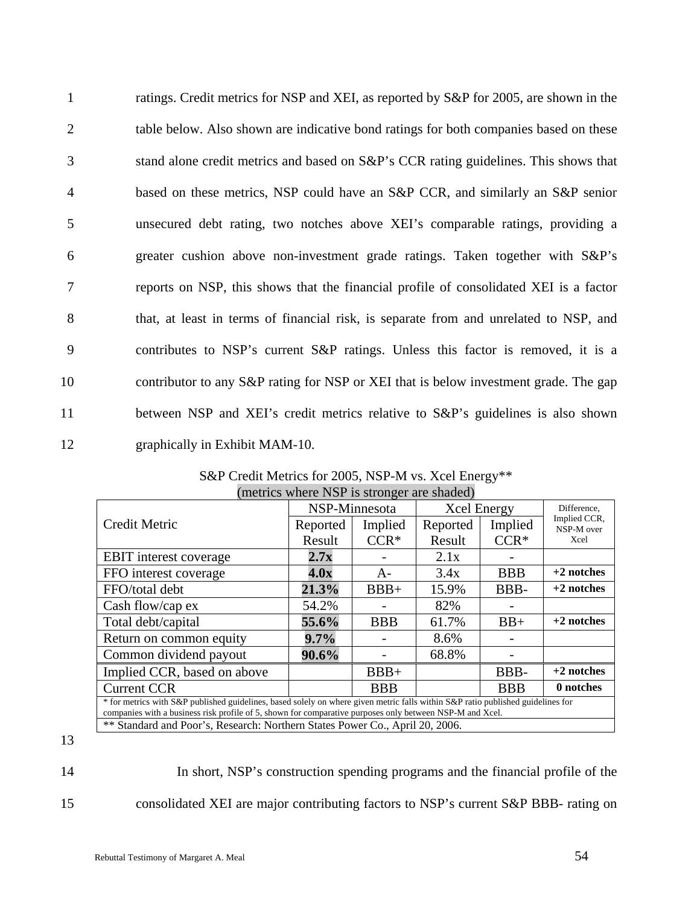| $\mathbf{1}$   | ratings. Credit metrics for NSP and XEI, as reported by S&P for 2005, are shown in the |
|----------------|----------------------------------------------------------------------------------------|
| $\overline{2}$ | table below. Also shown are indicative bond ratings for both companies based on these  |
| 3              | stand alone credit metrics and based on S&P's CCR rating guidelines. This shows that   |
| $\overline{4}$ | based on these metrics, NSP could have an S&P CCR, and similarly an S&P senior         |
| 5              | unsecured debt rating, two notches above XEI's comparable ratings, providing a         |
| 6              | greater cushion above non-investment grade ratings. Taken together with S&P's          |
| 7              | reports on NSP, this shows that the financial profile of consolidated XEI is a factor  |
| 8              | that, at least in terms of financial risk, is separate from and unrelated to NSP, and  |
| 9              | contributes to NSP's current S&P ratings. Unless this factor is removed, it is a       |
| 10             | contributor to any S&P rating for NSP or XEI that is below investment grade. The gap   |
| 11             | between NSP and XEI's credit metrics relative to S&P's guidelines is also shown        |
| 12             | graphically in Exhibit MAM-10.                                                         |

|                                                                                                                                                                                                                                             | NSP-Minnesota |            | <b>Xcel Energy</b> |            | Difference,                |
|---------------------------------------------------------------------------------------------------------------------------------------------------------------------------------------------------------------------------------------------|---------------|------------|--------------------|------------|----------------------------|
| <b>Credit Metric</b>                                                                                                                                                                                                                        | Reported      | Implied    | Reported           | Implied    | Implied CCR,<br>NSP-M over |
|                                                                                                                                                                                                                                             | Result        | $CCR^*$    | Result             | $CCR^*$    | Xcel                       |
| <b>EBIT</b> interest coverage                                                                                                                                                                                                               | 2.7x          |            | 2.1x               |            |                            |
| FFO interest coverage                                                                                                                                                                                                                       | 4.0x          | $A-$       | 3.4x               | <b>BBB</b> | $+2$ notches               |
| FFO/total debt                                                                                                                                                                                                                              | 21.3%         | $BBB+$     | 15.9%              | BBB-       | $+2$ notches               |
| Cash flow/cap ex                                                                                                                                                                                                                            | 54.2%         |            | 82%                |            |                            |
| Total debt/capital                                                                                                                                                                                                                          | 55.6%         | <b>BBB</b> | 61.7%              | $BB+$      | $+2$ notches               |
| Return on common equity                                                                                                                                                                                                                     | $9.7\%$       |            | 8.6%               |            |                            |
| Common dividend payout                                                                                                                                                                                                                      | 90.6%         |            | 68.8%              |            |                            |
| Implied CCR, based on above                                                                                                                                                                                                                 |               | $BBB+$     |                    | BBB-       | $+2$ notches               |
| <b>Current CCR</b>                                                                                                                                                                                                                          |               | <b>BBB</b> |                    | <b>BBB</b> | 0 notches                  |
| * for metrics with S&P published guidelines, based solely on where given metric falls within S&P ratio published guidelines for<br>companies with a business risk profile of 5, shown for comparative purposes only between NSP-M and Xcel. |               |            |                    |            |                            |
| ** Standard and Poor's, Research: Northern States Power Co., April 20, 2006.                                                                                                                                                                |               |            |                    |            |                            |

S&P Credit Metrics for 2005, NSP-M vs. Xcel Energy\*\* (metrics where NSP is stronger are shaded)

13

14 In short, NSP's construction spending programs and the financial profile of the 15 consolidated XEI are major contributing factors to NSP's current S&P BBB- rating on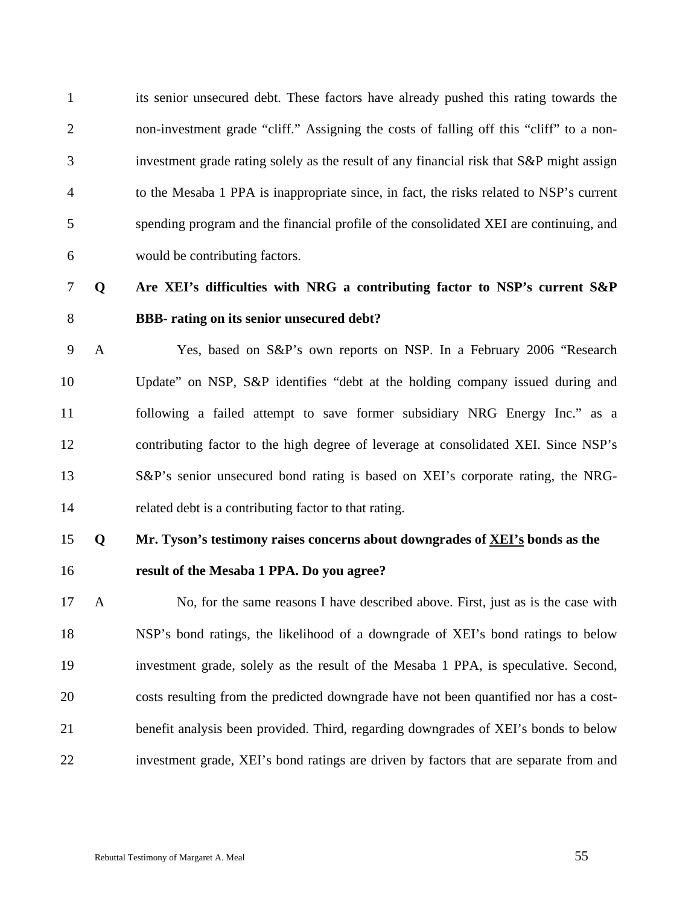1 its senior unsecured debt. These factors have already pushed this rating towards the 2 non-investment grade "cliff." Assigning the costs of falling off this "cliff" to a non-3 investment grade rating solely as the result of any financial risk that S&P might assign 4 to the Mesaba 1 PPA is inappropriate since, in fact, the risks related to NSP's current 5 spending program and the financial profile of the consolidated XEI are continuing, and 6 would be contributing factors.

### 7 **Q Are XEI's difficulties with NRG a contributing factor to NSP's current S&P**  8 **BBB- rating on its senior unsecured debt?**

9 A Yes, based on S&P's own reports on NSP. In a February 2006 "Research 10 Update" on NSP, S&P identifies "debt at the holding company issued during and 11 following a failed attempt to save former subsidiary NRG Energy Inc." as a 12 contributing factor to the high degree of leverage at consolidated XEI. Since NSP's 13 S&P's senior unsecured bond rating is based on XEI's corporate rating, the NRG-14 related debt is a contributing factor to that rating.

### 15 **Q Mr. Tyson's testimony raises concerns about downgrades of XEI's bonds as the**

16 **result of the Mesaba 1 PPA. Do you agree?** 

17 A No, for the same reasons I have described above. First, just as is the case with 18 NSP's bond ratings, the likelihood of a downgrade of XEI's bond ratings to below 19 investment grade, solely as the result of the Mesaba 1 PPA, is speculative. Second, 20 costs resulting from the predicted downgrade have not been quantified nor has a cost-21 benefit analysis been provided. Third, regarding downgrades of XEI's bonds to below 22 investment grade, XEI's bond ratings are driven by factors that are separate from and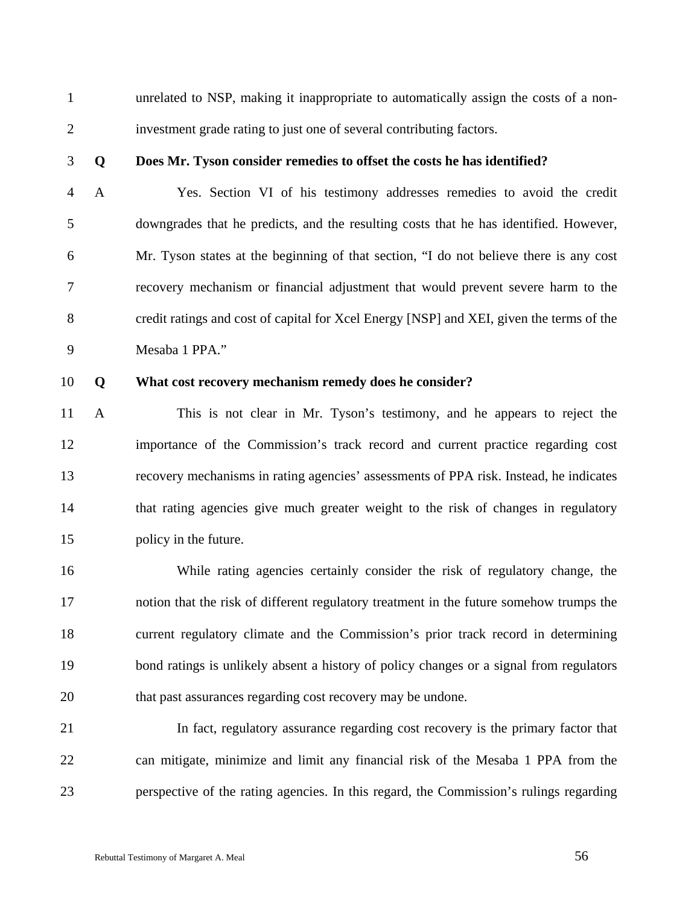1 unrelated to NSP, making it inappropriate to automatically assign the costs of a non-2 investment grade rating to just one of several contributing factors.

#### 3 **Q Does Mr. Tyson consider remedies to offset the costs he has identified?**

4 A Yes. Section VI of his testimony addresses remedies to avoid the credit 5 downgrades that he predicts, and the resulting costs that he has identified. However, 6 Mr. Tyson states at the beginning of that section, "I do not believe there is any cost 7 recovery mechanism or financial adjustment that would prevent severe harm to the 8 credit ratings and cost of capital for Xcel Energy [NSP] and XEI, given the terms of the 9 Mesaba 1 PPA."

#### 10 **Q What cost recovery mechanism remedy does he consider?**

11 A This is not clear in Mr. Tyson's testimony, and he appears to reject the 12 importance of the Commission's track record and current practice regarding cost 13 recovery mechanisms in rating agencies' assessments of PPA risk. Instead, he indicates 14 that rating agencies give much greater weight to the risk of changes in regulatory 15 policy in the future.

16 While rating agencies certainly consider the risk of regulatory change, the 17 notion that the risk of different regulatory treatment in the future somehow trumps the 18 current regulatory climate and the Commission's prior track record in determining 19 bond ratings is unlikely absent a history of policy changes or a signal from regulators 20 that past assurances regarding cost recovery may be undone.

21 In fact, regulatory assurance regarding cost recovery is the primary factor that 22 can mitigate, minimize and limit any financial risk of the Mesaba 1 PPA from the 23 perspective of the rating agencies. In this regard, the Commission's rulings regarding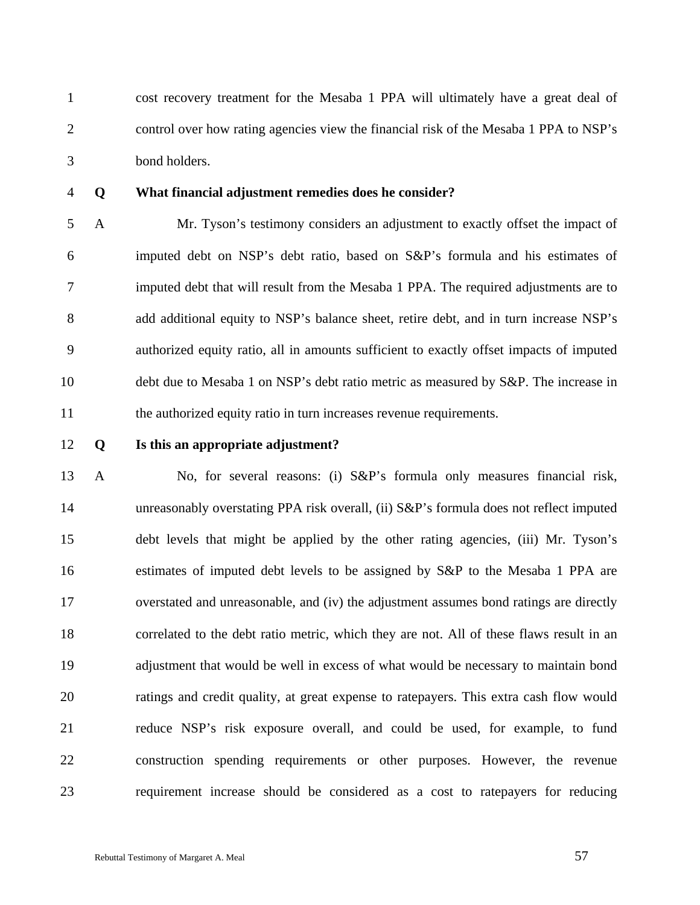1 cost recovery treatment for the Mesaba 1 PPA will ultimately have a great deal of 2 control over how rating agencies view the financial risk of the Mesaba 1 PPA to NSP's 3 bond holders.

#### 4 **Q What financial adjustment remedies does he consider?**

5 A Mr. Tyson's testimony considers an adjustment to exactly offset the impact of 6 imputed debt on NSP's debt ratio, based on S&P's formula and his estimates of 7 imputed debt that will result from the Mesaba 1 PPA. The required adjustments are to 8 add additional equity to NSP's balance sheet, retire debt, and in turn increase NSP's 9 authorized equity ratio, all in amounts sufficient to exactly offset impacts of imputed 10 debt due to Mesaba 1 on NSP's debt ratio metric as measured by S&P. The increase in 11 the authorized equity ratio in turn increases revenue requirements.

#### 12 **Q Is this an appropriate adjustment?**

13 A No, for several reasons: (i) S&P's formula only measures financial risk, 14 unreasonably overstating PPA risk overall, (ii) S&P's formula does not reflect imputed 15 debt levels that might be applied by the other rating agencies, (iii) Mr. Tyson's 16 estimates of imputed debt levels to be assigned by S&P to the Mesaba 1 PPA are 17 overstated and unreasonable, and (iv) the adjustment assumes bond ratings are directly 18 correlated to the debt ratio metric, which they are not. All of these flaws result in an 19 adjustment that would be well in excess of what would be necessary to maintain bond 20 ratings and credit quality, at great expense to ratepayers. This extra cash flow would 21 reduce NSP's risk exposure overall, and could be used, for example, to fund 22 construction spending requirements or other purposes. However, the revenue 23 requirement increase should be considered as a cost to ratepayers for reducing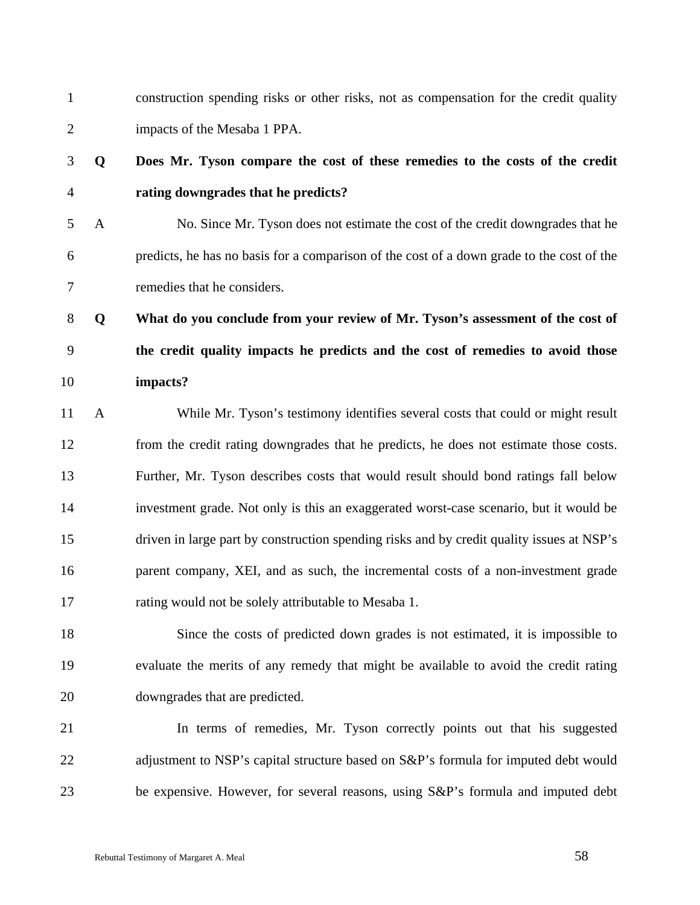1 construction spending risks or other risks, not as compensation for the credit quality 2 impacts of the Mesaba 1 PPA.

### 3 **Q Does Mr. Tyson compare the cost of these remedies to the costs of the credit**  4 **rating downgrades that he predicts?**

5 A No. Since Mr. Tyson does not estimate the cost of the credit downgrades that he 6 predicts, he has no basis for a comparison of the cost of a down grade to the cost of the 7 remedies that he considers.

8 **Q What do you conclude from your review of Mr. Tyson's assessment of the cost of**  9 **the credit quality impacts he predicts and the cost of remedies to avoid those**  10 **impacts?** 

11 A While Mr. Tyson's testimony identifies several costs that could or might result 12 from the credit rating downgrades that he predicts, he does not estimate those costs. 13 Further, Mr. Tyson describes costs that would result should bond ratings fall below 14 investment grade. Not only is this an exaggerated worst-case scenario, but it would be 15 driven in large part by construction spending risks and by credit quality issues at NSP's 16 parent company, XEI, and as such, the incremental costs of a non-investment grade 17 rating would not be solely attributable to Mesaba 1.

18 Since the costs of predicted down grades is not estimated, it is impossible to 19 evaluate the merits of any remedy that might be available to avoid the credit rating 20 downgrades that are predicted.

21 In terms of remedies, Mr. Tyson correctly points out that his suggested 22 adjustment to NSP's capital structure based on S&P's formula for imputed debt would 23 be expensive. However, for several reasons, using S&P's formula and imputed debt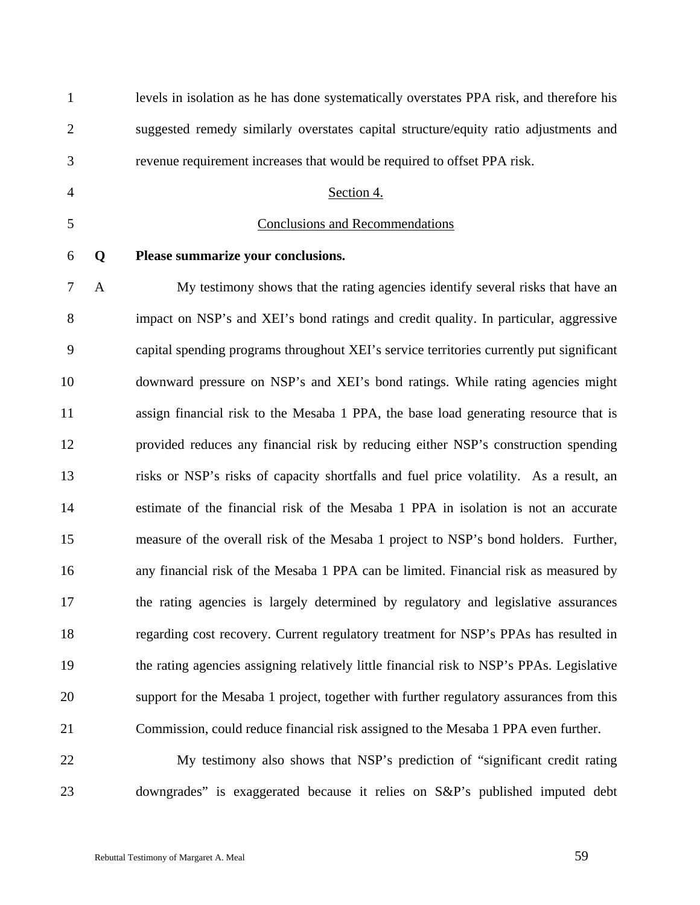| $\mathbf{1}$   |              | levels in isolation as he has done systematically overstates PPA risk, and therefore his  |
|----------------|--------------|-------------------------------------------------------------------------------------------|
| $\overline{2}$ |              | suggested remedy similarly overstates capital structure/equity ratio adjustments and      |
| 3              |              | revenue requirement increases that would be required to offset PPA risk.                  |
| $\overline{4}$ |              | Section 4.                                                                                |
| 5              |              | <b>Conclusions and Recommendations</b>                                                    |
| 6              | Q            | Please summarize your conclusions.                                                        |
| $\tau$         | $\mathbf{A}$ | My testimony shows that the rating agencies identify several risks that have an           |
| 8              |              | impact on NSP's and XEI's bond ratings and credit quality. In particular, aggressive      |
| 9              |              | capital spending programs throughout XEI's service territories currently put significant  |
| 10             |              | downward pressure on NSP's and XEI's bond ratings. While rating agencies might            |
| 11             |              | assign financial risk to the Mesaba 1 PPA, the base load generating resource that is      |
| 12             |              | provided reduces any financial risk by reducing either NSP's construction spending        |
| 13             |              | risks or NSP's risks of capacity shortfalls and fuel price volatility. As a result, an    |
| 14             |              | estimate of the financial risk of the Mesaba 1 PPA in isolation is not an accurate        |
| 15             |              | measure of the overall risk of the Mesaba 1 project to NSP's bond holders. Further,       |
| 16             |              | any financial risk of the Mesaba 1 PPA can be limited. Financial risk as measured by      |
| 17             |              | the rating agencies is largely determined by regulatory and legislative assurances        |
| 18             |              | regarding cost recovery. Current regulatory treatment for NSP's PPAs has resulted in      |
| 19             |              | the rating agencies assigning relatively little financial risk to NSP's PPAs. Legislative |
| 20             |              | support for the Mesaba 1 project, together with further regulatory assurances from this   |
| 21             |              | Commission, could reduce financial risk assigned to the Mesaba 1 PPA even further.        |
| 22             |              | My testimony also shows that NSP's prediction of "significant credit rating               |
| 23             |              | downgrades" is exaggerated because it relies on S&P's published imputed debt              |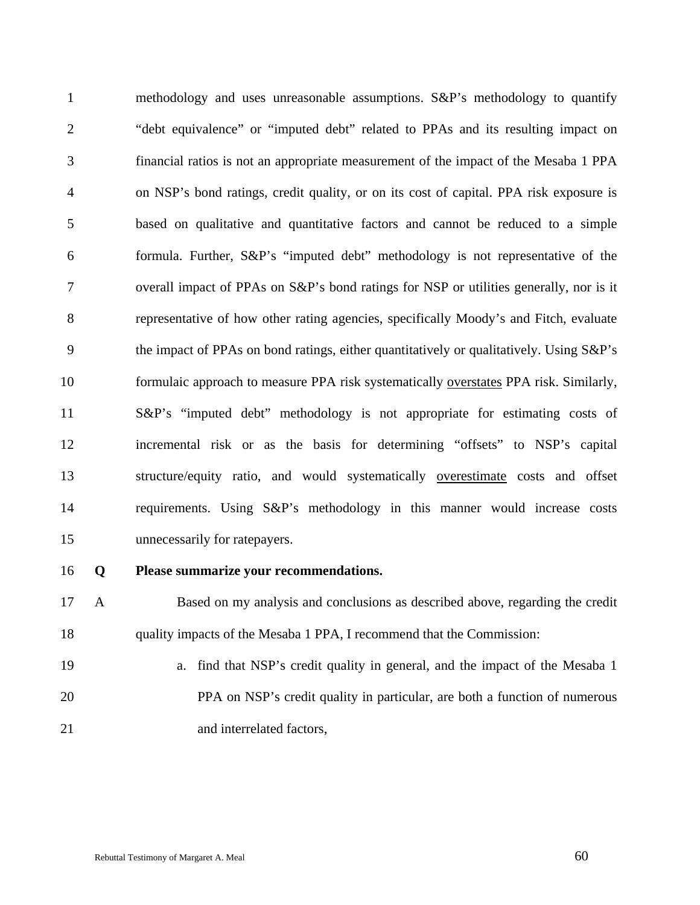1 methodology and uses unreasonable assumptions. S&P's methodology to quantify 2 "debt equivalence" or "imputed debt" related to PPAs and its resulting impact on 3 financial ratios is not an appropriate measurement of the impact of the Mesaba 1 PPA 4 on NSP's bond ratings, credit quality, or on its cost of capital. PPA risk exposure is 5 based on qualitative and quantitative factors and cannot be reduced to a simple 6 formula. Further, S&P's "imputed debt" methodology is not representative of the 7 overall impact of PPAs on S&P's bond ratings for NSP or utilities generally, nor is it 8 representative of how other rating agencies, specifically Moody's and Fitch, evaluate 9 the impact of PPAs on bond ratings, either quantitatively or qualitatively. Using S&P's 10 formulaic approach to measure PPA risk systematically overstates PPA risk. Similarly, 11 S&P's "imputed debt" methodology is not appropriate for estimating costs of 12 incremental risk or as the basis for determining "offsets" to NSP's capital 13 structure/equity ratio, and would systematically <u>overestimate</u> costs and offset 14 requirements. Using S&P's methodology in this manner would increase costs 15 unnecessarily for ratepayers.

#### 16 **Q Please summarize your recommendations.**

17 A Based on my analysis and conclusions as described above, regarding the credit 18 quality impacts of the Mesaba 1 PPA, I recommend that the Commission:

19 a. find that NSP's credit quality in general, and the impact of the Mesaba 1 20 PPA on NSP's credit quality in particular, are both a function of numerous 21 and interrelated factors,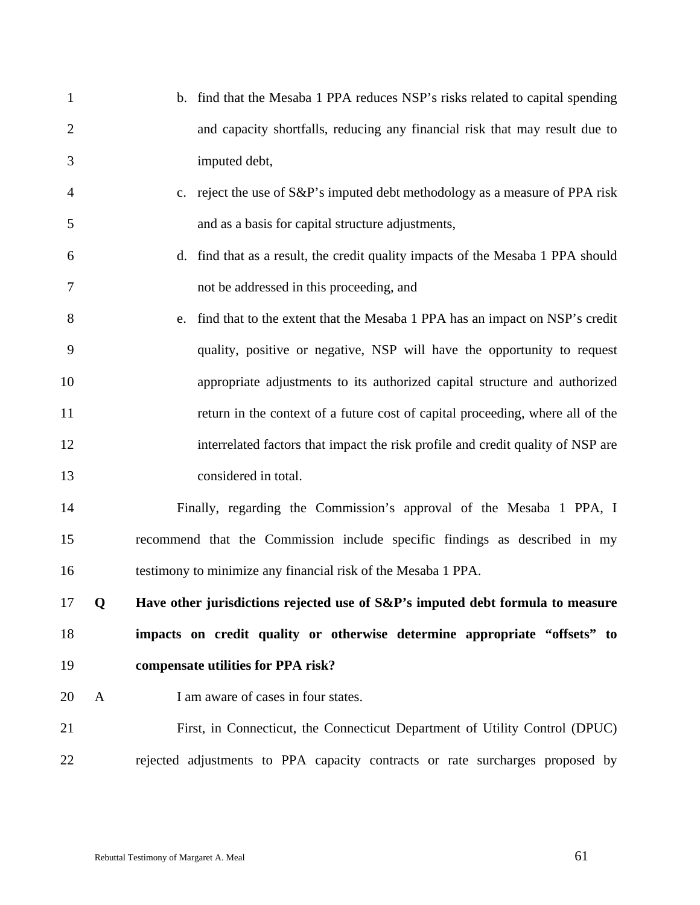| $\mathbf{1}$   |   | b. find that the Mesaba 1 PPA reduces NSP's risks related to capital spending   |
|----------------|---|---------------------------------------------------------------------------------|
| $\overline{2}$ |   | and capacity shortfalls, reducing any financial risk that may result due to     |
| 3              |   | imputed debt,                                                                   |
| 4              |   | c. reject the use of S&P's imputed debt methodology as a measure of PPA risk    |
| 5              |   | and as a basis for capital structure adjustments,                               |
| 6              |   | d. find that as a result, the credit quality impacts of the Mesaba 1 PPA should |
| 7              |   | not be addressed in this proceeding, and                                        |
| 8              |   | e. find that to the extent that the Mesaba 1 PPA has an impact on NSP's credit  |
| 9              |   | quality, positive or negative, NSP will have the opportunity to request         |
| 10             |   | appropriate adjustments to its authorized capital structure and authorized      |
| 11             |   | return in the context of a future cost of capital proceeding, where all of the  |
| 12             |   | interrelated factors that impact the risk profile and credit quality of NSP are |
| 13             |   | considered in total.                                                            |
| 14             |   | Finally, regarding the Commission's approval of the Mesaba 1 PPA, I             |
| 15             |   | recommend that the Commission include specific findings as described in my      |
| 16             |   | testimony to minimize any financial risk of the Mesaba 1 PPA.                   |
| 17             | Q | Have other jurisdictions rejected use of S&P's imputed debt formula to measure  |
| 18             |   | impacts on credit quality or otherwise determine appropriate "offsets" to       |
| 19             |   | compensate utilities for PPA risk?                                              |
| 20             | A | I am aware of cases in four states.                                             |
| 21             |   | First, in Connecticut, the Connecticut Department of Utility Control (DPUC)     |
| 22             |   | rejected adjustments to PPA capacity contracts or rate surcharges proposed by   |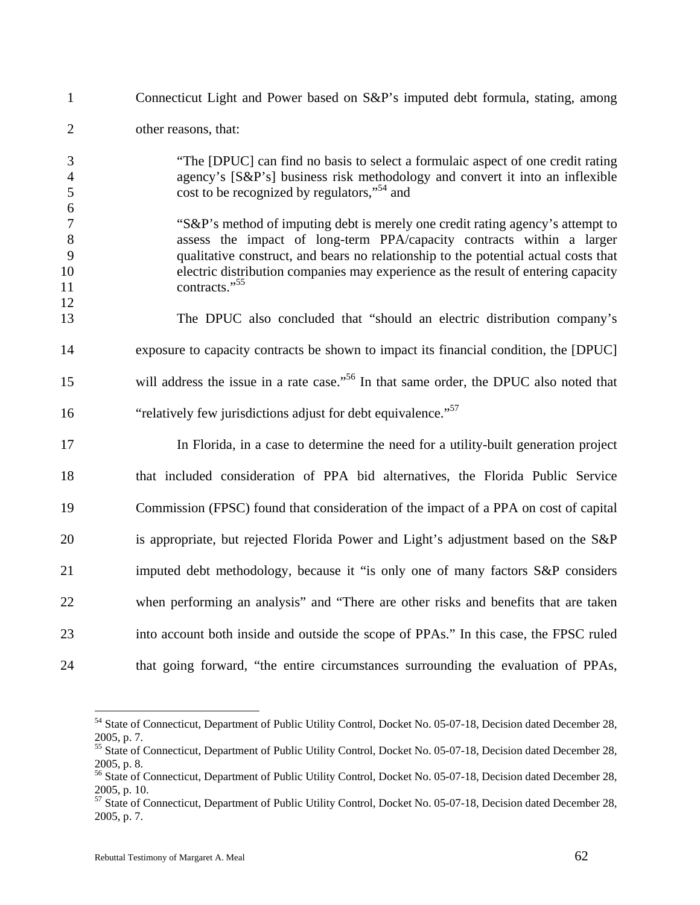| Connecticut Light and Power based on S&P's imputed debt formula, stating, among                                                                                                                                                                                                                                                                                  |
|------------------------------------------------------------------------------------------------------------------------------------------------------------------------------------------------------------------------------------------------------------------------------------------------------------------------------------------------------------------|
| other reasons, that:                                                                                                                                                                                                                                                                                                                                             |
| "The [DPUC] can find no basis to select a formulaic aspect of one credit rating<br>agency's [S&P's] business risk methodology and convert it into an inflexible<br>cost to be recognized by regulators," <sup>54</sup> and                                                                                                                                       |
| "S&P's method of imputing debt is merely one credit rating agency's attempt to<br>assess the impact of long-term PPA/capacity contracts within a larger<br>qualitative construct, and bears no relationship to the potential actual costs that<br>electric distribution companies may experience as the result of entering capacity<br>contracts." <sup>55</sup> |
| The DPUC also concluded that "should an electric distribution company's                                                                                                                                                                                                                                                                                          |
| exposure to capacity contracts be shown to impact its financial condition, the [DPUC]                                                                                                                                                                                                                                                                            |
| will address the issue in a rate case." <sup>56</sup> In that same order, the DPUC also noted that                                                                                                                                                                                                                                                               |
| "relatively few jurisdictions adjust for debt equivalence." <sup>57</sup>                                                                                                                                                                                                                                                                                        |
| In Florida, in a case to determine the need for a utility-built generation project                                                                                                                                                                                                                                                                               |
| that included consideration of PPA bid alternatives, the Florida Public Service                                                                                                                                                                                                                                                                                  |
| Commission (FPSC) found that consideration of the impact of a PPA on cost of capital                                                                                                                                                                                                                                                                             |
| is appropriate, but rejected Florida Power and Light's adjustment based on the S&P                                                                                                                                                                                                                                                                               |
| imputed debt methodology, because it "is only one of many factors S&P considers"                                                                                                                                                                                                                                                                                 |
| when performing an analysis" and "There are other risks and benefits that are taken                                                                                                                                                                                                                                                                              |
| into account both inside and outside the scope of PPAs." In this case, the FPSC ruled                                                                                                                                                                                                                                                                            |
| that going forward, "the entire circumstances surrounding the evaluation of PPAs,                                                                                                                                                                                                                                                                                |
|                                                                                                                                                                                                                                                                                                                                                                  |

<sup>&</sup>lt;sup>54</sup> State of Connecticut, Department of Public Utility Control, Docket No. 05-07-18, Decision dated December 28, 2005, p. 7.

<sup>&</sup>lt;sup>55</sup> State of Connecticut, Department of Public Utility Control, Docket No. 05-07-18, Decision dated December 28, 2005, p. 8.

<sup>&</sup>lt;sup>56</sup> State of Connecticut, Department of Public Utility Control, Docket No. 05-07-18, Decision dated December 28, 2005, p. 10.

<sup>&</sup>lt;sup>57</sup> State of Connecticut, Department of Public Utility Control, Docket No. 05-07-18, Decision dated December 28, 2005, p. 7.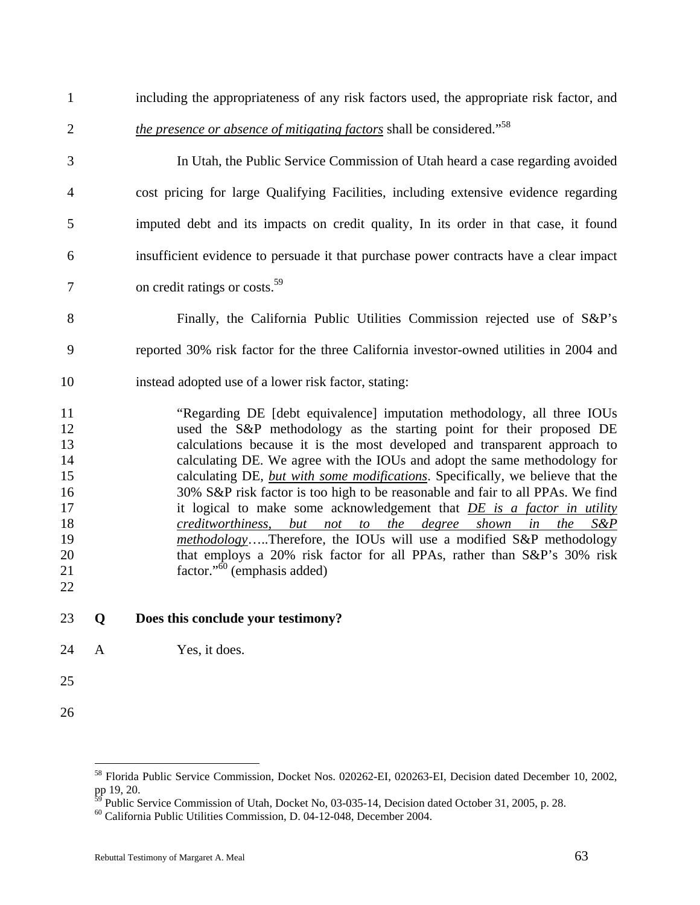| 23             | Q | Does this conclude your testimony?                                                                                                              |
|----------------|---|-------------------------------------------------------------------------------------------------------------------------------------------------|
| 22             |   |                                                                                                                                                 |
| 21             |   | factor." <sup>60</sup> (emphasis added)                                                                                                         |
| 20             |   | that employs a 20% risk factor for all PPAs, rather than S&P's 30% risk                                                                         |
| 18<br>19       |   | creditworthiness, but not to the degree shown in<br>the<br>$S\&P$<br>methodologyTherefore, the IOUs will use a modified S&P methodology         |
| 17             |   | it logical to make some acknowledgement that DE is a factor in utility                                                                          |
| 16             |   | 30% S&P risk factor is too high to be reasonable and fair to all PPAs. We find                                                                  |
| 15             |   | calculating DE, but with some modifications. Specifically, we believe that the                                                                  |
| 14             |   | calculating DE. We agree with the IOUs and adopt the same methodology for                                                                       |
| 13             |   | calculations because it is the most developed and transparent approach to                                                                       |
| 11<br>12       |   | "Regarding DE [debt equivalence] imputation methodology, all three IOUs<br>used the S&P methodology as the starting point for their proposed DE |
| 10             |   | instead adopted use of a lower risk factor, stating:                                                                                            |
| 9              |   | reported 30% risk factor for the three California investor-owned utilities in 2004 and                                                          |
| 8              |   | Finally, the California Public Utilities Commission rejected use of S&P's                                                                       |
| $\tau$         |   | on credit ratings or costs. <sup>59</sup>                                                                                                       |
| 6              |   | insufficient evidence to persuade it that purchase power contracts have a clear impact                                                          |
| 5              |   | imputed debt and its impacts on credit quality, In its order in that case, it found                                                             |
| $\overline{4}$ |   | cost pricing for large Qualifying Facilities, including extensive evidence regarding                                                            |
| 3              |   | In Utah, the Public Service Commission of Utah heard a case regarding avoided                                                                   |
| $\overline{2}$ |   | <i>the presence or absence of mitigating factors</i> shall be considered." <sup>58</sup>                                                        |
| $\mathbf{1}$   |   | including the appropriateness of any risk factors used, the appropriate risk factor, and                                                        |

24 A Yes, it does.

- 25
- 26

<sup>58</sup> Florida Public Service Commission, Docket Nos. 020262-EI, 020263-EI, Decision dated December 10, 2002, pp 19, 20.

 $^{59}$  Public Service Commission of Utah, Docket No, 03-035-14, Decision dated October 31, 2005, p. 28.

<sup>60</sup> California Public Utilities Commission, D. 04-12-048, December 2004.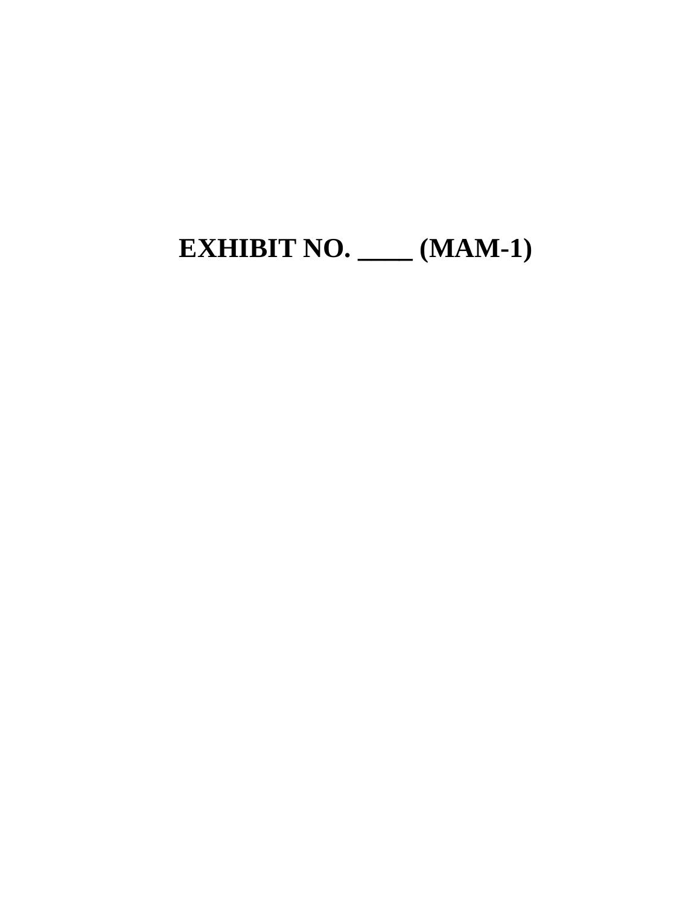# **EXHIBIT NO. \_\_\_\_ (MAM-1)**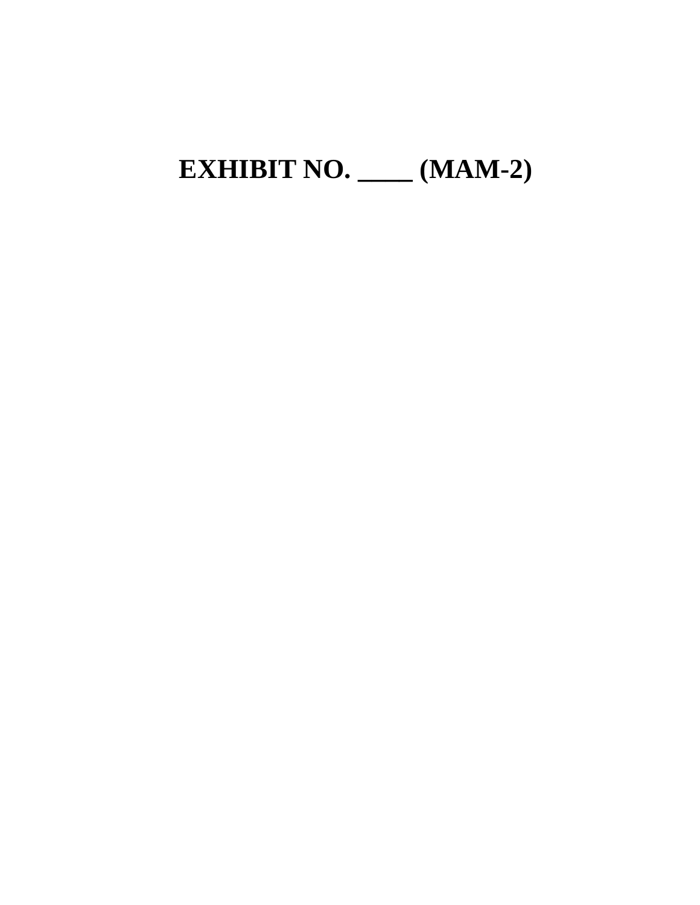### **EXHIBIT NO. \_\_\_\_ (MAM-2)**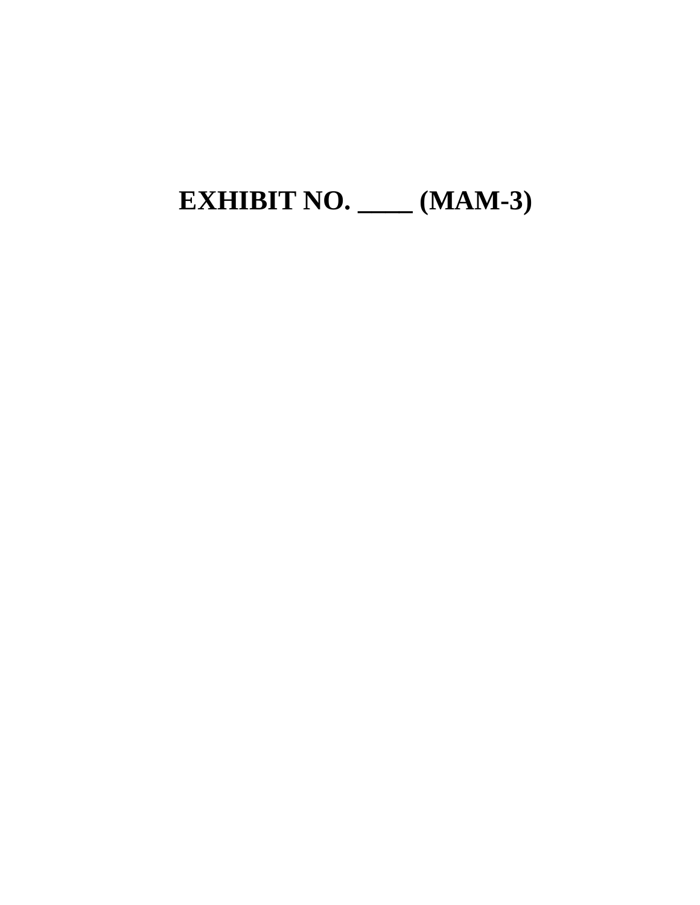# **EXHIBIT NO. \_\_\_\_ (MAM-3)**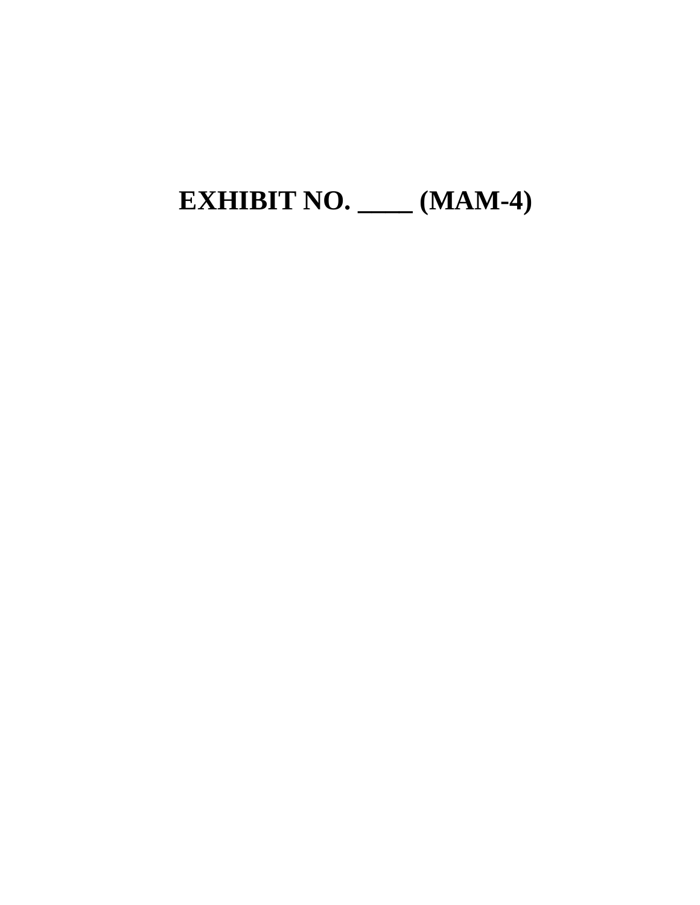# **EXHIBIT NO. \_\_\_\_ (MAM-4)**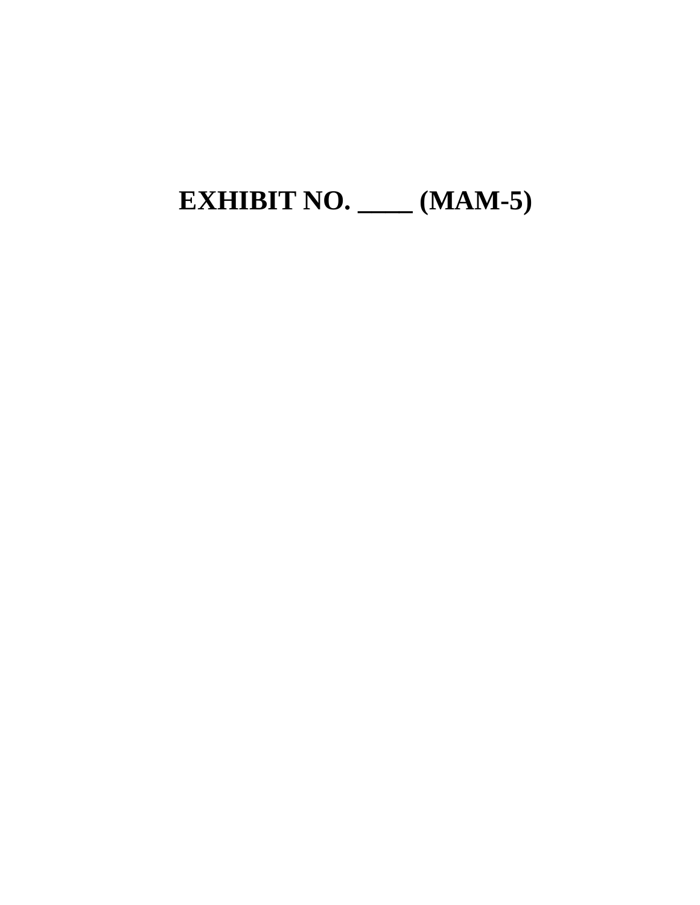# **EXHIBIT NO. \_\_\_\_ (MAM-5)**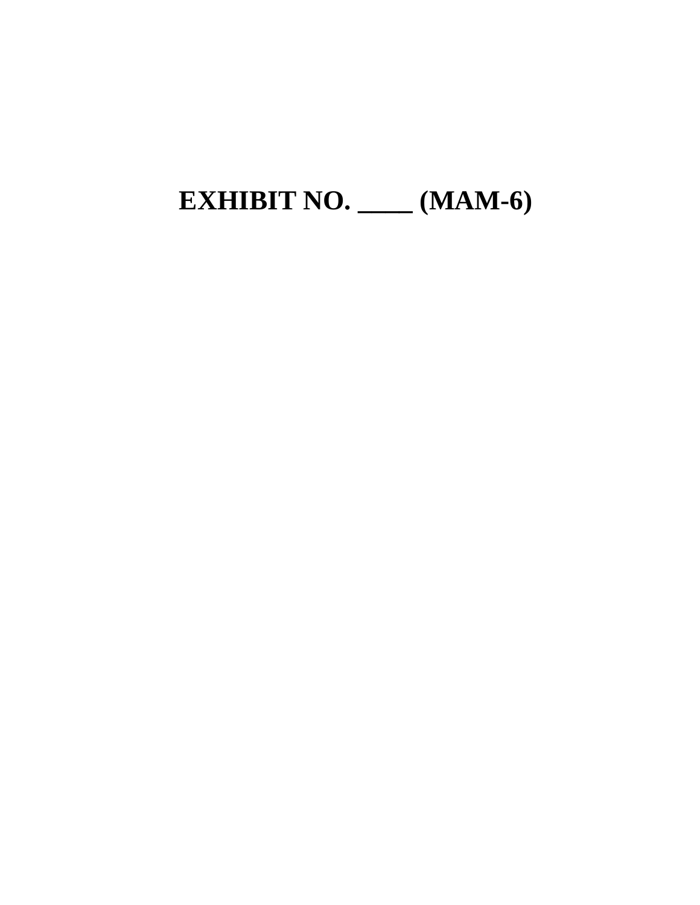# **EXHIBIT NO. \_\_\_\_ (MAM-6)**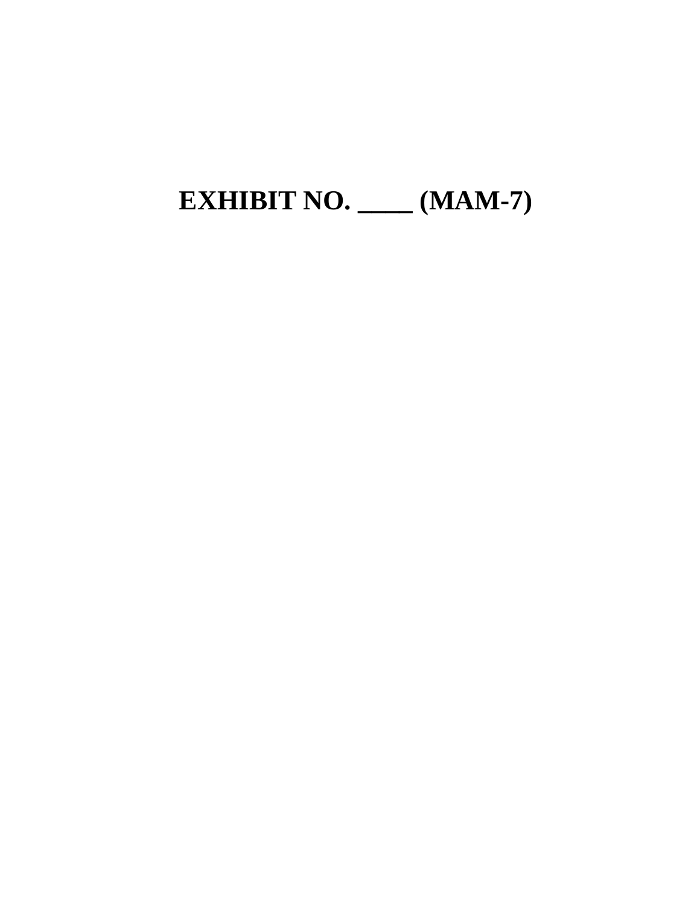# **EXHIBIT NO. \_\_\_\_ (MAM-7)**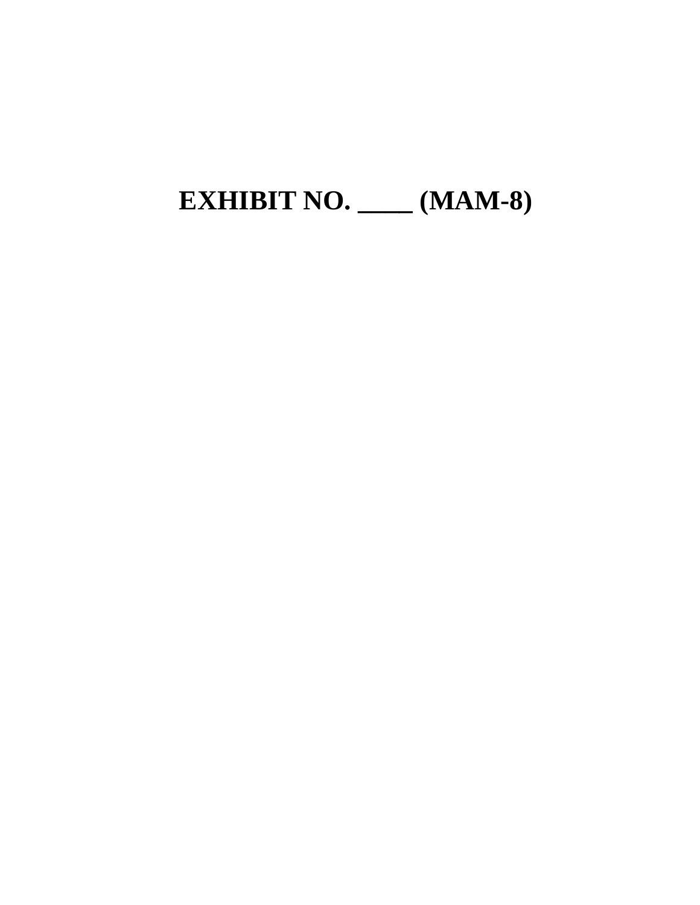# **EXHIBIT NO. \_\_\_\_ (MAM-8)**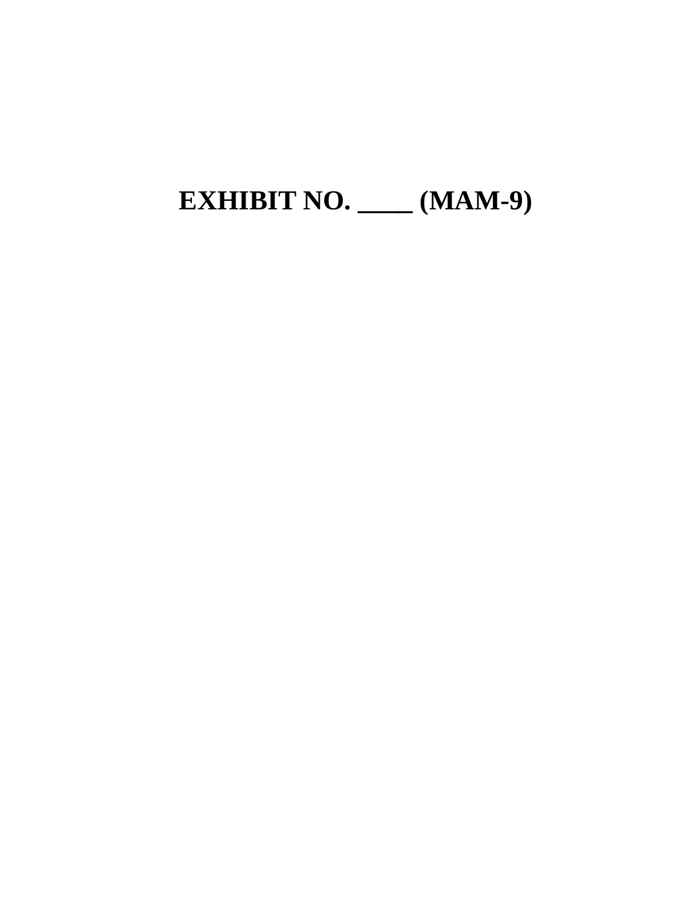## **EXHIBIT NO. \_\_\_\_ (MAM-9)**